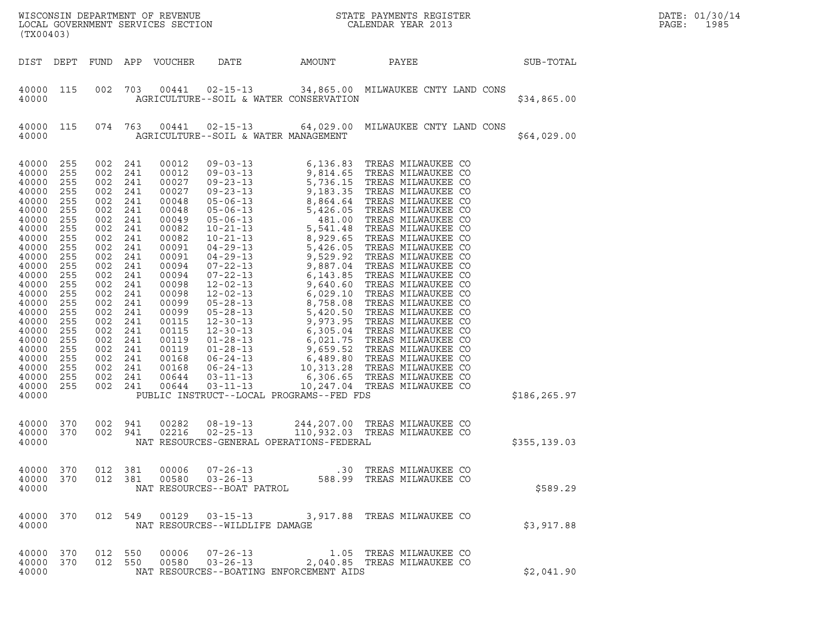| (TX00403)                                                                                                                                                                                                                              |                                                                                                                                                                             |                                                                                                                                                                             |                                                                                                                                                                             |                                                                                                                                                                                                                               |                                  |                                          |                                                                          |               | DATE: 01/30/14<br>PAGE:<br>1985 |
|----------------------------------------------------------------------------------------------------------------------------------------------------------------------------------------------------------------------------------------|-----------------------------------------------------------------------------------------------------------------------------------------------------------------------------|-----------------------------------------------------------------------------------------------------------------------------------------------------------------------------|-----------------------------------------------------------------------------------------------------------------------------------------------------------------------------|-------------------------------------------------------------------------------------------------------------------------------------------------------------------------------------------------------------------------------|----------------------------------|------------------------------------------|--------------------------------------------------------------------------|---------------|---------------------------------|
| DIST DEPT                                                                                                                                                                                                                              |                                                                                                                                                                             | FUND APP                                                                                                                                                                    |                                                                                                                                                                             | VOUCHER                                                                                                                                                                                                                       | DATE                             | AMOUNT                                   | PAYEE                                                                    | SUB-TOTAL     |                                 |
| 40000 115<br>40000                                                                                                                                                                                                                     |                                                                                                                                                                             | 002                                                                                                                                                                         | 703                                                                                                                                                                         |                                                                                                                                                                                                                               |                                  | AGRICULTURE--SOIL & WATER CONSERVATION   | 00441  02-15-13  34,865.00  MILWAUKEE CNTY LAND CONS                     | \$34,865.00   |                                 |
| 40000 115<br>40000                                                                                                                                                                                                                     |                                                                                                                                                                             | 074 763                                                                                                                                                                     |                                                                                                                                                                             |                                                                                                                                                                                                                               |                                  | AGRICULTURE--SOIL & WATER MANAGEMENT     | 00441  02-15-13   64,029.00   MILWAUKEE CNTY LAND CONS                   | \$64,029.00   |                                 |
| 40000<br>40000<br>40000<br>40000<br>40000<br>40000<br>40000<br>40000<br>40000<br>40000<br>40000<br>40000<br>40000<br>40000<br>40000<br>40000<br>40000<br>40000<br>40000<br>40000<br>40000<br>40000<br>40000<br>40000<br>40000<br>40000 | 255<br>255<br>255<br>255<br>255<br>255<br>255<br>255<br>255<br>255<br>255<br>255<br>255<br>255<br>255<br>255<br>255<br>255<br>255<br>255<br>255<br>255<br>255<br>255<br>255 | 002<br>002<br>002<br>002<br>002<br>002<br>002<br>002<br>002<br>002<br>002<br>002<br>002<br>002<br>002<br>002<br>002<br>002<br>002<br>002<br>002<br>002<br>002<br>002<br>002 | 241<br>241<br>241<br>241<br>241<br>241<br>241<br>241<br>241<br>241<br>241<br>241<br>241<br>241<br>241<br>241<br>241<br>241<br>241<br>241<br>241<br>241<br>241<br>241<br>241 | 00012<br>00012<br>00027<br>00027<br>00048<br>00048<br>00049<br>00082<br>00082<br>00091<br>00091<br>00094<br>00094<br>00098<br>00098<br>00099<br>00099<br>00115<br>00115<br>00119<br>00119<br>00168<br>00168<br>00644<br>00644 | $03 - 11 - 13$                   | PUBLIC INSTRUCT--LOCAL PROGRAMS--FED FDS | 10,247.04 TREAS MILWAUKEE CO                                             | \$186,265.97  |                                 |
| 40000 370<br>40000 370<br>40000                                                                                                                                                                                                        |                                                                                                                                                                             | 002 941<br>002 941                                                                                                                                                          |                                                                                                                                                                             | 00282<br>02216                                                                                                                                                                                                                | $08 - 19 - 13$<br>$02 - 25 - 13$ | NAT RESOURCES-GENERAL OPERATIONS-FEDERAL | 244, 207.00 TREAS MILWAUKEE CO                                           | \$355, 139.03 |                                 |
| 40000 370<br>40000 370<br>40000                                                                                                                                                                                                        |                                                                                                                                                                             | 012 381                                                                                                                                                                     |                                                                                                                                                                             | 00006<br>012 381 00580                                                                                                                                                                                                        | NAT RESOURCES--BOAT PATROL       |                                          |                                                                          | \$589.29      |                                 |
| 40000 370<br>40000                                                                                                                                                                                                                     |                                                                                                                                                                             |                                                                                                                                                                             |                                                                                                                                                                             |                                                                                                                                                                                                                               | NAT RESOURCES--WILDLIFE DAMAGE   |                                          | 012 549 00129 03-15-13 3,917.88 TREAS MILWAUKEE CO                       | \$3,917.88    |                                 |
| 40000 370<br>40000 370<br>40000                                                                                                                                                                                                        |                                                                                                                                                                             | 012 550<br>012 550                                                                                                                                                          |                                                                                                                                                                             | 00006<br>00580                                                                                                                                                                                                                |                                  | NAT RESOURCES--BOATING ENFORCEMENT AIDS  | 07-26-13 1.05 TREAS MILWAUKEE CO<br>03-26-13 2,040.85 TREAS MILWAUKEE CO | \$2,041.90    |                                 |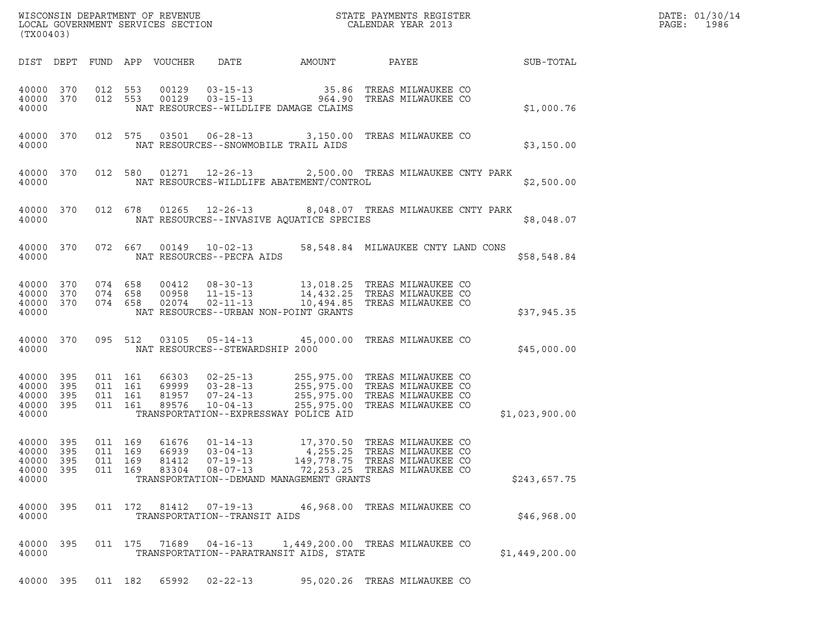| WISCONSIN DEPARTMENT OF REVENUE   | STATE PAYMENTS REGISTER | DATE: 01/30/14 |
|-----------------------------------|-------------------------|----------------|
| LOCAL GOVERNMENT SERVICES SECTION | CALENDAR YEAR 2013      | 1986<br>PAGE:  |

| (TX00403)                                 |                          |                          |                          |                                  |                                                                      |                                                                                               |                                                                                      |                |
|-------------------------------------------|--------------------------|--------------------------|--------------------------|----------------------------------|----------------------------------------------------------------------|-----------------------------------------------------------------------------------------------|--------------------------------------------------------------------------------------|----------------|
| DIST                                      | DEPT                     | FUND                     | APP                      | VOUCHER                          | DATE                                                                 | AMOUNT                                                                                        | PAYEE                                                                                | SUB-TOTAL      |
| 40000<br>40000<br>40000                   | 370<br>370               | 012<br>012               | 553<br>553               | 00129<br>00129                   | $03 - 15 - 13$<br>$03 - 15 - 13$                                     | 35.86<br>964.90<br>NAT RESOURCES--WILDLIFE DAMAGE CLAIMS                                      | TREAS MILWAUKEE CO<br>TREAS MILWAUKEE CO                                             | \$1,000.76     |
| 40000<br>40000                            | 370                      | 012                      | 575                      | 03501                            | $06 - 28 - 13$                                                       | 3,150.00<br>NAT RESOURCES--SNOWMOBILE TRAIL AIDS                                              | TREAS MILWAUKEE CO                                                                   | \$3,150.00     |
| 40000<br>40000                            | 370                      | 012                      | 580                      | 01271                            | $12 - 26 - 13$                                                       | NAT RESOURCES-WILDLIFE ABATEMENT/CONTROL                                                      | 2,500.00 TREAS MILWAUKEE CNTY PARK                                                   | \$2,500.00     |
| 40000<br>40000                            | 370                      | 012                      | 678                      | 01265                            | $12 - 26 - 13$                                                       | NAT RESOURCES--INVASIVE AQUATICE SPECIES                                                      | 8,048.07 TREAS MILWAUKEE CNTY PARK                                                   | \$8,048.07     |
| 40000<br>40000                            | 370                      | 072                      | 667                      | 00149                            | $10 - 02 - 13$<br>NAT RESOURCES--PECFA AIDS                          | 58,548.84                                                                                     | MILWAUKEE CNTY LAND CONS                                                             | \$58,548.84    |
| 40000<br>40000<br>40000<br>40000          | 370<br>370<br>370        | 074<br>074<br>074        | 658<br>658<br>658        | 00412<br>00958<br>02074          | $08 - 30 - 13$<br>$11 - 15 - 13$<br>$02 - 11 - 13$                   | 13,018.25<br>14,432.25<br>10,494.85<br>NAT RESOURCES--URBAN NON-POINT GRANTS                  | TREAS MILWAUKEE CO<br>TREAS MILWAUKEE CO<br>TREAS MILWAUKEE CO                       | \$37,945.35    |
| 40000<br>40000                            | 370                      | 095                      | 512                      | 03105                            | $05 - 14 - 13$<br>NAT RESOURCES--STEWARDSHIP 2000                    | 45,000.00                                                                                     | TREAS MILWAUKEE CO                                                                   | \$45,000.00    |
| 40000<br>40000<br>40000<br>40000<br>40000 | 395<br>395<br>395<br>395 | 011<br>011<br>011<br>011 | 161<br>161<br>161<br>161 | 66303<br>69999<br>81957<br>89576 | $02 - 25 - 13$<br>$03 - 28 - 13$<br>$07 - 24 - 13$<br>$10 - 04 - 13$ | 255,975.00<br>255,975.00<br>255,975.00<br>255,975.00<br>TRANSPORTATION--EXPRESSWAY POLICE AID | TREAS MILWAUKEE CO<br>TREAS MILWAUKEE CO<br>TREAS MILWAUKEE CO<br>TREAS MILWAUKEE CO | \$1,023,900.00 |
| 40000<br>40000<br>40000<br>40000<br>40000 | 395<br>395<br>395<br>395 | 011<br>011<br>011<br>011 | 169<br>169<br>169<br>169 | 61676<br>66939<br>81412<br>83304 | $01 - 14 - 13$<br>$03 - 04 - 13$<br>$07 - 19 - 13$<br>$08 - 07 - 13$ | 17,370.50<br>4,255.25<br>149,778.75<br>72, 253.25<br>TRANSPORTATION--DEMAND MANAGEMENT GRANTS | TREAS MILWAUKEE CO<br>TREAS MILWAUKEE CO<br>TREAS MILWAUKEE CO<br>TREAS MILWAUKEE CO | \$243,657.75   |
| 40000<br>40000                            | 395                      |                          |                          |                                  | TRANSPORTATION--TRANSIT AIDS                                         |                                                                                               | 011  172  81412  07-19-13  46,968.00 TREAS MILWAUKEE CO                              | \$46,968.00    |
| 40000<br>40000                            | 395                      |                          |                          | 011 175 71689                    |                                                                      | TRANSPORTATION--PARATRANSIT AIDS, STATE                                                       | 04-16-13 1,449,200.00 TREAS MILWAUKEE CO                                             | \$1,449,200.00 |
| 40000                                     | 395                      |                          | 011 182                  | 65992                            | $02 - 22 - 13$                                                       |                                                                                               | 95,020.26 TREAS MILWAUKEE CO                                                         |                |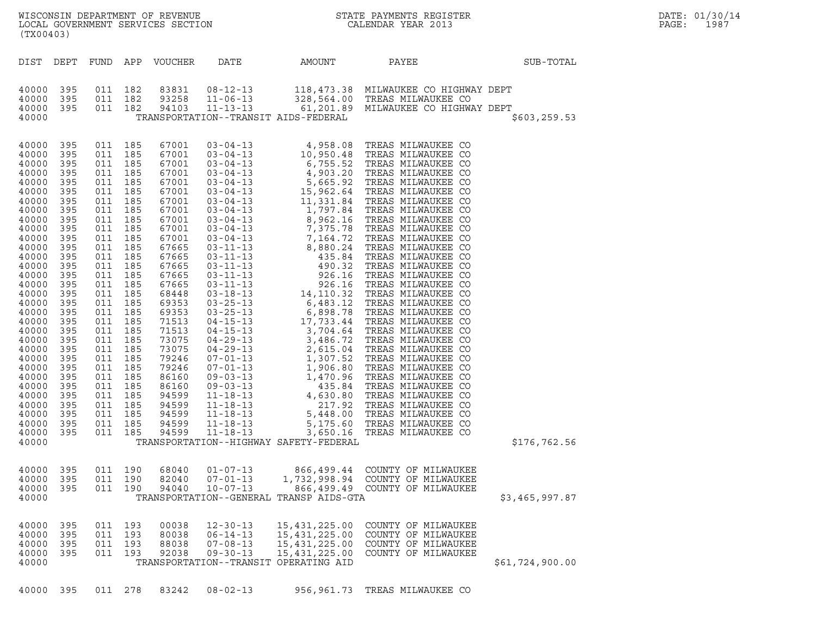| (TX00403)                                                                                                                                                                                                                                                                                             |                                                                                                                                                                                                                              |                                                                                                                                                                                                                                                                                                                                              |                          |                                                                                                                                                                                                                                                                                              |                                                                                                                                                                                                                                                                                                                                                                                                                                                                                                                                                                                              |                                                                                                               | WISCONSIN DEPARTMENT OF REVENUE<br>LOCAL GOVERNMENT SERVICES SECTION<br>CALENDAR YEAR 2013                                                                                                                                                                        |                 | DATE: 01/30/14<br>PAGE:<br>1987 |
|-------------------------------------------------------------------------------------------------------------------------------------------------------------------------------------------------------------------------------------------------------------------------------------------------------|------------------------------------------------------------------------------------------------------------------------------------------------------------------------------------------------------------------------------|----------------------------------------------------------------------------------------------------------------------------------------------------------------------------------------------------------------------------------------------------------------------------------------------------------------------------------------------|--------------------------|----------------------------------------------------------------------------------------------------------------------------------------------------------------------------------------------------------------------------------------------------------------------------------------------|----------------------------------------------------------------------------------------------------------------------------------------------------------------------------------------------------------------------------------------------------------------------------------------------------------------------------------------------------------------------------------------------------------------------------------------------------------------------------------------------------------------------------------------------------------------------------------------------|---------------------------------------------------------------------------------------------------------------|-------------------------------------------------------------------------------------------------------------------------------------------------------------------------------------------------------------------------------------------------------------------|-----------------|---------------------------------|
| DIST DEPT                                                                                                                                                                                                                                                                                             |                                                                                                                                                                                                                              | FUND APP                                                                                                                                                                                                                                                                                                                                     |                          | VOUCHER                                                                                                                                                                                                                                                                                      | DATE                                                                                                                                                                                                                                                                                                                                                                                                                                                                                                                                                                                         | AMOUNT                                                                                                        | PAYEE                                                                                                                                                                                                                                                             | SUB-TOTAL       |                                 |
| 40000<br>40000<br>40000<br>40000                                                                                                                                                                                                                                                                      | 395<br>395<br>395                                                                                                                                                                                                            | 011 182<br>011 182<br>011 182                                                                                                                                                                                                                                                                                                                |                          | 83831<br>93258<br>94103                                                                                                                                                                                                                                                                      | $08 - 12 - 13$<br>$11 - 06 - 13$<br>$11 - 13 - 13$                                                                                                                                                                                                                                                                                                                                                                                                                                                                                                                                           | TRANSPORTATION--TRANSIT AIDS-FEDERAL                                                                          | 118,473.38 MILWAUKEE CO HIGHWAY DEPT<br>328,564.00 TREAS MILWAUKEE CO<br>61,201.89 MILWAUKEE CO HIGHWAY DEPT                                                                                                                                                      | \$603, 259.53   |                                 |
| 40000<br>40000<br>40000<br>40000<br>40000<br>40000<br>40000<br>40000<br>40000<br>40000<br>40000<br>40000<br>40000<br>40000<br>40000<br>40000<br>40000<br>40000<br>40000<br>40000<br>40000<br>40000<br>40000<br>40000<br>40000<br>40000<br>40000<br>40000<br>40000<br>40000<br>40000<br>40000<br>40000 | 395<br>395<br>395<br>395<br>395<br>395<br>395<br>395<br>395<br>395<br>395<br>395<br>395<br>395<br>395<br>395<br>395<br>395<br>395<br>395<br>395<br>395<br>395<br>395<br>395<br>395<br>395<br>395<br>395<br>395<br>395<br>395 | 011 185<br>011<br>011 185<br>011 185<br>011 185<br>011 185<br>011 185<br>011 185<br>011 185<br>011 185<br>011 185<br>011<br>011 185<br>011 185<br>011 185<br>011 185<br>011 185<br>011 185<br>011 185<br>011<br>011 185<br>011 185<br>011 185<br>011 185<br>011 185<br>011 185<br>011 185<br>011<br>011 185<br>011 185<br>011 185<br>011 185 | 185<br>185<br>185<br>185 | 67001<br>67001<br>67001<br>67001<br>67001<br>67001<br>67001<br>67001<br>67001<br>67001<br>67001<br>67665<br>67665<br>67665<br>67665<br>67665<br>68448<br>69353<br>69353<br>71513<br>71513<br>73075<br>73075<br>79246<br>79246<br>86160<br>86160<br>94599<br>94599<br>94599<br>94599<br>94599 | $03 - 04 - 13$<br>$03 - 04 - 13$<br>$03 - 04 - 13$<br>$03 - 04 - 13$<br>$03 - 04 - 13$<br>$03 - 04 - 13$<br>$03 - 04 - 13$<br>$03 - 04 - 13$<br>$03 - 04 - 13$<br>$03 - 04 - 13$<br>$03 - 04 - 13$<br>$03 - 11 - 13$<br>$03 - 11 - 13$<br>$03 - 11 - 13$<br>$03 - 11 - 13$<br>$03 - 11 - 13$<br>$03 - 18 - 13$<br>$03 - 25 - 13$<br>$03 - 25 - 13$<br>$04 - 15 - 13$<br>$04 - 15 - 13$<br>$04 - 29 - 13$<br>$04 - 29 - 13$<br>$07 - 01 - 13$<br>$07 - 01 - 13$<br>$09 - 03 - 13$<br>$09 - 03 - 13$<br>$11 - 18 - 13$<br>$11 - 18 - 13$<br>$11 - 18 - 13$<br>$11 - 18 - 13$<br>$11 - 18 - 13$ | TRANSPORTATION--HIGHWAY SAFETY-FEDERAL                                                                        | 4,958.08 TREAS MILWAUKEE CO<br>$4$ , $958.08$ $\,$ TREAS MILWAUKEE CO $6$ , $755.52$ TREAS MILWAUKEE CO $6$ , $755.52$ TREAS MILWAUKEE CO $1,903.20$ TREAS MILWAUKEE CO $15$ , $665.92$ TREAS MILWAUKEE CO $11$ , $331.84$ TREAS MILWAUKEE CO $1,977.64$ TREAS MI | \$176,762.56    |                                 |
| 40000<br>40000<br>40000<br>40000                                                                                                                                                                                                                                                                      | 395<br>395<br>- 395                                                                                                                                                                                                          | 011 190                                                                                                                                                                                                                                                                                                                                      | 011 190<br>011 190       | 68040<br>82040<br>94040                                                                                                                                                                                                                                                                      | $01 - 07 - 13$<br>$07 - 01 - 13$<br>$10 - 07 - 13$                                                                                                                                                                                                                                                                                                                                                                                                                                                                                                                                           | TRANSPORTATION--GENERAL TRANSP AIDS-GTA                                                                       | 866,499.44 COUNTY OF MILWAUKEE<br>1,732,998.94 COUNTY OF MILWAUKEE<br>866,499.49 COUNTY OF MILWAUKEE                                                                                                                                                              | \$3,465,997.87  |                                 |
| 40000<br>40000<br>40000<br>40000<br>40000                                                                                                                                                                                                                                                             | 395<br>395<br>395<br>395                                                                                                                                                                                                     | 011 193<br>011 193                                                                                                                                                                                                                                                                                                                           | 011 193<br>011 193       | 00038<br>80038<br>88038<br>92038                                                                                                                                                                                                                                                             | $12 - 30 - 13$<br>$06 - 14 - 13$<br>$07 - 08 - 13$<br>$09 - 30 - 13$                                                                                                                                                                                                                                                                                                                                                                                                                                                                                                                         | 15,431,225.00<br>15,431,225.00<br>15, 431, 225.00<br>15, 431, 225.00<br>TRANSPORTATION--TRANSIT OPERATING AID | COUNTY OF MILWAUKEE<br>COUNTY OF MILWAUKEE<br>COUNTY OF MILWAUKEE<br>COUNTY OF MILWAUKEE                                                                                                                                                                          | \$61,724,900.00 |                                 |
| 40000 395                                                                                                                                                                                                                                                                                             |                                                                                                                                                                                                                              |                                                                                                                                                                                                                                                                                                                                              | 011 278                  | 83242                                                                                                                                                                                                                                                                                        | $08 - 02 - 13$                                                                                                                                                                                                                                                                                                                                                                                                                                                                                                                                                                               |                                                                                                               | 956,961.73 TREAS MILWAUKEE CO                                                                                                                                                                                                                                     |                 |                                 |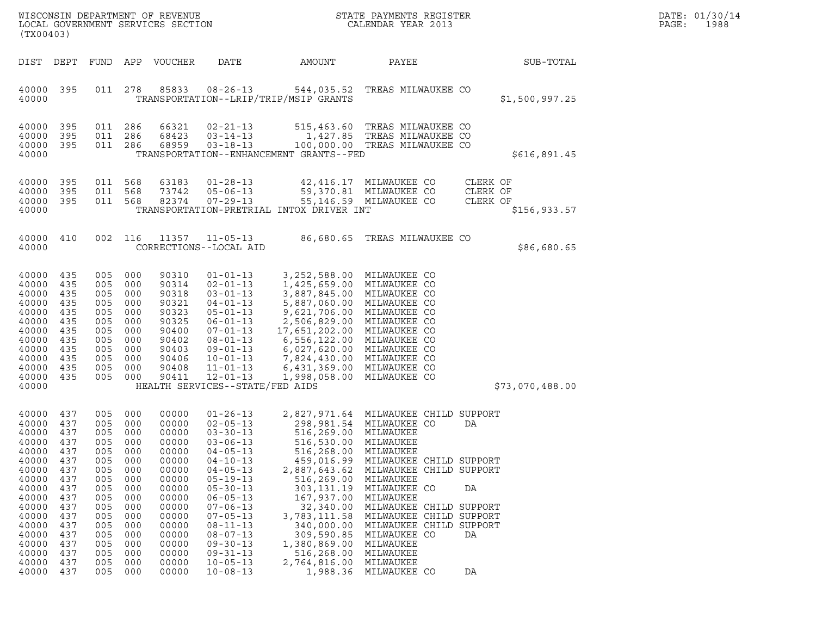|       | DATE: 01/30/14 |
|-------|----------------|
| PAGE: | 1988           |

| (TX00403)                                                                                                                                                      |                                                                                                                            |                                                                                                                            |                                                                                                                            | WISCONSIN DEPARTMENT OF REVENUE<br>LOCAL GOVERNMENT SERVICES SECTION                                                                                           |                                                                                                                                                                                                                                                                                                                                  |                                                                                                                                                                                                                                                                                                                                 | STATE PAYMENTS REGISTER<br>CALENDAR YEAR 2013                                                                                                                                                                                                                                                                                        |                                  |                 | DATE: 01/30/14<br>PAGE:<br>1988 |
|----------------------------------------------------------------------------------------------------------------------------------------------------------------|----------------------------------------------------------------------------------------------------------------------------|----------------------------------------------------------------------------------------------------------------------------|----------------------------------------------------------------------------------------------------------------------------|----------------------------------------------------------------------------------------------------------------------------------------------------------------|----------------------------------------------------------------------------------------------------------------------------------------------------------------------------------------------------------------------------------------------------------------------------------------------------------------------------------|---------------------------------------------------------------------------------------------------------------------------------------------------------------------------------------------------------------------------------------------------------------------------------------------------------------------------------|--------------------------------------------------------------------------------------------------------------------------------------------------------------------------------------------------------------------------------------------------------------------------------------------------------------------------------------|----------------------------------|-----------------|---------------------------------|
| DIST                                                                                                                                                           | DEPT                                                                                                                       | FUND                                                                                                                       | APP                                                                                                                        | VOUCHER                                                                                                                                                        | DATE                                                                                                                                                                                                                                                                                                                             | AMOUNT                                                                                                                                                                                                                                                                                                                          | PAYEE                                                                                                                                                                                                                                                                                                                                |                                  | SUB-TOTAL       |                                 |
| 40000 395<br>40000                                                                                                                                             |                                                                                                                            | 011 278                                                                                                                    |                                                                                                                            | 85833                                                                                                                                                          | $08 - 26 - 13$                                                                                                                                                                                                                                                                                                                   | 544,035.52<br>TRANSPORTATION--LRIP/TRIP/MSIP GRANTS                                                                                                                                                                                                                                                                             | TREAS MILWAUKEE CO                                                                                                                                                                                                                                                                                                                   |                                  | \$1,500,997.25  |                                 |
| 40000<br>40000<br>40000<br>40000                                                                                                                               | 395<br>395<br>- 395                                                                                                        | 011<br>011<br>011                                                                                                          | 286<br>286<br>286                                                                                                          | 66321<br>68423<br>68959                                                                                                                                        | $02 - 21 - 13$<br>$03 - 14 - 13$<br>$03 - 18 - 13$                                                                                                                                                                                                                                                                               | TRANSPORTATION--ENHANCEMENT GRANTS--FED                                                                                                                                                                                                                                                                                         | 515,463.60 TREAS MILWAUKEE CO<br>1,427.85 TREAS MILWAUKEE CO<br>100,000.00 TREAS MILWAUKEE CO                                                                                                                                                                                                                                        |                                  | \$616,891.45    |                                 |
| 40000<br>40000<br>40000<br>40000                                                                                                                               | 395<br>395<br>- 395                                                                                                        | 011 568<br>011<br>011 568                                                                                                  | 568                                                                                                                        | 63183<br>73742<br>82374                                                                                                                                        | $01 - 28 - 13$<br>$05 - 06 - 13$<br>$07 - 29 - 13$                                                                                                                                                                                                                                                                               | TRANSPORTATION-PRETRIAL INTOX DRIVER INT                                                                                                                                                                                                                                                                                        | 42,416.17 MILWAUKEE CO<br>59,370.81 MILWAUKEE CO<br>55,146.59 MILWAUKEE CO                                                                                                                                                                                                                                                           | CLERK OF<br>CLERK OF<br>CLERK OF | \$156, 933.57   |                                 |
| 40000<br>40000                                                                                                                                                 | 410                                                                                                                        | 002                                                                                                                        | 116                                                                                                                        | 11357                                                                                                                                                          | $11 - 05 - 13$<br>CORRECTIONS--LOCAL AID                                                                                                                                                                                                                                                                                         |                                                                                                                                                                                                                                                                                                                                 | 86,680.65 TREAS MILWAUKEE CO                                                                                                                                                                                                                                                                                                         |                                  | \$86,680.65     |                                 |
| 40000<br>40000<br>40000<br>40000<br>40000<br>40000<br>40000<br>40000<br>40000<br>40000<br>40000<br>40000<br>40000                                              | 435<br>435<br>435<br>435<br>435<br>435<br>435<br>435<br>435<br>435<br>435<br>435                                           | 005<br>005<br>005<br>005<br>005<br>005<br>005<br>005<br>005<br>005<br>005<br>005                                           | 000<br>000<br>000<br>000<br>000<br>000<br>000<br>000<br>000<br>000<br>000<br>000                                           | 90310<br>90314<br>90318<br>90321<br>90323<br>90325<br>90400<br>90402<br>90403<br>90406<br>90408<br>90411                                                       | $01 - 01 - 13$<br>$02 - 01 - 13$<br>$03 - 01 - 13$<br>$04 - 01 - 13$<br>$05 - 01 - 13$<br>$06 - 01 - 13$<br>$07 - 01 - 13$<br>$08 - 01 - 13$<br>$09 - 01 - 13$<br>$10 - 01 - 13$<br>$11 - 01 - 13$<br>$12 - 01 - 13$<br>HEALTH SERVICES--STATE/FED AIDS                                                                          | 3,252,588.00 MILWAUKEE CO<br>1,425,659.00 MILWAUKEE CO<br>3,887,845.00 MILWAUKEE CO<br>5,887,060.00<br>9,621,706.00 MILWAUKEE CO<br>2,506,829.00 MILWAUKEE CO<br>17,651,202.00 MILWAUKEE CO<br>6,556,122.00 MILWAUKEE CO<br>6,027,620.00 MILWAUKEE CO<br>7,824,430.00 MILWAUKEE CO<br>6,431,369.00 MILWAUKEE CO<br>1,998,058.00 | MILWAUKEE CO<br>MILWAUKEE CO                                                                                                                                                                                                                                                                                                         |                                  | \$73,070,488.00 |                                 |
| 40000<br>40000<br>40000<br>40000<br>40000<br>40000<br>40000<br>40000<br>40000<br>40000<br>40000<br>40000<br>40000<br>40000<br>40000<br>40000<br>40000<br>40000 | 437<br>437<br>437<br>437<br>437<br>437<br>437<br>437<br>437<br>437<br>437<br>437<br>437<br>437<br>437<br>437<br>437<br>437 | 005<br>005<br>005<br>005<br>005<br>005<br>005<br>005<br>005<br>005<br>005<br>005<br>005<br>005<br>005<br>005<br>005<br>005 | 000<br>000<br>000<br>000<br>000<br>000<br>000<br>000<br>000<br>000<br>000<br>000<br>000<br>000<br>000<br>000<br>000<br>000 | 00000<br>00000<br>00000<br>00000<br>00000<br>00000<br>00000<br>00000<br>00000<br>00000<br>00000<br>00000<br>00000<br>00000<br>00000<br>00000<br>00000<br>00000 | $01 - 26 - 13$<br>$02 - 05 - 13$<br>$03 - 30 - 13$<br>$03 - 06 - 13$<br>$04 - 05 - 13$<br>$04 - 10 - 13$<br>$04 - 05 - 13$<br>$05 - 19 - 13$<br>$05 - 30 - 13$<br>$06 - 05 - 13$<br>$07 - 06 - 13$<br>$07 - 05 - 13$<br>$08 - 11 - 13$<br>$08 - 07 - 13$<br>$09 - 30 - 13$<br>$09 - 31 - 13$<br>$10 - 05 - 13$<br>$10 - 08 - 13$ | 516,269.00 MILWAUKEE<br>516,530.00 MILWAUKEE<br>516,268.00<br>459,016.99<br>2,887,643.62<br>516,269.00<br>303, 131. 19<br>167,937.00<br>32,340.00<br>3,783,111.58<br>340,000.00<br>309,590.85<br>1,380,869.00<br>516,268.00<br>2,764,816.00<br>1,988.36                                                                         | 2,827,971.64 MILWAUKEE CHILD SUPPORT<br>298,981.54 MILWAUKEE CO<br>MILWAUKEE<br>MILWAUKEE CHILD SUPPORT<br>MILWAUKEE CHILD SUPPORT<br>MILWAUKEE<br>MILWAUKEE CO<br>MILWAUKEE<br>MILWAUKEE CHILD SUPPORT<br>MILWAUKEE CHILD SUPPORT<br>MILWAUKEE CHILD SUPPORT<br>MILWAUKEE CO<br>MILWAUKEE<br>MILWAUKEE<br>MILWAUKEE<br>MILWAUKEE CO | DA<br>DA<br>DA<br>DA             |                 |                                 |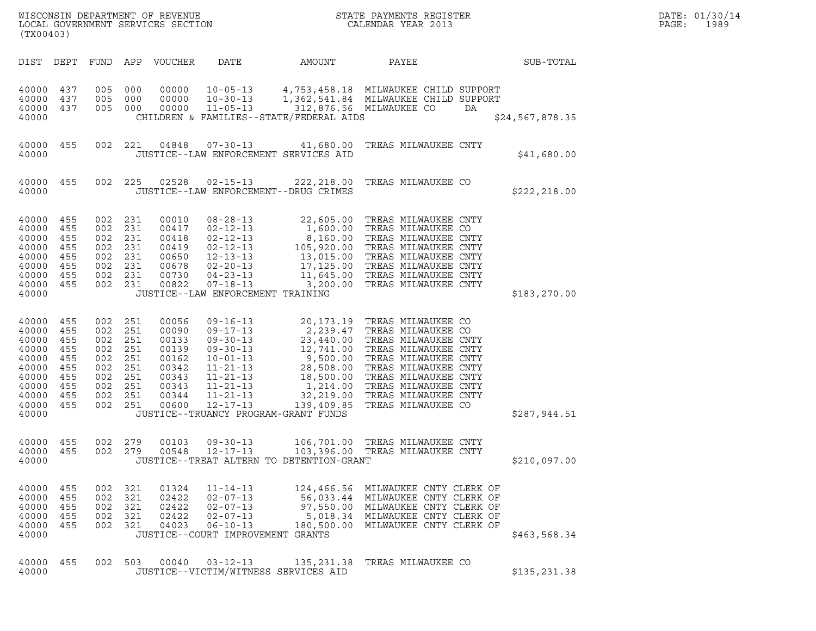| (TX00403)                                                                                       |                                                                    |                                                                    |                                                                    | WISCONSIN DEPARTMENT OF REVENUE<br>LOCAL GOVERNMENT SERVICES SECTION                   |                                                                                                                                                                                   |                                                                                                                                                          | STATE PAYMENTS REGISTER<br>CALENDAR YEAR 2013                                                                                                                                                                                                   |                 | DATE: 01/30/14<br>PAGE:<br>1989 |
|-------------------------------------------------------------------------------------------------|--------------------------------------------------------------------|--------------------------------------------------------------------|--------------------------------------------------------------------|----------------------------------------------------------------------------------------|-----------------------------------------------------------------------------------------------------------------------------------------------------------------------------------|----------------------------------------------------------------------------------------------------------------------------------------------------------|-------------------------------------------------------------------------------------------------------------------------------------------------------------------------------------------------------------------------------------------------|-----------------|---------------------------------|
| DIST DEPT                                                                                       |                                                                    | FUND                                                               |                                                                    | APP VOUCHER                                                                            | DATE                                                                                                                                                                              | AMOUNT                                                                                                                                                   | PAYEE                                                                                                                                                                                                                                           | SUB-TOTAL       |                                 |
| 40000 437<br>40000<br>40000<br>40000                                                            | 437<br>437                                                         | 005<br>005<br>005 000                                              | 000<br>000                                                         | 00000<br>00000<br>00000                                                                | $10 - 05 - 13$<br>$10 - 30 - 13$<br>$11 - 05 - 13$                                                                                                                                | CHILDREN & FAMILIES--STATE/FEDERAL AIDS                                                                                                                  | 4,753,458.18 MILWAUKEE CHILD SUPPORT<br>1,362,541.84 MILWAUKEE CHILD SUPPORT<br>312,876.56 MILWAUKEE CO<br>DA                                                                                                                                   | \$24,567,878.35 |                                 |
| 40000 455<br>40000                                                                              |                                                                    | 002 221                                                            |                                                                    | 04848                                                                                  | $07 - 30 - 13$                                                                                                                                                                    | 41,680.00<br>JUSTICE--LAW ENFORCEMENT SERVICES AID                                                                                                       | TREAS MILWAUKEE CNTY                                                                                                                                                                                                                            | \$41,680.00     |                                 |
| 40000 455<br>40000                                                                              |                                                                    | 002 225                                                            |                                                                    | 02528                                                                                  | $02 - 15 - 13$                                                                                                                                                                    | 222,218.00<br>JUSTICE--LAW ENFORCEMENT--DRUG CRIMES                                                                                                      | TREAS MILWAUKEE CO                                                                                                                                                                                                                              | \$222,218.00    |                                 |
| 40000 455<br>40000<br>40000<br>40000<br>40000<br>40000<br>40000<br>40000<br>40000               | 455<br>455<br>455<br>455<br>455<br>455<br>455                      | 002<br>002<br>002<br>002<br>002<br>002<br>002<br>002 231           | 231<br>231<br>231<br>231<br>231<br>231<br>231                      | 00010<br>00417<br>00418<br>00419<br>00650<br>00678<br>00730<br>00822                   | $08 - 28 - 13$<br>$02 - 12 - 13$<br>$02 - 12 - 13$<br>$02 - 12 - 13$<br>$12 - 13 - 13$<br>$02 - 20 - 13$<br>$04 - 23 - 13$<br>$07 - 18 - 13$<br>JUSTICE--LAW ENFORCEMENT TRAINING | 1,600.00<br>105,920.00<br>11,645.00<br>3,200.00                                                                                                          | 22,605.00 TREAS MILWAUKEE CNTY<br>TREAS MILWAUKEE CO<br>8,160.00 TREAS MILWAUKEE CNTY<br>TREAS MILWAUKEE CNTY<br>13,015.00 TREAS MILWAUKEE CNTY<br>17,125.00 TREAS MILWAUKEE CNTY<br>TREAS MILWAUKEE CNTY<br>TREAS MILWAUKEE CNTY               | \$183, 270.00   |                                 |
| 40000<br>40000<br>40000<br>40000<br>40000<br>40000<br>40000<br>40000<br>40000<br>40000<br>40000 | 455<br>455<br>455<br>455<br>455<br>455<br>455<br>455<br>455<br>455 | 002<br>002<br>002<br>002<br>002<br>002<br>002<br>002<br>002<br>002 | 251<br>251<br>251<br>251<br>251<br>251<br>251<br>251<br>251<br>251 | 00056<br>00090<br>00133<br>00139<br>00162<br>00342<br>00343<br>00343<br>00344<br>00600 | $09 - 16 - 13$<br>$09 - 17 - 13$<br>$09 - 30 - 13$<br>$09 - 30 - 13$<br>$10 - 01 - 13$<br>$11 - 21 - 13$<br>$11 - 21 - 13$<br>$11 - 21 - 13$<br>$11 - 21 - 13$<br>$12 - 17 - 13$  | 20,173.19<br>23,440.00<br>12,741.00<br>9,500.00<br>28,508.00<br>18,500.00<br>1,214.00<br>32,219.00<br>139,409.85<br>JUSTICE--TRUANCY PROGRAM-GRANT FUNDS | TREAS MILWAUKEE CO<br>2,239.47 TREAS MILWAUKEE CO<br>TREAS MILWAUKEE CNTY<br>TREAS MILWAUKEE CNTY<br>TREAS MILWAUKEE CNTY<br>TREAS MILWAUKEE CNTY<br>TREAS MILWAUKEE CNTY<br>TREAS MILWAUKEE CNTY<br>TREAS MILWAUKEE CNTY<br>TREAS MILWAUKEE CO | \$287,944.51    |                                 |
| 40000 455<br>40000 455<br>40000                                                                 |                                                                    | 002 279<br>002 279                                                 |                                                                    | 00103                                                                                  | $09 - 30 - 13$                                                                                                                                                                    | 106,701.00<br>JUSTICE--TREAT ALTERN TO DETENTION-GRANT                                                                                                   | TREAS MILWAUKEE CNTY                                                                                                                                                                                                                            | \$210,097.00    |                                 |
| 40000<br>40000 455<br>40000<br>40000<br>40000<br>40000                                          | - 455<br>455<br>455<br>455                                         | 002 321<br>002 321<br>002<br>002 321<br>002 321                    | 321                                                                | 01324<br>02422<br>02422<br>02422<br>04023                                              | $11 - 14 - 13$<br>$02 - 07 - 13$<br>$02 - 07 - 13$<br>$02 - 07 - 13$<br>$06 - 10 - 13$<br>JUSTICE--COURT IMPROVEMENT GRANTS                                                       |                                                                                                                                                          | 124,466.56 MILWAUKEE CNTY CLERK OF<br>56,033.44 MILWAUKEE CNTY CLERK OF<br>97,550.00 MILWAUKEE CNTY CLERK OF<br>5,018.34 MILWAUKEE CNTY CLERK OF<br>180,500.00 MILWAUKEE CNTY CLERK OF                                                          | \$463,568.34    |                                 |
| 40000 455<br>40000                                                                              |                                                                    | 002 503                                                            |                                                                    | 00040                                                                                  | $03 - 12 - 13$                                                                                                                                                                    | JUSTICE--VICTIM/WITNESS SERVICES AID                                                                                                                     | 135,231.38 TREAS MILWAUKEE CO                                                                                                                                                                                                                   | \$135,231.38    |                                 |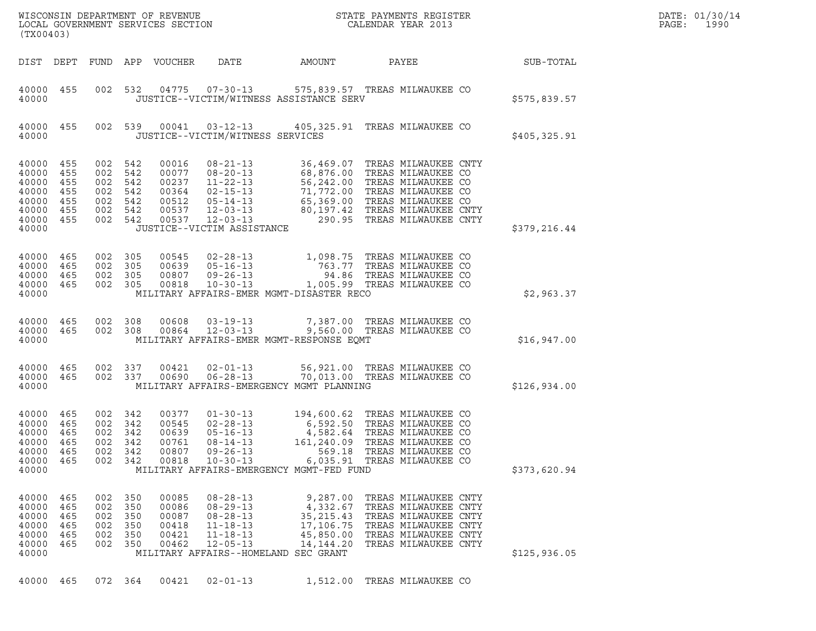| (TX00403)                                                            |                                               |                                 |                                                                           | WISCONSIN DEPARTMENT OF REVENUE<br>LOCAL GOVERNMENT SERVICES SECTION |                                                                                                                                                          |                                                                                                                                     | STATE PAYMENTS REGISTER<br>CALENDAR YEAR 2013                                                                                                                                            |              | DATE: 01/30/14<br>1990<br>PAGE: |
|----------------------------------------------------------------------|-----------------------------------------------|---------------------------------|---------------------------------------------------------------------------|----------------------------------------------------------------------|----------------------------------------------------------------------------------------------------------------------------------------------------------|-------------------------------------------------------------------------------------------------------------------------------------|------------------------------------------------------------------------------------------------------------------------------------------------------------------------------------------|--------------|---------------------------------|
| DIST DEPT                                                            |                                               |                                 |                                                                           | FUND APP VOUCHER                                                     | DATE                                                                                                                                                     | AMOUNT                                                                                                                              | PAYEE                                                                                                                                                                                    | SUB-TOTAL    |                                 |
| 40000 455<br>40000                                                   |                                               | 002                             | 532                                                                       |                                                                      | 04775 07-30-13                                                                                                                                           | JUSTICE--VICTIM/WITNESS ASSISTANCE SERV                                                                                             | 575,839.57 TREAS MILWAUKEE CO                                                                                                                                                            | \$575,839.57 |                                 |
| 40000 455<br>40000                                                   |                                               |                                 | 002 539                                                                   | 00041                                                                | $03 - 12 - 13$<br>JUSTICE--VICTIM/WITNESS SERVICES                                                                                                       |                                                                                                                                     | 405,325.91 TREAS MILWAUKEE CO                                                                                                                                                            | \$405,325.91 |                                 |
| 40000<br>40000<br>40000<br>40000<br>40000<br>40000<br>40000<br>40000 | 455<br>455<br>455<br>455<br>455<br>455<br>455 |                                 | 002 542<br>002 542<br>002 542<br>002 542<br>002 542<br>002 542<br>002 542 | 00016<br>00077<br>00237<br>00364<br>00512<br>00537<br>00537          | $08 - 21 - 13$<br>$08 - 20 - 13$<br>$11 - 22 - 13$<br>$02 - 15 - 13$<br>$05 - 14 - 13$<br>$12 - 03 - 13$<br>$12 - 03 - 13$<br>JUSTICE--VICTIM ASSISTANCE | 68,876.00 TREAS MILWAUKEE CO<br>71,772.00 IKEAS HILMAUKEE CO<br>65,369.00 TREAS MILWAUKEE CO<br>700 TREAS MILWAUKEE CN<br>80,197.42 | 36,469.07 TREAS MILWAUKEE CNTY<br>56,242.00 TREAS MILWAUKEE CO<br>TREAS MILWAUKEE CNTY<br>290.95 TREAS MILWAUKEE CNTY                                                                    | \$379,216.44 |                                 |
| 40000<br>40000<br>40000<br>40000<br>40000                            | 465<br>465<br>465<br>465                      |                                 | 002 305<br>002 305<br>002 305<br>002 305                                  | 00545<br>00639<br>00807<br>00818                                     | $02 - 28 - 13$<br>$05 - 16 - 13$<br>09-26-13                                                                                                             | 10-30-13 1,005.99 TREAS MILWAUKEE CO<br>MILITARY AFFAIRS-EMER MGMT-DISASTER RECO                                                    | 1,098.75 TREAS MILWAUKEE CO<br>763.77 TREAS MILWAUKEE CO<br>94.86 TREAS MILWAUKEE CO                                                                                                     | \$2,963.37   |                                 |
| 40000<br>40000<br>40000                                              | 465<br>465                                    | 002                             | 308<br>002 308                                                            | 00608<br>00864                                                       | 03-19-13<br>12-03-13                                                                                                                                     | MILITARY AFFAIRS-EMER MGMT-RESPONSE EQMT                                                                                            | 7,387.00 TREAS MILWAUKEE CO<br>9,560.00 TREAS MILWAUKEE CO                                                                                                                               | \$16,947.00  |                                 |
| 40000 465<br>40000<br>40000                                          | 465                                           |                                 | 002 337<br>002 337                                                        | 00421<br>00690                                                       | $02 - 01 - 13$<br>$06 - 28 - 13$                                                                                                                         | MILITARY AFFAIRS-EMERGENCY MGMT PLANNING                                                                                            | 56,921.00 TREAS MILWAUKEE CO<br>70,013.00 TREAS MILWAUKEE CO                                                                                                                             | \$126,934.00 |                                 |
| 40000<br>40000<br>40000<br>40000<br>40000<br>40000<br>40000          | 465<br>465<br>465<br>465<br>465<br>465        | 002<br>002<br>002               | 002 342<br>002 342<br>342<br>002 342<br>342<br>342                        | 00377<br>00545<br>00639<br>00761<br>00807<br>00818                   | $01 - 30 - 13$<br>$02 - 28 - 13$<br>$05 - 16 - 13$<br>$08 - 14 - 13$<br>$09 - 26 - 13$<br>$10 - 30 - 13$                                                 | MILITARY AFFAIRS-EMERGENCY MGMT-FED FUND                                                                                            | 194,600.62 TREAS MILWAUKEE CO<br>6,592.50 TREAS MILWAUKEE CO<br>4,582.64 TREAS MILWAUKEE CO<br>161,240.09 TREAS MILWAUKEE CO<br>569.18 TREAS MILWAUKEE CO<br>6,035.91 TREAS MILWAUKEE CO | \$373,620.94 |                                 |
| 40000<br>40000<br>40000<br>40000<br>40000<br>40000<br>40000          | 465<br>465<br>465<br>465<br>465<br>465        | 002<br>002<br>002<br>002<br>002 | 002 350<br>350<br>350<br>350<br>350<br>350                                | 00085<br>00086<br>00087<br>00418<br>00421<br>00462                   | $08 - 28 - 13$<br>$08 - 29 - 13$<br>$08 - 28 - 13$<br>$11 - 18 - 13$<br>$11 - 18 - 13$<br>$12 - 05 - 13$                                                 | 9,287.00<br>4,332.67<br>35, 215.43<br>17,106.75<br>45,850.00<br>14, 144. 20<br>MILITARY AFFAIRS--HOMELAND SEC GRANT                 | TREAS MILWAUKEE CNTY<br>TREAS MILWAUKEE CNTY<br>TREAS MILWAUKEE CNTY<br>TREAS MILWAUKEE CNTY<br>TREAS MILWAUKEE CNTY<br>TREAS MILWAUKEE CNTY                                             | \$125,936.05 |                                 |
| 40000                                                                | 465                                           |                                 | 072 364                                                                   | 00421                                                                | $02 - 01 - 13$                                                                                                                                           | 1,512.00                                                                                                                            | TREAS MILWAUKEE CO                                                                                                                                                                       |              |                                 |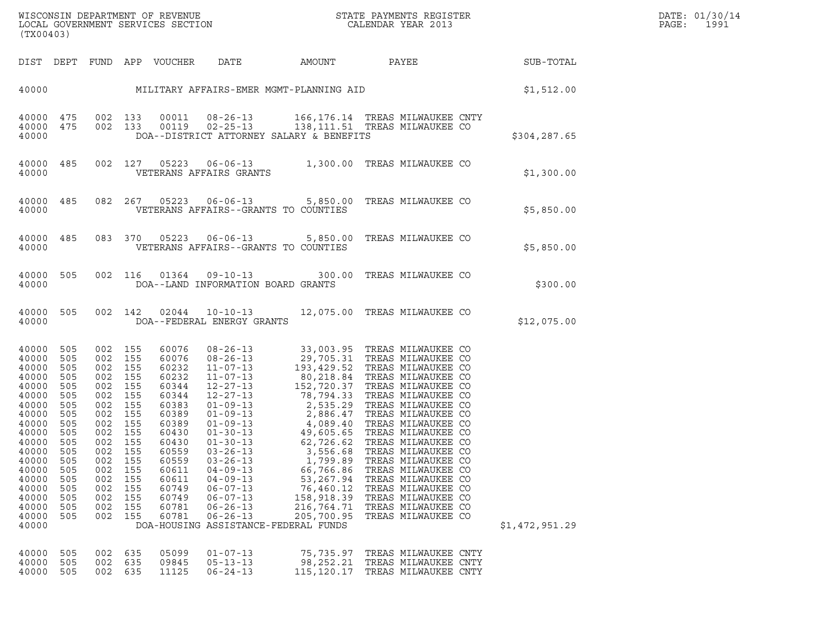| DATE: | 01/30/14 |
|-------|----------|
| PAGE: | 1991     |

| (TX00403)                                                                                                                                                                        |                                                                                                                                   |                                                                                                                                   |                                                                                                                                   | LOCAL GOVERNMENT SERVICES SECTION                                                                                                                                       |                                                                                                                                                                                                                                                                                |                                                                                                                                                         | ${\tt WISCONSIM} \begin{tabular}{l} DEPARTMENT OF REVIEW \\ LOCAL GOVERNMENT SERVICES SECTION \\ \end{tabular} \begin{tabular}{l} \multicolumn{2}{c}{\textbf{S}} \\ \multicolumn{2}{c}{\textbf{S}} \\ \multicolumn{2}{c}{\textbf{S}} \\ \multicolumn{2}{c}{\textbf{A}} \\ \multicolumn{2}{c}{\textbf{A}} \\ \multicolumn{2}{c}{\textbf{A}} \\ \multicolumn{2}{c}{\textbf{A}} \\ \multicolumn{2}{c}{\textbf{A}} \\ \multicolumn{2}{c}{\textbf{A}} \\ \multicolumn{2}{c}{\textbf{A}} \\ \multicolumn{2}{c}{\textbf{A$                                     |                | DATE: 01/30/14<br>PAGE:<br>1991 |
|----------------------------------------------------------------------------------------------------------------------------------------------------------------------------------|-----------------------------------------------------------------------------------------------------------------------------------|-----------------------------------------------------------------------------------------------------------------------------------|-----------------------------------------------------------------------------------------------------------------------------------|-------------------------------------------------------------------------------------------------------------------------------------------------------------------------|--------------------------------------------------------------------------------------------------------------------------------------------------------------------------------------------------------------------------------------------------------------------------------|---------------------------------------------------------------------------------------------------------------------------------------------------------|---------------------------------------------------------------------------------------------------------------------------------------------------------------------------------------------------------------------------------------------------------------------------------------------------------------------------------------------------------------------------------------------------------------------------------------------------------------------------------------------------------------------------------------------------------|----------------|---------------------------------|
| DIST DEPT                                                                                                                                                                        |                                                                                                                                   |                                                                                                                                   |                                                                                                                                   | FUND APP VOUCHER                                                                                                                                                        | DATE                                                                                                                                                                                                                                                                           | <b>AMOUNT</b>                                                                                                                                           | PAYEE                                                                                                                                                                                                                                                                                                                                                                                                                                                                                                                                                   | SUB-TOTAL      |                                 |
| 40000                                                                                                                                                                            |                                                                                                                                   |                                                                                                                                   |                                                                                                                                   |                                                                                                                                                                         | MILITARY AFFAIRS-EMER MGMT-PLANNING AID                                                                                                                                                                                                                                        |                                                                                                                                                         |                                                                                                                                                                                                                                                                                                                                                                                                                                                                                                                                                         | \$1,512.00     |                                 |
| 40000<br>40000 475<br>40000                                                                                                                                                      | 475                                                                                                                               |                                                                                                                                   | 002 133<br>002 133                                                                                                                | 00011                                                                                                                                                                   | $08 - 26 - 13$<br>DOA--DISTRICT ATTORNEY SALARY & BENEFITS                                                                                                                                                                                                                     |                                                                                                                                                         | 166,176.14 TREAS MILWAUKEE CNTY<br>00119  02-25-13  138, 111.51  TREAS MILWAUKEE CO                                                                                                                                                                                                                                                                                                                                                                                                                                                                     | \$304,287.65   |                                 |
| 40000<br>40000                                                                                                                                                                   | 485                                                                                                                               |                                                                                                                                   | 002 127                                                                                                                           |                                                                                                                                                                         | VETERANS AFFAIRS GRANTS                                                                                                                                                                                                                                                        |                                                                                                                                                         | 05223  06-06-13  1,300.00  TREAS MILWAUKEE CO                                                                                                                                                                                                                                                                                                                                                                                                                                                                                                           | \$1,300.00     |                                 |
| 40000<br>40000                                                                                                                                                                   | 485                                                                                                                               | 082                                                                                                                               | 267                                                                                                                               | 05223                                                                                                                                                                   | VETERANS AFFAIRS--GRANTS TO COUNTIES                                                                                                                                                                                                                                           |                                                                                                                                                         | 06-06-13 5,850.00 TREAS MILWAUKEE CO                                                                                                                                                                                                                                                                                                                                                                                                                                                                                                                    | \$5,850.00     |                                 |
| 40000<br>40000                                                                                                                                                                   | 485                                                                                                                               |                                                                                                                                   | 083 370                                                                                                                           | 05223                                                                                                                                                                   | $06 - 06 - 13$ 5,850.00<br>VETERANS AFFAIRS--GRANTS TO COUNTIES                                                                                                                                                                                                                |                                                                                                                                                         | TREAS MILWAUKEE CO                                                                                                                                                                                                                                                                                                                                                                                                                                                                                                                                      | \$5,850.00     |                                 |
| 40000<br>40000                                                                                                                                                                   | 505                                                                                                                               | 002                                                                                                                               | 116                                                                                                                               | 01364                                                                                                                                                                   | $09 - 10 - 13$<br>DOA--LAND INFORMATION BOARD GRANTS                                                                                                                                                                                                                           | 300.00                                                                                                                                                  | TREAS MILWAUKEE CO                                                                                                                                                                                                                                                                                                                                                                                                                                                                                                                                      | \$300.00       |                                 |
| 40000<br>40000                                                                                                                                                                   | 505                                                                                                                               |                                                                                                                                   | 002 142                                                                                                                           |                                                                                                                                                                         | DOA--FEDERAL ENERGY GRANTS                                                                                                                                                                                                                                                     |                                                                                                                                                         | 02044  10-10-13  12,075.00 TREAS MILWAUKEE CO                                                                                                                                                                                                                                                                                                                                                                                                                                                                                                           | \$12,075.00    |                                 |
| 40000<br>40000<br>40000<br>40000<br>40000<br>40000<br>40000<br>40000<br>40000<br>40000<br>40000<br>40000<br>40000<br>40000<br>40000<br>40000<br>40000<br>40000<br>40000<br>40000 | 505<br>505<br>505<br>505<br>505<br>505<br>505<br>505<br>505<br>505<br>505<br>505<br>505<br>505<br>505<br>505<br>505<br>505<br>505 | 002<br>002<br>002<br>002<br>002<br>002<br>002<br>002<br>002<br>002<br>002<br>002<br>002<br>002<br>002<br>002<br>002<br>002<br>002 | 155<br>155<br>155<br>155<br>155<br>155<br>155<br>155<br>155<br>155<br>155<br>155<br>155<br>155<br>155<br>155<br>155<br>155<br>155 | 60076<br>60076<br>60232<br>60232<br>60344<br>60344<br>60383<br>60389<br>60389<br>60430<br>60430<br>60559<br>60559<br>60611<br>60611<br>60749<br>60749<br>60781<br>60781 | $01 - 09 - 13$<br>$01 - 09 - 13$<br>$01 - 09 - 13$<br>$01 - 30 - 13$<br>$01 - 30 - 13$<br>$03 - 26 - 13$<br>$03 - 26 - 13$<br>$04 - 09 - 13$<br>$04 - 09 - 13$<br>$06 - 07 - 13$<br>$06 - 07 - 13$<br>$06 - 26 - 13$<br>$06 - 26 - 13$<br>DOA-HOUSING ASSISTANCE-FEDERAL FUNDS | 2,535.29<br>2,886.47<br>49,605.65<br>62,726.62<br>3,556.68<br>1,799.89<br>66,766.86<br>53,267.94<br>76,460.12<br>158,918.39<br>216,764.71<br>205,700.95 | 08-26-13 33,003.95 TREAS MILWAUKEE CO<br>08-26-13<br>11-07-13<br>11-07-13<br>12,705.31 TREAS MILWAUKEE CO<br>11-07-13<br>152,720.37 TREAS MILWAUKEE CO<br>12-27-13<br>152,720.37 TREAS MILWAUKEE CO<br>12-27-13<br>152,720.37 TREAS MILWAUKEE CO<br>TREAS MILWAUKEE CO<br>TREAS MILWAUKEE CO<br>4,089.40 TREAS MILWAUKEE CO<br>TREAS MILWAUKEE CO<br>TREAS MILWAUKEE CO<br>TREAS MILWAUKEE CO<br>TREAS MILWAUKEE CO<br>TREAS MILWAUKEE CO<br>TREAS MILWAUKEE CO<br>TREAS MILWAUKEE CO<br>TREAS MILWAUKEE CO<br>TREAS MILWAUKEE CO<br>TREAS MILWAUKEE CO | \$1,472,951.29 |                                 |
| 40000<br>40000<br>40000                                                                                                                                                          | 505<br>505<br>505                                                                                                                 | 002<br>002<br>002                                                                                                                 | 635<br>635<br>635                                                                                                                 | 05099<br>09845<br>11125                                                                                                                                                 | $01 - 07 - 13$<br>$05 - 13 - 13$<br>$06 - 24 - 13$                                                                                                                                                                                                                             | 75,735.97<br>98,252.21<br>115,120.17                                                                                                                    | TREAS MILWAUKEE CNTY<br>TREAS MILWAUKEE CNTY<br>TREAS MILWAUKEE CNTY                                                                                                                                                                                                                                                                                                                                                                                                                                                                                    |                |                                 |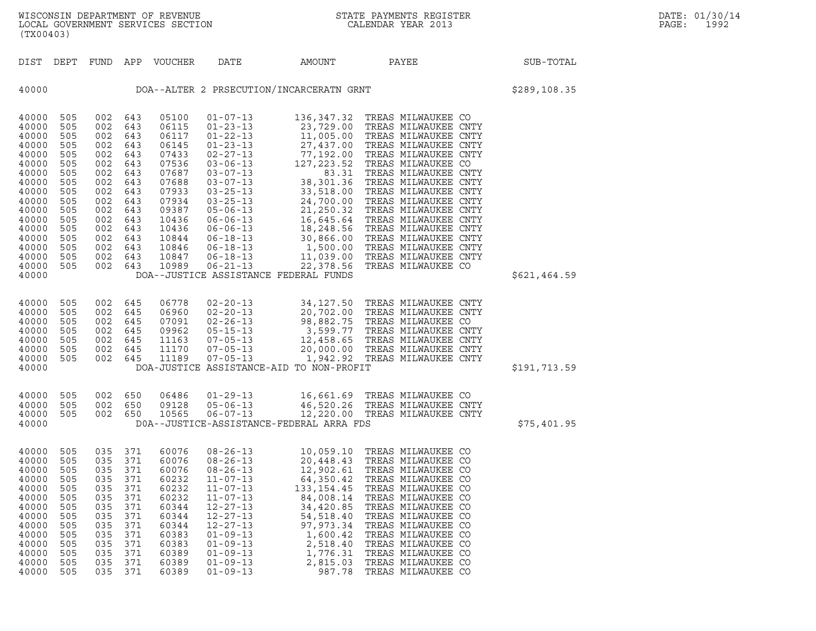| (TX00403)                                                                                                                                                      |                                                                                                                     |                                                                                                                     |                                                                                                                     |                                                                                                                                                       |                                                                                                                                                                                                                                                                                                                |                                                                                                                                                       |                                                                                                                                                                                                                                                                                                                                                                                                                                                                                                                                                 |              |
|----------------------------------------------------------------------------------------------------------------------------------------------------------------|---------------------------------------------------------------------------------------------------------------------|---------------------------------------------------------------------------------------------------------------------|---------------------------------------------------------------------------------------------------------------------|-------------------------------------------------------------------------------------------------------------------------------------------------------|----------------------------------------------------------------------------------------------------------------------------------------------------------------------------------------------------------------------------------------------------------------------------------------------------------------|-------------------------------------------------------------------------------------------------------------------------------------------------------|-------------------------------------------------------------------------------------------------------------------------------------------------------------------------------------------------------------------------------------------------------------------------------------------------------------------------------------------------------------------------------------------------------------------------------------------------------------------------------------------------------------------------------------------------|--------------|
| DIST                                                                                                                                                           | DEPT                                                                                                                | FUND                                                                                                                | APP                                                                                                                 | <b>VOUCHER</b>                                                                                                                                        | DATE                                                                                                                                                                                                                                                                                                           | AMOUNT                                                                                                                                                | PAYEE                                                                                                                                                                                                                                                                                                                                                                                                                                                                                                                                           | SUB-TOTAL    |
| 40000                                                                                                                                                          |                                                                                                                     | \$289,108.35                                                                                                        |                                                                                                                     |                                                                                                                                                       |                                                                                                                                                                                                                                                                                                                |                                                                                                                                                       |                                                                                                                                                                                                                                                                                                                                                                                                                                                                                                                                                 |              |
| 40000<br>40000<br>40000<br>40000<br>40000<br>40000<br>40000<br>40000<br>40000<br>40000<br>40000<br>40000<br>40000<br>40000<br>40000<br>40000<br>40000<br>40000 | 505<br>505<br>505<br>505<br>505<br>505<br>505<br>505<br>505<br>505<br>505<br>505<br>505<br>505<br>505<br>505<br>505 | 002<br>002<br>002<br>002<br>002<br>002<br>002<br>002<br>002<br>002<br>002<br>002<br>002<br>002<br>002<br>002<br>002 | 643<br>643<br>643<br>643<br>643<br>643<br>643<br>643<br>643<br>643<br>643<br>643<br>643<br>643<br>643<br>643<br>643 | 05100<br>06115<br>06117<br>06145<br>07433<br>07536<br>07687<br>07688<br>07933<br>07934<br>09387<br>10436<br>10436<br>10844<br>10846<br>10847<br>10989 | $01 - 07 - 13$<br>$01 - 23 - 13$<br>$01 - 22 - 13$<br>$01 - 23 - 13$<br>$02 - 27 - 13$<br>$03 - 06 - 13$<br>$03 - 07 - 13$<br>$03 - 07 - 13$<br>$03 - 25 - 13$<br>$03 - 25 - 13$<br>$05 - 06 - 13$<br>$06 - 06 - 13$<br>$06 - 06 - 13$<br>$06 - 18 - 13$<br>$06 - 18 - 13$<br>$06 - 18 - 13$<br>$06 - 21 - 13$ | 136,347.32<br>127, 223.52<br>83.31<br>38,301.36<br>33,518.00<br>24,700.00<br>21,250.32<br>22,378.56<br>DOA--JUSTICE ASSISTANCE FEDERAL FUNDS          | TREAS MILWAUKEE CO<br>23,729.00 TREAS MILWAUKEE CNTY<br>11,005.00 TREAS MILWAUKEE CNTY<br>27,437.00 TREAS MILWAUKEE CNTY<br>77,192.00 TREAS MILWAUKEE CNTY<br>TREAS MILWAUKEE CO<br>TREAS MILWAUKEE CNTY<br>TREAS MILWAUKEE CNTY<br>TREAS MILWAUKEE CNTY<br>TREAS MILWAUKEE CNTY<br>TREAS MILWAUKEE CNTY<br>21, 230.32 IREAS MILWAUREE CNIY<br>16, 645.64 TREAS MILWAUKEE CNTY<br>18, 248.56 TREAS MILWAUKEE CNTY<br>30, 866.00 TREAS MILWAUKEE CNTY<br>1, 500.00 TREAS MILWAUKEE CNTY<br>11, 039.00 TREAS MILWAUKEE CNTY<br>TREAS MILWAUKEE CO | \$621,464.59 |
| 40000<br>40000<br>40000<br>40000<br>40000<br>40000<br>40000<br>40000                                                                                           | 505<br>505<br>505<br>505<br>505<br>505<br>505                                                                       | 002<br>002<br>002<br>002<br>002<br>002<br>002                                                                       | 645<br>645<br>645<br>645<br>645<br>645<br>645                                                                       | 06778<br>06960<br>07091<br>09962<br>11163<br>11170<br>11189                                                                                           | $02 - 20 - 13$<br>$02 - 20 - 13$<br>$02 - 26 - 13$<br>$05 - 15 - 13$<br>$07 - 05 - 13$<br>$07 - 05 - 13$<br>$07 - 05 - 13$                                                                                                                                                                                     | 34,127.50<br>DOA-JUSTICE ASSISTANCE-AID TO NON-PROFIT                                                                                                 | TREAS MILWAUKEE CNTY<br>34, 127.30 IREAS MILMAUKEE CNIT<br>20, 702.00 TREAS MILMAUKEE CNTY<br>98, 882.75 TREAS MILMAUKEE CO<br>3, 599.77 TREAS MILMAUKEE CNTY<br>12, 458.65 TREAS MILMAUKEE CNTY<br>20, 000.00 TREAS MILMAUKEE CNTY<br>1,942.92 TREAS MILWAUKEE CNTY                                                                                                                                                                                                                                                                            | \$191,713.59 |
| 40000<br>40000<br>40000<br>40000                                                                                                                               | 505<br>505<br>505                                                                                                   | 002<br>002<br>002                                                                                                   | 650<br>650<br>650                                                                                                   | 06486<br>09128<br>10565                                                                                                                               | $01 - 29 - 13$<br>$05 - 06 - 13$<br>$06 - 07 - 13$                                                                                                                                                                                                                                                             | 16,661.69<br>DOA--JUSTICE-ASSISTANCE-FEDERAL ARRA FDS                                                                                                 | TREAS MILWAUKEE CO<br>46,520.26 TREAS MILWAUKEE CNTY<br>12,220.00 TREAS MILWAUKEE CNTY                                                                                                                                                                                                                                                                                                                                                                                                                                                          | \$75,401.95  |
| 40000<br>40000<br>40000<br>40000<br>40000<br>40000<br>40000<br>40000<br>40000<br>40000<br>40000<br>40000<br>40000<br>40000                                     | 505<br>505<br>505<br>505<br>505<br>505<br>505<br>505<br>505<br>505<br>505<br>505<br>505<br>505                      | 035<br>035<br>035<br>035<br>035<br>035<br>035<br>035<br>035<br>035<br>035<br>035<br>035<br>035                      | 371<br>371<br>371<br>371<br>371<br>371<br>371<br>371<br>371<br>371<br>371<br>371<br>371<br>371                      | 60076<br>60076<br>60076<br>60232<br>60232<br>60232<br>60344<br>60344<br>60344<br>60383<br>60383<br>60389<br>60389<br>60389                            | $08 - 26 - 13$<br>$08 - 26 - 13$<br>$08 - 26 - 13$<br>$11 - 07 - 13$<br>$11 - 07 - 13$<br>$11 - 07 - 13$<br>$12 - 27 - 13$<br>$12 - 27 - 13$<br>$12 - 27 - 13$<br>$01 - 09 - 13$<br>$01 - 09 - 13$<br>$01 - 09 - 13$<br>$01 - 09 - 13$<br>$01 - 09 - 13$                                                       | 10,059.10<br>64,350.42<br>133, 154.45<br>84,008.14<br>34,420.85<br>54, 518.40<br>97, 973.34<br>1,600.42<br>2,518.40<br>1,776.31<br>2,815.03<br>987.78 | TREAS MILWAUKEE CO<br>20,448.43 TREAS MILWAUKEE CO<br>12,902.61 TREAS MILWAUKEE CO<br>TREAS MILWAUKEE CO<br>TREAS MILWAUKEE CO<br>TREAS MILWAUKEE CO<br>TREAS MILWAUKEE CO<br>TREAS MILWAUKEE CO<br>TREAS MILWAUKEE CO<br>TREAS MILWAUKEE CO<br>TREAS MILWAUKEE CO<br>TREAS MILWAUKEE CO<br>TREAS MILWAUKEE CO<br>TREAS MILWAUKEE CO                                                                                                                                                                                                            |              |

(TX00403)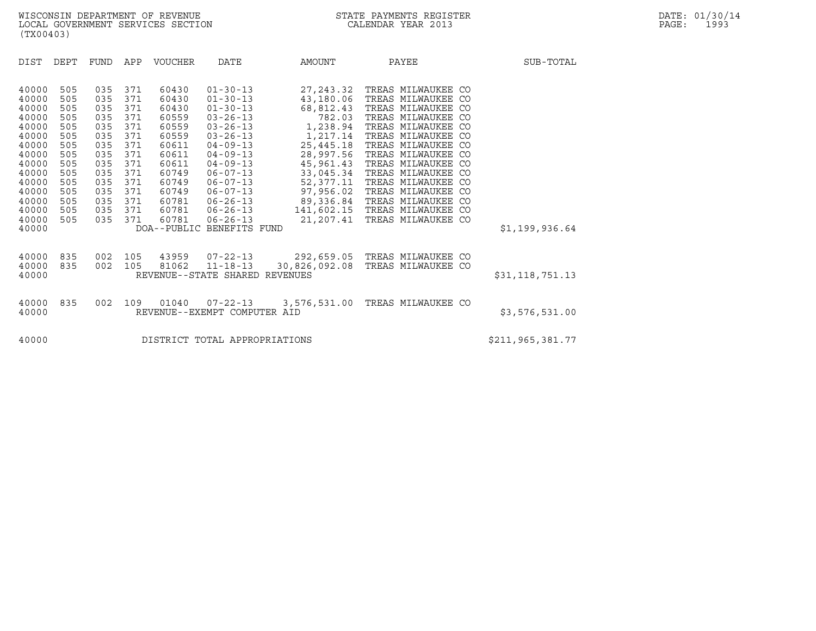DIST DEPT FUND APP VOUCHER DATE AMOUNT PAYEE SUB-TOTAL DIST DEPT FUND APP VOUCHER DATE AMOUNT PAYEE<br>40000 505 035 371 60430 01-30-13 27,243.32 TREAS MILWAUKEE CO<br>40000 505 035 371 60430 01-30-13 43,180.06 TREAS MILWAUKEE CO 40000 505 035 371 60430 01-30-13 27,243.32 TREAS\_MILWAUKEE\_CO<br>40000 505 035 371 60430 01-30-13 43,180.06 TREAS\_MILWAUKEE\_CO<br>40000 505 035 371 60430 01-30-13 68,812.43 TREAS\_MILWAUKEE\_CO 40000 505 035 371 60430 01-30-13 27,243.32 TREAS MILWAUKEE CO<br>40000 505 035 371 60430 01-30-13 43,180.06 TREAS MILWAUKEE CO<br>40000 505 035 371 60430 01-30-13 68,812.43 TREAS MILWAUKEE CO<br>40000 505 035 371 60559 03-26-13 782 40000 505 035 371 60430 01-30-13 27,243.32 TREAS MILWAUKEE CO<br>40000 505 035 371 60430 01-30-13 43,180.06 TREAS MILWAUKEE CO<br>40000 505 035 371 60430 01-30-13 68,812.43 TREAS MILWAUKEE CO<br>40000 505 035 371 60559 03-26-13 1.2 40000 505 035 371 60430 01-30-13 43,180.06 TREAS MILWAUKEE CO<br>40000 505 035 371 60430 01-30-13 68,812.43 TREAS MILWAUKEE CO<br>40000 505 035 371 60559 03-26-13 7,238.94 TREAS MILWAUKEE CO<br>40000 505 035 371 60559 03-26-13 1,21 40000 505 035 371 60430 01-30-13 68,812.43 TREAS MILWAUKEE CO<br>40000 505 035 371 60559 03-26-13 1,238.94 TREAS MILWAUKEE CO<br>40000 505 035 371 60559 03-26-13 1,217.14 TREAS MILWAUKEE CO<br>40000 505 035 371 60659 03-26-13 1,217 40000 505 035 371 60611 04-09-13 25,445.18 TREAS MILWAUKEE CO 40000 505 035 371 60559 03-26-13 1,238.94 TREAS MILWAUKEE CO<br>40000 505 035 371 60559 03-26-13 1,217.14 TREAS MILWAUKEE CO<br>40000 505 035 371 60611 04-09-13 25,445.18 TREAS MILWAUKEE CO<br>40000 505 035 371 60611 04-09-13 45,96 40000 505 035 371 60559 03-26-13 1,217.14 TREAS MILWAUKEE CO<br>40000 505 035 371 60611 04-09-13 25,445.18 TREAS MILWAUKEE CO<br>40000 505 035 371 60611 04-09-13 28,997.56 TREAS MILWAUKEE CO<br>40000 505 035 371 60611 04-09-13 45,9 40000 505 035 371 60611 04-09-13 25,445.18 TREAS MILWAUKEE CO<br>40000 505 035 371 60611 04-09-13 28,997.56 TREAS MILWAUKEE CO<br>40000 505 035 371 60611 04-09-13 45,961.43 TREAS MILWAUKEE CO<br>40000 505 035 371 60749 06-07-13 52, 40000 505 035 371 60611 04-09-13 28,997.56 TREAS MILWAUKEE CO<br>40000 505 035 371 60611 04-09-13 45,961.43 TREAS MILWAUKEE CO<br>40000 505 035 371 60749 06-07-13 33,045.34 TREAS MILWAUKEE CO<br>40000 505 035 371 60749 06-07-13 52, 40000 505 035 371 60611 04-09-13 45,961.43 TREAS MILWAUKEE CO<br>40000 505 035 371 60749 06-07-13 33,045.34 TREAS MILWAUKEE CO<br>40000 505 035 371 60749 06-07-13 52,377.11 TREAS MILWAUKEE CO<br>40000 505 035 371 60749 06-07-13 97, 40000 505 035 371 60749 06-07-13 33,045.34 TREAS MILWAUKEE CO<br>40000 505 035 371 60749 06-07-13 52,377.11 TREAS MILWAUKEE CO<br>40000 505 035 371 60749 06-07-13 97,956.02 TREAS MILWAUKEE CO<br>40000 505 035 371 60781 06-26-13 89, 40000 505 035 371 60749 06-07-13 52,377.11 TREAS MILWAUKEE CO<br>40000 505 035 371 60749 06-07-13 97,956.02 TREAS MILWAUKEE CO<br>40000 505 035 371 60781 06-26-13 89,336.84 TREAS MILWAUKEE CO<br>40000 505 035 371 60781 06-26-13 141 40000 505 035 371 60749 06-07-13 97,956.02 TREAS MILWAUKEE CO<br>40000 505 035 371 60781 06-26-13 89,336.84 TREAS MILWAUKEE CO<br>40000 505 035 371 60781 06-26-13 141,602.15 TREAS MILWAUKEE CO<br>40000 505 035 371 60781 06-26-13 21 40000 505 035 371 60781 06-26-13 89,336.84 TREAS-MILWAUKEE-CO<br>40000 505 035 371 60781 06-26-13 141,602.15 TREAS-MILWAUKEE-CO<br>40000 505 035 371 60781 06-26-13 21,207.41 TREAS-MILWAUKEE-CO \$1,199,936.64 40000 835 002 105 43959 07-22-13 292,659.05 TREAS MILWAUKEE CO 40000 835 002 105 81062 11-18-13 30,826,092.08 TREAS MILWAUKEE CO <sup>40000</sup> REVENUE--STATE SHARED REVENUES \$31,118,751.13 40000 835 002 109 01040 07-22-13 3,576,531.00 TREAS MILWAUKEE CO <sup>40000</sup> REVENUE--EXEMPT COMPUTER AID \$3,576,531.00 40000 REVENUE--EXEMPT COMPUTER AID<br>40000 15TRICT TOTAL APPROPRIATIONS \$211,965,381.77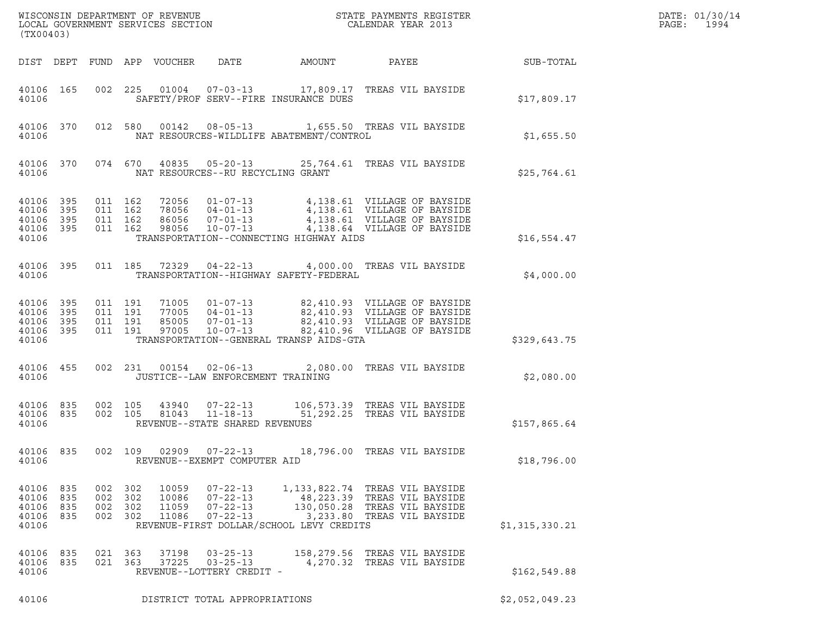| (TX00403)                                         |                   |                               |                       |                                  |                                                                      |                                          |                                                                                                                                                                                |                | DATE: 01/30/14<br>$\mathtt{PAGE}$ :<br>1994 |
|---------------------------------------------------|-------------------|-------------------------------|-----------------------|----------------------------------|----------------------------------------------------------------------|------------------------------------------|--------------------------------------------------------------------------------------------------------------------------------------------------------------------------------|----------------|---------------------------------------------|
|                                                   |                   |                               |                       | DIST DEPT FUND APP VOUCHER       | DATE                                                                 | AMOUNT                                   | PAYEE                                                                                                                                                                          | SUB-TOTAL      |                                             |
| 40106 165<br>40106                                |                   |                               | 002 225               |                                  |                                                                      | SAFETY/PROF SERV--FIRE INSURANCE DUES    | 01004  07-03-13  17,809.17  TREAS VIL BAYSIDE                                                                                                                                  | \$17,809.17    |                                             |
| 40106 370<br>40106                                |                   |                               |                       | 012 580 00142                    |                                                                      | NAT RESOURCES-WILDLIFE ABATEMENT/CONTROL | 08-05-13 1,655.50 TREAS VIL BAYSIDE                                                                                                                                            | \$1,655.50     |                                             |
| 40106                                             | 40106 370         |                               | 074 670               |                                  | NAT RESOURCES--RU RECYCLING GRANT                                    |                                          | 40835  05-20-13  25,764.61  TREAS VIL BAYSIDE                                                                                                                                  | \$25,764.61    |                                             |
| 40106<br>40106<br>40106 395<br>40106 395<br>40106 | 395<br>395        | 011 162<br>011 162            | 011 162<br>011 162    | 98056                            | 10-07-13                                                             | TRANSPORTATION--CONNECTING HIGHWAY AIDS  | 72056  01-07-13  4,138.61  VILLAGE OF BAYSIDE<br>78056  04-01-13  4,138.61  VILLAGE OF BAYSIDE<br>86056  07-01-13  4,138.61  VILLAGE OF BAYSIDE<br>4,138.64 VILLAGE OF BAYSIDE | \$16,554.47    |                                             |
| 40106 395<br>40106                                |                   |                               | 011 185               | 72329                            | $04 - 22 - 13$                                                       | TRANSPORTATION--HIGHWAY SAFETY-FEDERAL   | 4,000.00 TREAS VIL BAYSIDE                                                                                                                                                     | \$4,000.00     |                                             |
| 40106<br>40106 395<br>40106<br>40106 395<br>40106 | 395<br>395        | 011 191<br>011 191<br>011 191 | 011 191               | 85005<br>97005                   | $07 - 01 - 13$<br>$10 - 07 - 13$                                     | TRANSPORTATION--GENERAL TRANSP AIDS-GTA  | 71005  01-07-13  82,410.93  VILLAGE OF BAYSIDE<br>77005  04-01-13  82,410.93  VILLAGE OF BAYSIDE<br>82,410.93 VILLAGE OF BAYSIDE<br>82,410.96 VILLAGE OF BAYSIDE               | \$329,643.75   |                                             |
| 40106 455<br>40106                                |                   |                               | 002 231               | 00154                            | $02 - 06 - 13$<br>JUSTICE--LAW ENFORCEMENT TRAINING                  |                                          | 2,080.00 TREAS VIL BAYSIDE                                                                                                                                                     | \$2,080.00     |                                             |
| 40106 835<br>40106 835<br>40106                   |                   | 002 105                       | 002 105               | 43940<br>81043                   | $07 - 22 - 13$<br>$11 - 18 - 13$<br>REVENUE--STATE SHARED REVENUES   |                                          | 106,573.39 TREAS VIL BAYSIDE<br>51,292.25 TREAS VIL BAYSIDE                                                                                                                    | \$157,865.64   |                                             |
| 40106<br>40106                                    | 835               | 002 109                       |                       |                                  | 02909  07-22-13<br>REVENUE--EXEMPT COMPUTER AID                      |                                          | 18,796.00 TREAS VIL BAYSIDE                                                                                                                                                    | \$18,796.00    |                                             |
| 40106<br>40106<br>40106<br>40106 835<br>40106     | 835<br>835<br>835 | 002<br>002 302<br>002         | 302<br>302<br>002 302 | 10059<br>10086<br>11059<br>11086 | $07 - 22 - 13$<br>$07 - 22 - 13$<br>$07 - 22 - 13$<br>$07 - 22 - 13$ | REVENUE-FIRST DOLLAR/SCHOOL LEVY CREDITS | 1, 133, 822.74 TREAS VIL BAYSIDE<br>48,223.39 TREAS VIL BAYSIDE<br>130,050.28 TREAS VIL BAYSIDE<br>3,233.80 TREAS VIL BAYSIDE                                                  | \$1,315,330.21 |                                             |
| 40106<br>40106<br>40106                           | 835<br>835        | 021 363                       | 021 363               | 37198<br>37225                   | $03 - 25 - 13$<br>$03 - 25 - 13$<br>REVENUE--LOTTERY CREDIT -        |                                          | 158,279.56 TREAS VIL BAYSIDE<br>4,270.32 TREAS VIL BAYSIDE                                                                                                                     | \$162, 549.88  |                                             |
| 40106                                             |                   |                               |                       |                                  | DISTRICT TOTAL APPROPRIATIONS                                        |                                          |                                                                                                                                                                                | \$2,052,049.23 |                                             |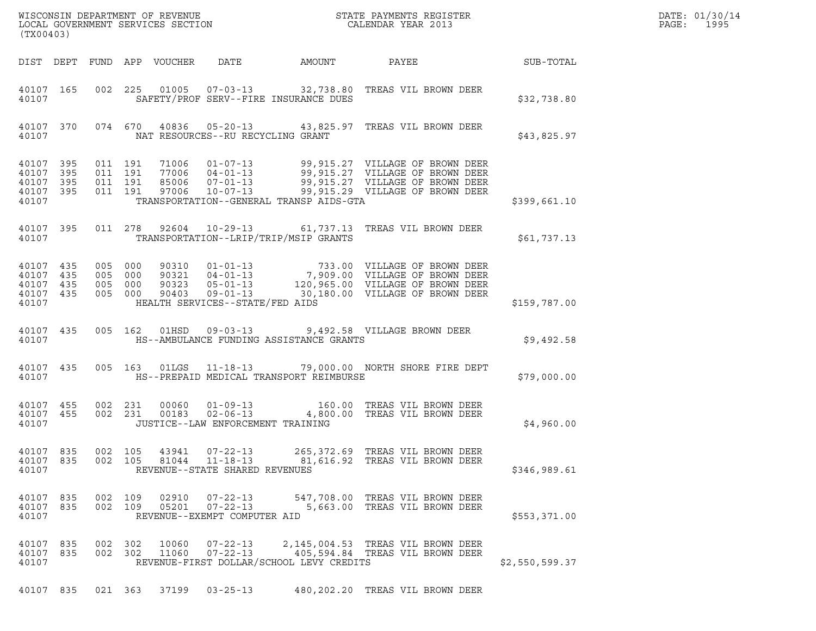| DATE: | 01/30/14 |
|-------|----------|
| PAGE: | 1995     |

| (TX00403)                                                 |           |            |                                          |                            |                                                                    |                                          |                                                                                                                                                                                                               |                | DATE: 01/30/14<br>PAGE:<br>1995 |
|-----------------------------------------------------------|-----------|------------|------------------------------------------|----------------------------|--------------------------------------------------------------------|------------------------------------------|---------------------------------------------------------------------------------------------------------------------------------------------------------------------------------------------------------------|----------------|---------------------------------|
|                                                           |           |            |                                          | DIST DEPT FUND APP VOUCHER | DATE                                                               | AMOUNT                                   | PAYEE SUB-TOTAL                                                                                                                                                                                               |                |                                 |
| 40107                                                     | 40107 165 |            |                                          |                            |                                                                    | SAFETY/PROF SERV--FIRE INSURANCE DUES    | 002 225 01005 07-03-13 32,738.80 TREAS VIL BROWN DEER                                                                                                                                                         | \$32,738.80    |                                 |
| 40107                                                     | 40107 370 |            |                                          |                            | NAT RESOURCES--RU RECYCLING GRANT                                  |                                          | 074 670 40836 05-20-13 43,825.97 TREAS VIL BROWN DEER                                                                                                                                                         | \$43,825.97    |                                 |
| 40107 395<br>40107<br>40107 395<br>40107 395<br>40107     | 395       |            | 011 191<br>011 191<br>011 191<br>011 191 |                            |                                                                    | TRANSPORTATION--GENERAL TRANSP AIDS-GTA  | 71006  01-07-13  99,915.27  VILLAGE OF BROWN DEER<br>77006 04-01-13 99,915.27 VILLAGE OF BROWN DEER<br>85006 07-01-13 99,915.27 VILLAGE OF BROWN DEER<br>97006 10-07-13 99,915.29 VILLAGE OF BROWN DEER       | \$399,661.10   |                                 |
| 40107                                                     | 40107 395 |            |                                          |                            |                                                                    | TRANSPORTATION--LRIP/TRIP/MSIP GRANTS    | 011  278  92604  10-29-13  61,737.13  TREAS VIL BROWN DEER                                                                                                                                                    | \$61,737.13    |                                 |
| 40107 435<br>40107 435<br>40107 435<br>40107 435<br>40107 |           |            | 005 000<br>005 000<br>005 000<br>005 000 |                            | HEALTH SERVICES--STATE/FED AIDS                                    |                                          | 90310  01-01-13  733.00  VILLAGE OF BROWN DEER<br>90321  04-01-13  7,909.00  VILLAGE OF BROWN DEER<br>90323  05-01-13  120,965.00  VILLAGE OF BROWN DEER<br>90403  09-01-13  30,180.00  VILLAGE OF BROWN DEER | \$159,787.00   |                                 |
| 40107                                                     | 40107 435 |            | 005 162                                  |                            |                                                                    | HS--AMBULANCE FUNDING ASSISTANCE GRANTS  | 01HSD  09-03-13  9,492.58  VILLAGE BROWN DEER                                                                                                                                                                 | \$9,492.58     |                                 |
| 40107                                                     | 40107 435 |            | 005 163                                  |                            |                                                                    | HS--PREPAID MEDICAL TRANSPORT REIMBURSE  | 01LGS  11-18-13  79,000.00  NORTH SHORE FIRE DEPT                                                                                                                                                             | \$79,000.00    |                                 |
| 40107 455<br>40107                                        | 40107 455 |            | 002 231<br>002 231                       |                            | JUSTICE--LAW ENFORCEMENT TRAINING                                  |                                          | 00060  01-09-13  160.00 TREAS VIL BROWN DEER<br>00183  02-06-13  4,800.00 TREAS VIL BROWN DEER                                                                                                                | \$4,960.00     |                                 |
| 40107 835<br>40107 835<br>40107                           |           | 002<br>002 | 105<br>105                               | 43941<br>81044             | $07 - 22 - 13$<br>$11 - 18 - 13$<br>REVENUE--STATE SHARED REVENUES |                                          | 265,372.69 TREAS VIL BROWN DEER<br>81,616.92 TREAS VIL BROWN DEER                                                                                                                                             | \$346,989.61   |                                 |
| 40107 835<br>40107 835<br>40107                           |           | 002        | 109<br>002 109                           | 02910<br>05201             | $07 - 22 - 13$<br>$07 - 22 - 13$<br>REVENUE--EXEMPT COMPUTER AID   |                                          | 547,708.00 TREAS VIL BROWN DEER<br>5,663.00 TREAS VIL BROWN DEER                                                                                                                                              | \$553,371.00   |                                 |
| 40107 835<br>40107 835<br>40107                           |           |            | 002 302<br>002 302                       | 10060<br>11060             | $07 - 22 - 13$<br>$07 - 22 - 13$                                   | REVENUE-FIRST DOLLAR/SCHOOL LEVY CREDITS | 2,145,004.53 TREAS VIL BROWN DEER<br>405,594.84 TREAS VIL BROWN DEER                                                                                                                                          | \$2,550,599.37 |                                 |

40107 835 021 363 37199 03-25-13 480,202.20 TREAS VIL BROWN DEER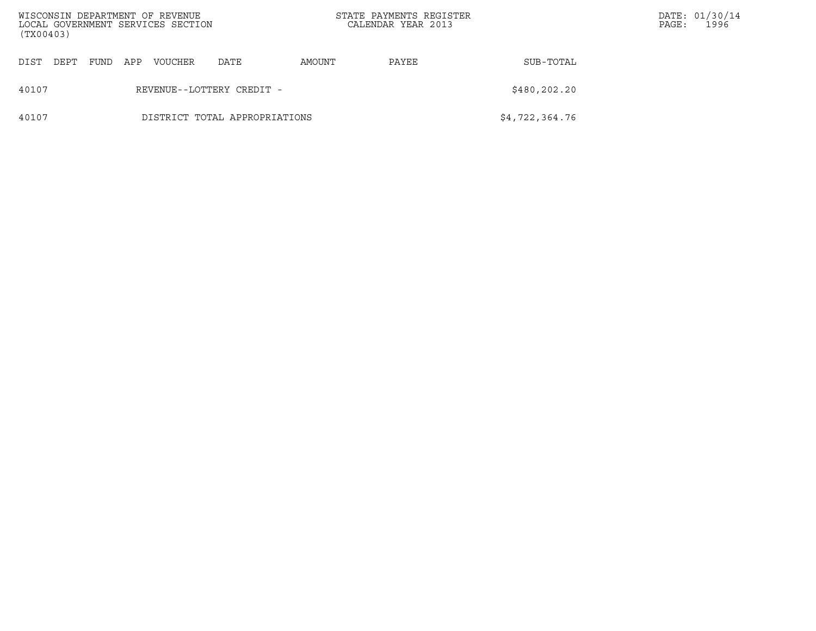| (TX00403) |      |      |     | WISCONSIN DEPARTMENT OF REVENUE<br>LOCAL GOVERNMENT SERVICES SECTION |                               |        | STATE PAYMENTS REGISTER<br>CALENDAR YEAR 2013 |                | PAGE: | DATE: 01/30/14<br>1996 |
|-----------|------|------|-----|----------------------------------------------------------------------|-------------------------------|--------|-----------------------------------------------|----------------|-------|------------------------|
| DIST      | DEPT | FUND | APP | VOUCHER                                                              | DATE                          | AMOUNT | PAYEE                                         | SUB-TOTAL      |       |                        |
| 40107     |      |      |     |                                                                      | REVENUE--LOTTERY CREDIT -     |        |                                               | \$480,202.20   |       |                        |
| 40107     |      |      |     |                                                                      | DISTRICT TOTAL APPROPRIATIONS |        |                                               | \$4,722,364.76 |       |                        |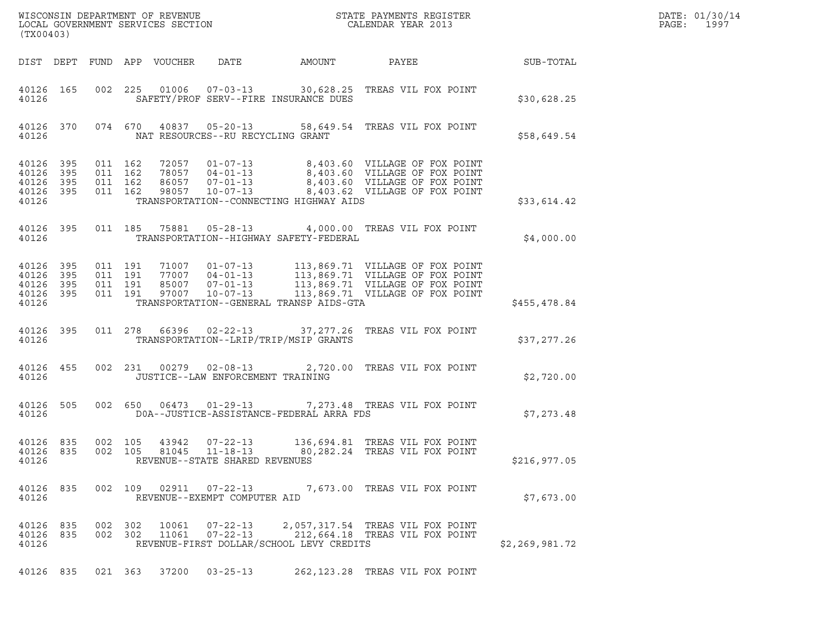| DATE: | 01/30/14 |
|-------|----------|
| PAGE: | 1997     |

| (TX00403)                                                                                                                                                                                                                                                                                                                                                               |                |
|-------------------------------------------------------------------------------------------------------------------------------------------------------------------------------------------------------------------------------------------------------------------------------------------------------------------------------------------------------------------------|----------------|
| DIST DEPT FUND APP VOUCHER DATE<br>AMOUNT<br>PAYEE SUB-TOTAL                                                                                                                                                                                                                                                                                                            |                |
| 002 225 01006 07-03-13 30,628.25 TREAS VIL FOX POINT<br>40126 165<br>40126<br>SAFETY/PROF SERV--FIRE INSURANCE DUES                                                                                                                                                                                                                                                     | \$30,628.25    |
| 40126 370 074 670 40837 05-20-13 58,649.54 TREAS VIL FOX POINT<br>NAT RESOURCES--RU RECYCLING GRANT<br>40126                                                                                                                                                                                                                                                            | \$58,649.54    |
| 72057  01-07-13  8,403.60  VILLAGE OF FOX POINT<br>78057  04-01-13  8,403.60  VILLAGE OF FOX POINT<br>86057  07-01-13  8,403.60  VILLAGE OF FOX POINT<br>98057  10-07-13  8,403.62  VILLAGE OF FOX POINT<br>40126 395<br>011 162<br>40126<br>011 162<br>395<br>40126<br>395<br>011 162<br>40126 395<br>011 162<br>40126<br>TRANSPORTATION--CONNECTING HIGHWAY AIDS      | \$33,614.42    |
| 011 185 75881 05-28-13 4,000.00 TREAS VIL FOX POINT<br>40126 395<br>40126<br>TRANSPORTATION--HIGHWAY SAFETY-FEDERAL                                                                                                                                                                                                                                                     | \$4,000.00     |
| 71007  01-07-13  113,869.71  VILLAGE OF FOX POINT<br>77007  04-01-13  113,869.71  VILLAGE OF FOX POINT<br>85007  07-01-13  113,869.71  VILLAGE OF FOX POINT<br>97007  10-07-13  113,869.71  VILLAGE OF FOX POINT<br>40126 395<br>011 191<br>40126 395<br>011 191<br>40126<br>395<br>011 191<br>011 191<br>40126 395<br>TRANSPORTATION--GENERAL TRANSP AIDS-GTA<br>40126 | \$455,478.84   |
| 40126 395<br>011  278  66396  02-22-13  37,277.26  TREAS VIL FOX POINT<br>TRANSPORTATION--LRIP/TRIP/MSIP GRANTS<br>40126                                                                                                                                                                                                                                                | \$37,277.26    |
| 002 231 00279 02-08-13 2,720.00 TREAS VIL FOX POINT<br>40126 455<br>40126<br>JUSTICE--LAW ENFORCEMENT TRAINING                                                                                                                                                                                                                                                          | \$2,720.00     |
| 40126 505<br>002 650 06473 01-29-13 7,273.48 TREAS VIL FOX POINT<br>DOA--JUSTICE-ASSISTANCE-FEDERAL ARRA FDS<br>40126                                                                                                                                                                                                                                                   | \$7,273.48     |
| 40126 835<br>002 105 43942 07-22-13<br>136,694.81 TREAS VIL FOX POINT<br>40126 835<br>002 105 81045 11-18-13 80,282.24 TREAS VIL FOX POINT<br>40126<br>REVENUE--STATE SHARED REVENUES                                                                                                                                                                                   | \$216,977.05   |
| 40126 835<br>002 109 02911 07-22-13<br>7,673.00 TREAS VIL FOX POINT<br>40126<br>REVENUE--EXEMPT COMPUTER AID                                                                                                                                                                                                                                                            | \$7,673.00     |
| 40126 835<br>002 302<br>10061<br>07-22-13<br>2,057,317.54 TREAS VIL FOX POINT<br>002 302<br>40126 835<br>11061<br>$07 - 22 - 13$<br>212,664.18 TREAS VIL FOX POINT<br>REVENUE-FIRST DOLLAR/SCHOOL LEVY CREDITS<br>40126                                                                                                                                                 | \$2,269,981.72 |
| 40126 835 021 363 37200 03-25-13<br>262,123.28 TREAS VIL FOX POINT                                                                                                                                                                                                                                                                                                      |                |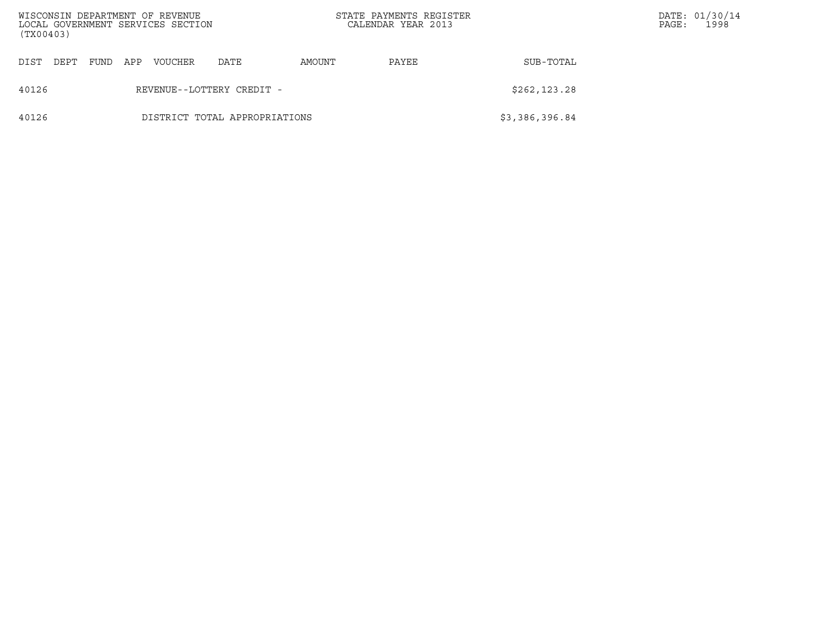| (TX00403) |      |      |     | WISCONSIN DEPARTMENT OF REVENUE<br>LOCAL GOVERNMENT SERVICES SECTION |                               |        | STATE PAYMENTS REGISTER<br>CALENDAR YEAR 2013 |                | PAGE: | DATE: 01/30/14<br>1998 |
|-----------|------|------|-----|----------------------------------------------------------------------|-------------------------------|--------|-----------------------------------------------|----------------|-------|------------------------|
| DIST      | DEPT | FUND | APP | VOUCHER                                                              | DATE                          | AMOUNT | PAYEE                                         | SUB-TOTAL      |       |                        |
| 40126     |      |      |     |                                                                      | REVENUE--LOTTERY CREDIT -     |        |                                               | \$262, 123.28  |       |                        |
| 40126     |      |      |     |                                                                      | DISTRICT TOTAL APPROPRIATIONS |        |                                               | \$3,386,396.84 |       |                        |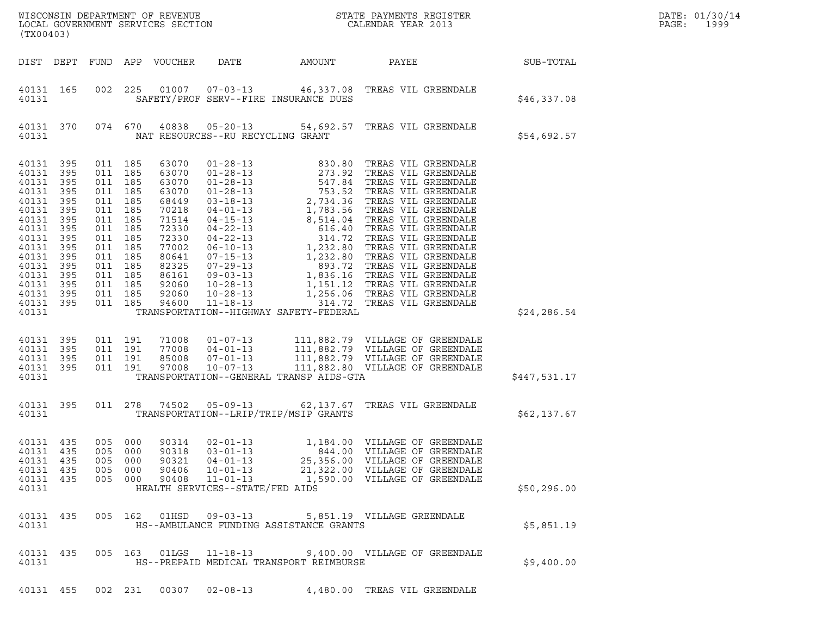| DATE: | 01/30/14 |
|-------|----------|
| PAGE: | 1999     |

| (TX00403)                                                                                                                                                         |                                                                                         |                                                                                                                                                                              |                       |                                                                                                                                              |                                                                                                                           |                                         | ${\tt WISCONSIM} \begin{tabular}{l} DEPARTMENT OF REVIEW \\ LOCAL BONERNMENT SERVICES SECTION \\ \end{tabular} \begin{tabular}{l} \multicolumn{2}{c}{\textbf{S}} \\ \multicolumn{2}{c}{\textbf{S}} \\ \multicolumn{2}{c}{\textbf{S}} \\ \multicolumn{2}{c}{\textbf{N}} \\ \multicolumn{2}{c}{\textbf{S}} \\ \multicolumn{2}{c}{\textbf{S}} \\ \multicolumn{2}{c}{\textbf{S}} \\ \multicolumn{2}{c}{\textbf{S}} \\ \multicolumn{2}{c}{\textbf{S}} \\ \multicolumn{2}{c}{\textbf{S}} \\ \multicolumn{2}{c}{\textbf{S$ |              | DATE: 01/30/14<br>PAGE:<br>1999 |
|-------------------------------------------------------------------------------------------------------------------------------------------------------------------|-----------------------------------------------------------------------------------------|------------------------------------------------------------------------------------------------------------------------------------------------------------------------------|-----------------------|----------------------------------------------------------------------------------------------------------------------------------------------|---------------------------------------------------------------------------------------------------------------------------|-----------------------------------------|---------------------------------------------------------------------------------------------------------------------------------------------------------------------------------------------------------------------------------------------------------------------------------------------------------------------------------------------------------------------------------------------------------------------------------------------------------------------------------------------------------------------|--------------|---------------------------------|
|                                                                                                                                                                   |                                                                                         |                                                                                                                                                                              |                       | DIST DEPT FUND APP VOUCHER                                                                                                                   | DATE                                                                                                                      | AMOUNT                                  | PAYEE                                                                                                                                                                                                                                                                                                                                                                                                                                                                                                               | SUB-TOTAL    |                                 |
| 40131 165<br>40131                                                                                                                                                |                                                                                         | 002 225                                                                                                                                                                      |                       |                                                                                                                                              |                                                                                                                           | SAFETY/PROF SERV--FIRE INSURANCE DUES   | 01007  07-03-13  46,337.08  TREAS VIL GREENDALE                                                                                                                                                                                                                                                                                                                                                                                                                                                                     | \$46,337.08  |                                 |
| 40131                                                                                                                                                             | 40131 370                                                                               |                                                                                                                                                                              |                       |                                                                                                                                              | NAT RESOURCES--RU RECYCLING GRANT                                                                                         |                                         | 074 670 40838 05-20-13 54,692.57 TREAS VIL GREENDALE                                                                                                                                                                                                                                                                                                                                                                                                                                                                | \$54,692.57  |                                 |
| 40131 395<br>40131<br>40131<br>40131<br>40131<br>40131<br>40131<br>40131<br>40131<br>40131<br>40131<br>40131<br>40131<br>40131<br>40131 395<br>40131 395<br>40131 | 395<br>395<br>395<br>395<br>395<br>395<br>395<br>395<br>395<br>395<br>395<br>395<br>395 | 011 185<br>011 185<br>011 185<br>011 185<br>011 185<br>011 185<br>011 185<br>011 185<br>011 185<br>011 185<br>011 185<br>011 185<br>011 185<br>011 185<br>011 185<br>011 185 |                       | 63070<br>63070<br>63070<br>63070<br>68449<br>70218<br>71514<br>72330<br>72330<br>77002<br>80641<br>82325<br>86161<br>92060<br>92060<br>94600 |                                                                                                                           | TRANSPORTATION--HIGHWAY SAFETY-FEDERAL  |                                                                                                                                                                                                                                                                                                                                                                                                                                                                                                                     | \$24, 286.54 |                                 |
| 40131<br>40131 395<br>40131 395<br>40131 395<br>40131                                                                                                             | 395                                                                                     | 011 191<br>011 191<br>011 191<br>011 191                                                                                                                                     |                       | 71008<br>77008<br>85008<br>97008                                                                                                             | $10 - 07 - 13$                                                                                                            | TRANSPORTATION--GENERAL TRANSP AIDS-GTA | 01-07-13 111,882.79 VILLAGE OF GREENDALE<br>04-01-13 111,882.79 VILLAGE OF GREENDALE<br>07-01-13 111,882.79 VILLAGE OF GREENDALE<br>10-07-13 111,882.80 VILLAGE OF GREENDALE                                                                                                                                                                                                                                                                                                                                        | \$447,531.17 |                                 |
| 40131                                                                                                                                                             | 40131 395                                                                               |                                                                                                                                                                              |                       | 011 278 74502                                                                                                                                |                                                                                                                           | TRANSPORTATION--LRIP/TRIP/MSIP GRANTS   | 05-09-13 62,137.67 TREAS VIL GREENDALE                                                                                                                                                                                                                                                                                                                                                                                                                                                                              | \$62,137.67  |                                 |
| 40131 435<br>40131 435<br>40131 435<br>40131 435<br>40131 435<br>40131                                                                                            |                                                                                         | 005 000<br>005<br>005 000<br>005                                                                                                                                             | 000<br>000<br>005 000 | 90314<br>90318<br>90321<br>90406<br>90408                                                                                                    | $02 - 01 - 13$<br>$03 - 01 - 13$<br>$04 - 01 - 13$<br>$10 - 01 - 13$<br>$11 - 01 - 13$<br>HEALTH SERVICES--STATE/FED AIDS |                                         | 1,184.00 VILLAGE OF GREENDALE<br>844.00 VILLAGE OF GREENDALE<br>25,356.00 VILLAGE OF GREENDALE<br>21,322.00 VILLAGE OF GREENDALE<br>1,590.00 VILLAGE OF GREENDALE                                                                                                                                                                                                                                                                                                                                                   | \$50,296.00  |                                 |
| 40131 435<br>40131                                                                                                                                                |                                                                                         |                                                                                                                                                                              |                       |                                                                                                                                              |                                                                                                                           | HS--AMBULANCE FUNDING ASSISTANCE GRANTS | 005  162  01HSD  09-03-13  5,851.19  VILLAGE GREENDALE                                                                                                                                                                                                                                                                                                                                                                                                                                                              | \$5,851.19   |                                 |
| 40131 435<br>40131                                                                                                                                                |                                                                                         |                                                                                                                                                                              |                       |                                                                                                                                              |                                                                                                                           | HS--PREPAID MEDICAL TRANSPORT REIMBURSE | 005  163  01LGS  11-18-13  9,400.00  VILLAGE OF GREENDALE                                                                                                                                                                                                                                                                                                                                                                                                                                                           | \$9,400.00   |                                 |

40131 455 002 231 00307 02-08-13 4,480.00 TREAS VIL GREENDALE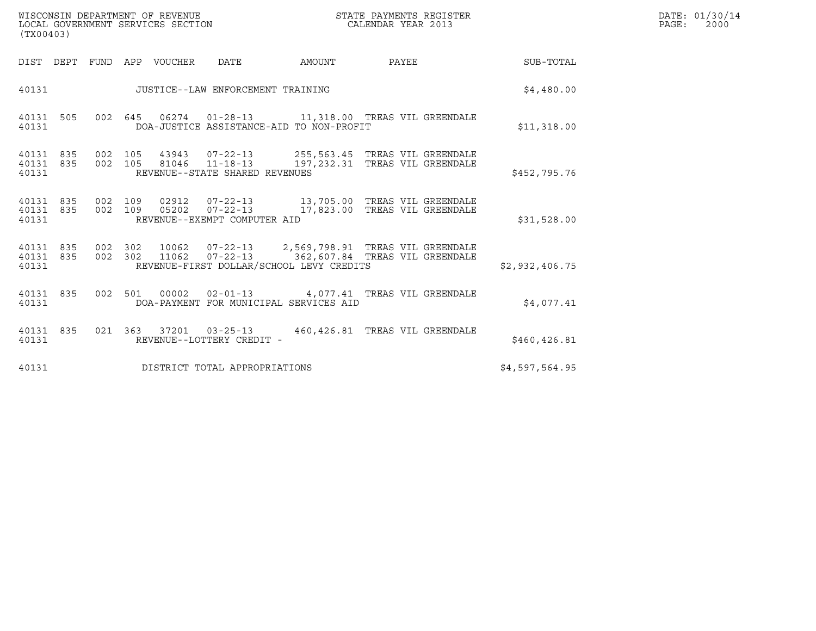| (TX00403)                       |  |                    | WISCONSIN DEPARTMENT OF REVENUE<br>LOCAL GOVERNMENT SERVICES SECTION |                                          |        | STATE PAYMENTS REGISTER<br>CALENDAR YEAR 2013                                                          |                | DATE: 01/30/14<br>PAGE:<br>2000 |
|---------------------------------|--|--------------------|----------------------------------------------------------------------|------------------------------------------|--------|--------------------------------------------------------------------------------------------------------|----------------|---------------------------------|
|                                 |  |                    | DIST DEPT FUND APP VOUCHER                                           | DATE                                     | AMOUNT | PAYEE                                                                                                  | SUB-TOTAL      |                                 |
| 40131                           |  |                    |                                                                      | JUSTICE--LAW ENFORCEMENT TRAINING        |        |                                                                                                        | \$4.480.00     |                                 |
| 40131 505<br>40131              |  |                    |                                                                      | DOA-JUSTICE ASSISTANCE-AID TO NON-PROFIT |        | 002 645 06274 01-28-13 11,318.00 TREAS VIL GREENDALE                                                   | \$11,318.00    |                                 |
| 40131 835<br>40131 835<br>40131 |  | 002 105<br>002 105 |                                                                      | REVENUE--STATE SHARED REVENUES           |        |                                                                                                        | \$452,795.76   |                                 |
| 40131 835<br>40131 835<br>40131 |  | 002 109<br>002 109 |                                                                      | REVENUE--EXEMPT COMPUTER AID             |        |                                                                                                        | \$31,528.00    |                                 |
| 40131 835<br>40131 835<br>40131 |  | 002 302<br>002 302 |                                                                      | REVENUE-FIRST DOLLAR/SCHOOL LEVY CREDITS |        | 10062  07-22-13  2,569,798.91  TREAS VIL GREENDALE<br>11062  07-22-13  362,607.84  TREAS VIL GREENDALE | \$2,932,406.75 |                                 |
| 40131 835<br>40131              |  |                    |                                                                      | DOA-PAYMENT FOR MUNICIPAL SERVICES AID   |        | 002 501 00002 02-01-13 4,077.41 TREAS VIL GREENDALE                                                    | \$4,077.41     |                                 |
| 40131 835<br>40131              |  |                    |                                                                      | REVENUE--LOTTERY CREDIT -                |        | 021  363  37201  03-25-13  460,426.81  TREAS VIL GREENDALE                                             | \$460,426.81   |                                 |
| 40131                           |  |                    |                                                                      | DISTRICT TOTAL APPROPRIATIONS            |        |                                                                                                        | \$4,597,564.95 |                                 |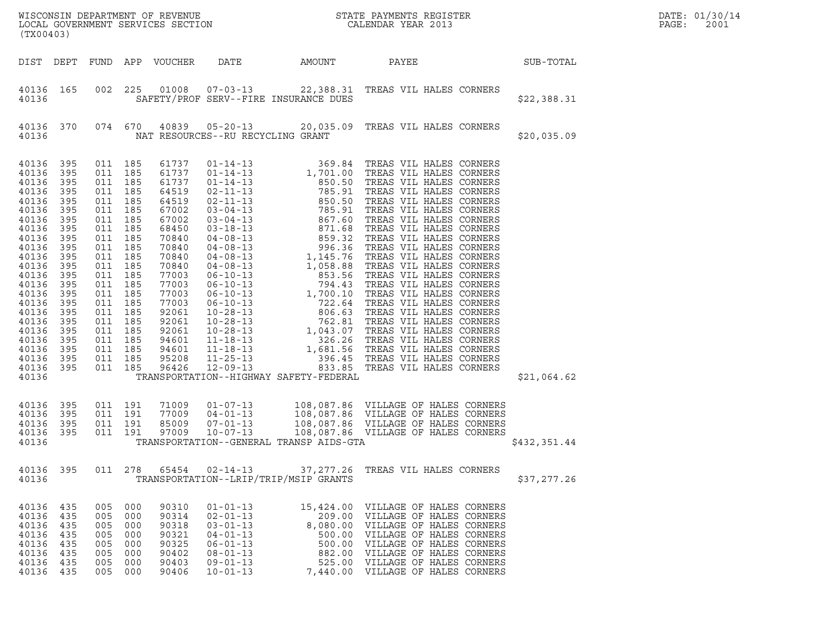| (TX00403)                                                                                                                                                                                                                |                                                                                                                                                        |                                                                                                                                                                                                                                                           |                                                   |                                                                                                                                                                                                             |                                                                                                                                              |                                         | WISCONSIN DEPARTMENT OF REVENUE<br>LOCAL GOVERNMENT SERVICES SECTION<br>CALENDAR YEAR 2013                                                                                                                                                                                                  |              | DATE: 01/30/14<br>PAGE:<br>2001 |
|--------------------------------------------------------------------------------------------------------------------------------------------------------------------------------------------------------------------------|--------------------------------------------------------------------------------------------------------------------------------------------------------|-----------------------------------------------------------------------------------------------------------------------------------------------------------------------------------------------------------------------------------------------------------|---------------------------------------------------|-------------------------------------------------------------------------------------------------------------------------------------------------------------------------------------------------------------|----------------------------------------------------------------------------------------------------------------------------------------------|-----------------------------------------|---------------------------------------------------------------------------------------------------------------------------------------------------------------------------------------------------------------------------------------------------------------------------------------------|--------------|---------------------------------|
| DIST DEPT                                                                                                                                                                                                                |                                                                                                                                                        |                                                                                                                                                                                                                                                           |                                                   | FUND APP VOUCHER                                                                                                                                                                                            | DATE                                                                                                                                         | AMOUNT                                  | PAYEE                                                                                                                                                                                                                                                                                       | SUB-TOTAL    |                                 |
| 40136 165<br>40136                                                                                                                                                                                                       |                                                                                                                                                        | 002                                                                                                                                                                                                                                                       | 225                                               |                                                                                                                                                                                                             |                                                                                                                                              | SAFETY/PROF SERV--FIRE INSURANCE DUES   | 01008  07-03-13  22,388.31  TREAS VIL HALES CORNERS                                                                                                                                                                                                                                         | \$22,388.31  |                                 |
| 40136 370<br>40136                                                                                                                                                                                                       |                                                                                                                                                        | 074 670                                                                                                                                                                                                                                                   |                                                   |                                                                                                                                                                                                             | NAT RESOURCES--RU RECYCLING GRANT                                                                                                            |                                         | 40839  05-20-13  20,035.09  TREAS VIL HALES CORNERS                                                                                                                                                                                                                                         | \$20,035.09  |                                 |
| 40136<br>40136<br>40136<br>40136<br>40136<br>40136<br>40136<br>40136<br>40136<br>40136<br>40136<br>40136<br>40136<br>40136<br>40136<br>40136<br>40136<br>40136<br>40136<br>40136<br>40136<br>40136<br>40136 395<br>40136 | 395<br>395<br>395<br>395<br>395<br>395<br>395<br>395<br>395<br>395<br>395<br>395<br>395<br>395<br>395<br>395<br>395<br>395<br>395<br>395<br>395<br>395 | 011 185<br>011 185<br>011 185<br>011 185<br>011 185<br>011 185<br>011 185<br>011 185<br>011 185<br>011 185<br>011 185<br>011 185<br>011 185<br>011 185<br>011 185<br>011 185<br>011 185<br>011 185<br>011 185<br>011 185<br>011 185<br>011 185<br>011 185 |                                                   | 61737<br>61737<br>61737<br>64519<br>64519<br>67002<br>67002<br>68450<br>70840<br>70840<br>70840<br>70840<br>77003<br>77003<br>77003<br>77003<br>92061<br>92061<br>92061<br>94601<br>94601<br>95208<br>96426 | 12-09-13                                                                                                                                     | TRANSPORTATION--HIGHWAY SAFETY-FEDERAL  |                                                                                                                                                                                                                                                                                             | \$21,064.62  |                                 |
| 40136<br>40136<br>40136<br>40136<br>40136                                                                                                                                                                                | 395<br>395<br>395<br>395                                                                                                                               | 011 191<br>011 191<br>011 191<br>011 191                                                                                                                                                                                                                  |                                                   | 71009<br>77009<br>85009<br>97009                                                                                                                                                                            | $01 - 07 - 13$<br>$04 - 01 - 13$<br>$07 - 01 - 13$<br>$10 - 07 - 13$                                                                         | TRANSPORTATION--GENERAL TRANSP AIDS-GTA | 108,087.86 VILLAGE OF HALES CORNERS<br>108,087.86 VILLAGE OF HALES CORNERS<br>108,087.86 VILLAGE OF HALES CORNERS<br>108,087.86 VILLAGE OF HALES CORNERS                                                                                                                                    | \$432,351.44 |                                 |
| 40136                                                                                                                                                                                                                    | 40136 395                                                                                                                                              |                                                                                                                                                                                                                                                           |                                                   |                                                                                                                                                                                                             |                                                                                                                                              | TRANSPORTATION--LRIP/TRIP/MSIP GRANTS   | 011  278  65454  02-14-13  37,277.26  TREAS VIL HALES CORNERS                                                                                                                                                                                                                               | \$37,277.26  |                                 |
| 40136 435<br>40136 435<br>40136<br>40136<br>40136<br>40136 435<br>40136<br>40136 435                                                                                                                                     | 435<br>435<br>435<br>435                                                                                                                               | 005 000<br>005<br>005<br>005<br>005<br>005<br>005                                                                                                                                                                                                         | 000<br>000<br>000<br>000<br>000<br>000<br>005 000 | 90310<br>90314<br>90318<br>90321<br>90325<br>90402<br>90403<br>90406                                                                                                                                        | $01 - 01 - 13$<br>$02 - 01 - 13$<br>$03 - 01 - 13$<br>$04 - 01 - 13$<br>$06 - 01 - 13$<br>$08 - 01 - 13$<br>$09 - 01 - 13$<br>$10 - 01 - 13$ |                                         | 15,424.00 VILLAGE OF HALES CORNERS<br>209.00 VILLAGE OF HALES CORNERS<br>8,080.00 VILLAGE OF HALES CORNERS<br>500.00 VILLAGE OF HALES CORNERS<br>500.00 VILLAGE OF HALES CORNERS<br>882.00 VILLAGE OF HALES CORNERS<br>525.00 VILLAGE OF HALES CORNERS<br>7,440.00 VILLAGE OF HALES CORNERS |              |                                 |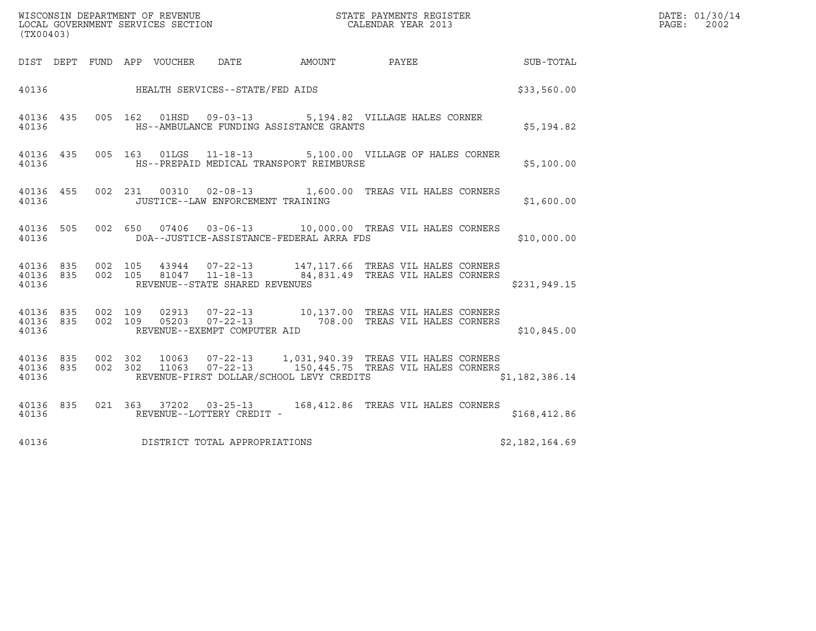| (TX00403)                       |         |                                 | WISCONSIN DEPARTMENT OF REVENUE<br>LOCAL GOVERNMENT SERVICES SECTION |                                          | STATE PAYMENTS REGISTER<br>CALENDAR YEAR 2013                                                                                             |                | DATE: 01/30/14<br>2002<br>PAGE: |
|---------------------------------|---------|---------------------------------|----------------------------------------------------------------------|------------------------------------------|-------------------------------------------------------------------------------------------------------------------------------------------|----------------|---------------------------------|
|                                 |         | DIST DEPT FUND APP VOUCHER DATE |                                                                      | <b>AMOUNT</b>                            | <b>PAYEE</b>                                                                                                                              | SUB-TOTAL      |                                 |
|                                 |         |                                 | 40136 HEALTH SERVICES--STATE/FED AIDS                                |                                          |                                                                                                                                           | \$33,560.00    |                                 |
| 40136 435<br>40136              |         |                                 |                                                                      | HS--AMBULANCE FUNDING ASSISTANCE GRANTS  | 005 162 01HSD 09-03-13 5,194.82 VILLAGE HALES CORNER                                                                                      | \$5,194.82     |                                 |
| 40136                           |         |                                 |                                                                      | HS--PREPAID MEDICAL TRANSPORT REIMBURSE  | 40136 435 005 163 01LGS 11-18-13 5,100.00 VILLAGE OF HALES CORNER                                                                         | \$5,100.00     |                                 |
| 40136 455<br>40136              |         |                                 | JUSTICE--LAW ENFORCEMENT TRAINING                                    |                                          | 002 231 00310 02-08-13 1,600.00 TREAS VIL HALES CORNERS                                                                                   | \$1,600.00     |                                 |
| 40136 505<br>40136              |         |                                 |                                                                      | DOA--JUSTICE-ASSISTANCE-FEDERAL ARRA FDS | 002 650 07406 03-06-13 10,000.00 TREAS VIL HALES CORNERS                                                                                  | \$10,000.00    |                                 |
| 40136                           |         |                                 | REVENUE--STATE SHARED REVENUES                                       |                                          | 40136 835 002 105 43944 07-22-13 147,117.66 TREAS VIL HALES CORNERS<br>40136 835 002 105 81047 11-18-13 84,831.49 TREAS VIL HALES CORNERS | \$231,949.15   |                                 |
| 40136                           |         |                                 | REVENUE--EXEMPT COMPUTER AID                                         |                                          | 40136 835 002 109 02913 07-22-13 10,137.00 TREAS VIL HALES CORNERS<br>40136 835 002 109 05203 07-22-13 708.00 TREAS VIL HALES CORNERS     | \$10,845.00    |                                 |
| 40136 835<br>40136 835<br>40136 | 002 302 | 10063                           |                                                                      | REVENUE-FIRST DOLLAR/SCHOOL LEVY CREDITS | 07-22-13 1,031,940.39 TREAS VIL HALES CORNERS<br>002 302 11063 07-22-13 150,445.75 TREAS VIL HALES CORNERS                                | \$1,182,386.14 |                                 |
| 40136 835<br>40136              |         |                                 | REVENUE--LOTTERY CREDIT -                                            |                                          | 021  363  37202  03-25-13   168,412.86  TREAS VIL HALES CORNERS                                                                           | \$168,412.86   |                                 |
| 40136                           |         |                                 | DISTRICT TOTAL APPROPRIATIONS                                        |                                          |                                                                                                                                           | \$2,182,164.69 |                                 |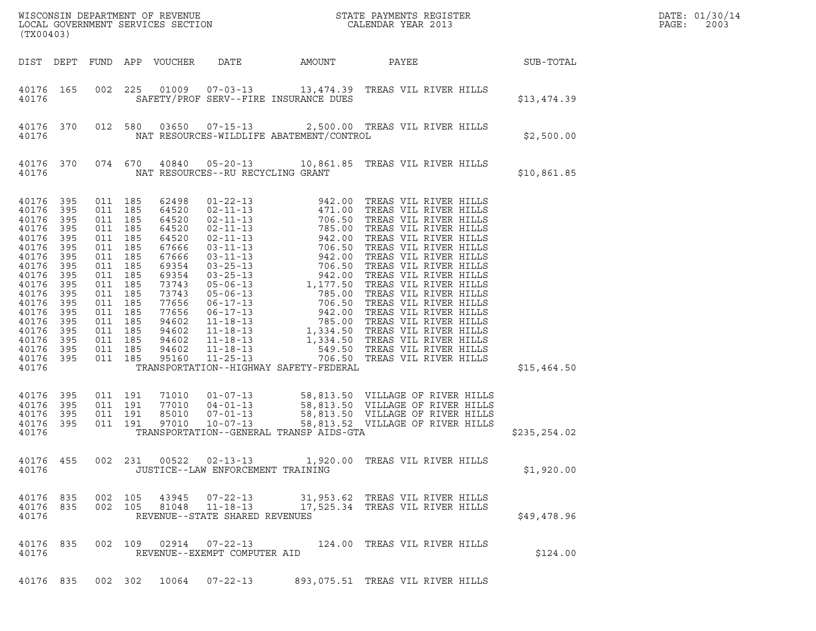| (TX00403)                                                                                                                                                                        |                                                                                                                            |                                                                                                                                                                       |                                                                    | LOCAL GOVERNMENT SERVICES SECTION                                                                                                                                       |                                                                    | DATE: 01/30/14<br>PAGE:<br>2003          |                                                                                                                                              |               |  |
|----------------------------------------------------------------------------------------------------------------------------------------------------------------------------------|----------------------------------------------------------------------------------------------------------------------------|-----------------------------------------------------------------------------------------------------------------------------------------------------------------------|--------------------------------------------------------------------|-------------------------------------------------------------------------------------------------------------------------------------------------------------------------|--------------------------------------------------------------------|------------------------------------------|----------------------------------------------------------------------------------------------------------------------------------------------|---------------|--|
|                                                                                                                                                                                  |                                                                                                                            |                                                                                                                                                                       |                                                                    | DIST DEPT FUND APP VOUCHER                                                                                                                                              | DATE                                                               | AMOUNT                                   | PAYEE                                                                                                                                        | SUB-TOTAL     |  |
| 40176 165<br>40176                                                                                                                                                               |                                                                                                                            | 002                                                                                                                                                                   | 225                                                                |                                                                                                                                                                         |                                                                    | SAFETY/PROF SERV--FIRE INSURANCE DUES    | 01009  07-03-13  13,474.39  TREAS VIL RIVER HILLS                                                                                            | \$13,474.39   |  |
| 40176 370<br>40176                                                                                                                                                               |                                                                                                                            |                                                                                                                                                                       | 012 580                                                            |                                                                                                                                                                         |                                                                    | NAT RESOURCES-WILDLIFE ABATEMENT/CONTROL | 03650  07-15-13  2,500.00  TREAS VIL RIVER HILLS                                                                                             | \$2,500.00    |  |
| 40176 370<br>40176                                                                                                                                                               |                                                                                                                            |                                                                                                                                                                       | 074 670                                                            | 40840                                                                                                                                                                   | NAT RESOURCES--RU RECYCLING GRANT                                  |                                          |                                                                                                                                              | \$10,861.85   |  |
| 40176<br>40176<br>40176<br>40176<br>40176<br>40176<br>40176<br>40176<br>40176<br>40176<br>40176<br>40176<br>40176<br>40176<br>40176<br>40176<br>40176<br>40176<br>40176<br>40176 | 395<br>395<br>395<br>395<br>395<br>395<br>395<br>395<br>395<br>395<br>395<br>395<br>395<br>395<br>395<br>395<br>395<br>395 | 011 185<br>011<br>011 185<br>011<br>011 185<br>011<br>011<br>011<br>011<br>011<br>011<br>011<br>011 185<br>011<br>011 185<br>011 185<br>011 185<br>011 185<br>011 191 | 185<br>185<br>185<br>185<br>185<br>185<br>185<br>185<br>185<br>185 | 62498<br>64520<br>64520<br>64520<br>64520<br>67666<br>67666<br>69354<br>69354<br>73743<br>73743<br>77656<br>77656<br>94602<br>94602<br>94602<br>94602<br>95160<br>71010 | $01 - 07 - 13$                                                     | TRANSPORTATION--HIGHWAY SAFETY-FEDERAL   |                                                                                                                                              | \$15,464.50   |  |
| 40176<br>40176<br>40176<br>40176                                                                                                                                                 | 395<br>395<br>395<br>395                                                                                                   | 011 191<br>011 191                                                                                                                                                    | 011 191                                                            | 77010<br>85010<br>97010                                                                                                                                                 | $04 - 01 - 13$<br>$07 - 01 - 13$<br>$10 - 07 - 13$                 | TRANSPORTATION--GENERAL TRANSP AIDS-GTA  | 58,813.50 VILLAGE OF RIVER HILLS<br>58,813.50 VILLAGE OF RIVER HILLS<br>58,813.50 VILLAGE OF RIVER HILLS<br>58,813.52 VILLAGE OF RIVER HILLS | \$235, 254.02 |  |
| 40176 455<br>40176                                                                                                                                                               |                                                                                                                            |                                                                                                                                                                       |                                                                    | 002 231 00522                                                                                                                                                           | $02 - 13 - 13$<br>JUSTICE--LAW ENFORCEMENT TRAINING                |                                          | 1,920.00 TREAS VIL RIVER HILLS                                                                                                               | \$1,920.00    |  |
| 40176 835<br>40176 835<br>40176                                                                                                                                                  |                                                                                                                            | 002 105                                                                                                                                                               | 002 105                                                            | 43945<br>81048                                                                                                                                                          | $07 - 22 - 13$<br>$11 - 18 - 13$<br>REVENUE--STATE SHARED REVENUES |                                          | 31,953.62 TREAS VIL RIVER HILLS<br>17,525.34 TREAS VIL RIVER HILLS                                                                           | \$49,478.96   |  |
| 40176 835<br>40176                                                                                                                                                               |                                                                                                                            |                                                                                                                                                                       | 002 109                                                            |                                                                                                                                                                         | REVENUE--EXEMPT COMPUTER AID                                       |                                          | 124.00 TREAS VIL RIVER HILLS                                                                                                                 | \$124.00      |  |
| 40176 835                                                                                                                                                                        |                                                                                                                            |                                                                                                                                                                       |                                                                    |                                                                                                                                                                         |                                                                    |                                          | 002 302 10064 07-22-13 893,075.51 TREAS VIL RIVER HILLS                                                                                      |               |  |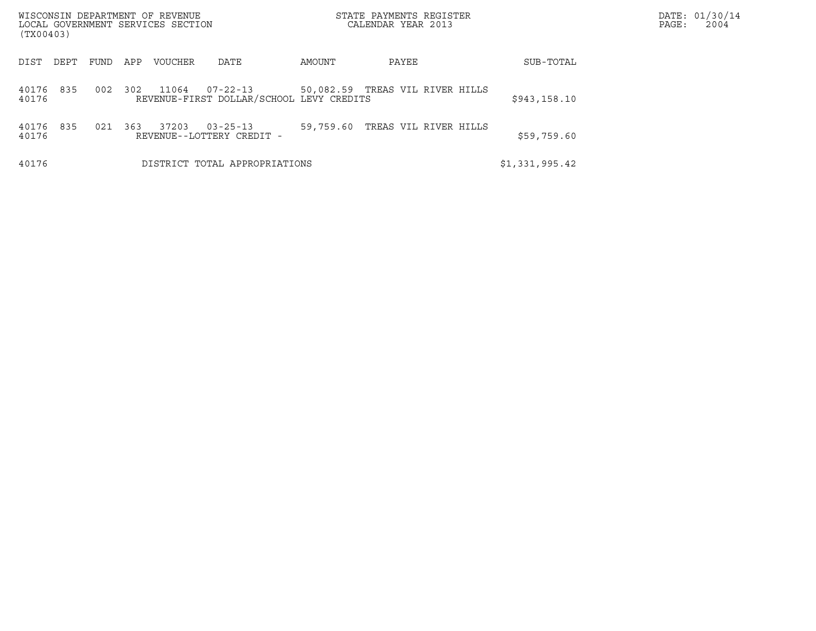| WISCONSIN DEPARTMENT OF REVENUE<br>LOCAL GOVERNMENT SERVICES SECTION<br>(TX00403) |             |                |                                                            |           | STATE PAYMENTS REGISTER<br>CALENDAR YEAR 2013 |                | DATE: 01/30/14<br>PAGE:<br>2004 |
|-----------------------------------------------------------------------------------|-------------|----------------|------------------------------------------------------------|-----------|-----------------------------------------------|----------------|---------------------------------|
| DEPT<br>DIST                                                                      | APP<br>FUND | <b>VOUCHER</b> | DATE                                                       | AMOUNT    | PAYEE                                         | SUB-TOTAL      |                                 |
| 835<br>40176<br>40176                                                             | 002<br>302  | 11064          | $07 - 22 - 13$<br>REVENUE-FIRST DOLLAR/SCHOOL LEVY CREDITS |           | 50,082.59 TREAS VIL RIVER HILLS               | \$943,158.10   |                                 |
| 835<br>40176<br>40176                                                             | 363<br>021  | 37203          | $03 - 25 - 13$<br>REVENUE--LOTTERY CREDIT -                | 59,759.60 | TREAS VIL RIVER HILLS                         | \$59,759.60    |                                 |
| 40176                                                                             |             |                | DISTRICT TOTAL APPROPRIATIONS                              |           |                                               | \$1,331,995.42 |                                 |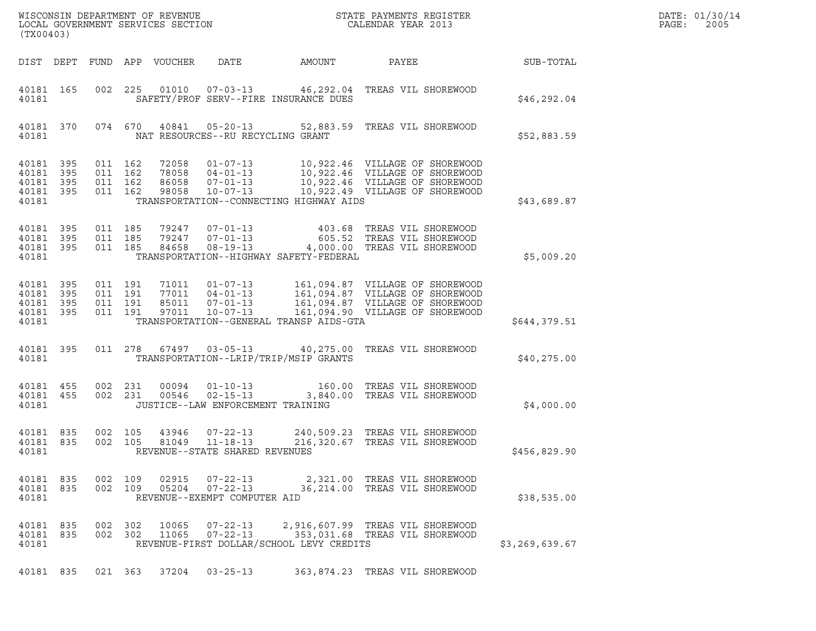| DATE: | 01/30/14 |
|-------|----------|
| PAGE: | 2005     |

|                                              |                        |                    |                               |                            |                                                                      |                                          | ${\tt WISCO} {\tt NSM} {\tt NEMR} {\tt NEMR} {\tt NEMR} {\tt NEMR} {\tt NEMR} {\tt NEMR} {\tt NEMR} {\tt NEMR} {\tt NEMR} {\tt NEMR} {\tt NEMR} {\tt NEMR} {\tt NEMR} {\tt NEMR} {\tt NEMR} {\tt NEMR} {\tt NEMR} {\tt NEMR} {\tt NEMR} {\tt NEMR} {\tt NEMR} {\tt NEMR} {\tt NEMR} {\tt NEMR} {\tt NEMR} {\tt NEMR} {\tt NEMR} {\tt NEMR} {\tt NEMR} {\tt NEMR} {\tt NEMR} {\tt NEMR} {\tt NEMR} {\tt NEMR} {\tt NEMR}$ |                | DATE: 01/30/14 |
|----------------------------------------------|------------------------|--------------------|-------------------------------|----------------------------|----------------------------------------------------------------------|------------------------------------------|--------------------------------------------------------------------------------------------------------------------------------------------------------------------------------------------------------------------------------------------------------------------------------------------------------------------------------------------------------------------------------------------------------------------------|----------------|----------------|
| (TX00403)                                    |                        |                    |                               |                            |                                                                      |                                          |                                                                                                                                                                                                                                                                                                                                                                                                                          |                | PAGE:<br>2005  |
|                                              |                        |                    |                               | DIST DEPT FUND APP VOUCHER | DATE                                                                 | AMOUNT                                   | PAYEE                                                                                                                                                                                                                                                                                                                                                                                                                    | SUB-TOTAL      |                |
| 40181 165<br>40181                           |                        |                    | 002 225                       |                            |                                                                      | SAFETY/PROF SERV--FIRE INSURANCE DUES    | 01010  07-03-13  46,292.04  TREAS VIL SHOREWOOD                                                                                                                                                                                                                                                                                                                                                                          | \$46, 292.04   |                |
| 40181                                        | 40181 370              |                    | 074 670                       |                            | NAT RESOURCES--RU RECYCLING GRANT                                    |                                          | 40841  05-20-13  52,883.59  TREAS VIL SHOREWOOD                                                                                                                                                                                                                                                                                                                                                                          | \$52,883.59    |                |
| 40181 395<br>40181<br>40181 395              | 395                    | 011 162            | 011 162<br>011 162            | 72058                      |                                                                      |                                          | 01-07-13 10,922.46 VILLAGE OF SHOREWOOD<br>78058 04-01-13 10,922.46 VILLAGE OF SHOREWOOD<br>86058 07-01-13 10,922.46 VILLAGE OF SHOREWOOD<br>98058 10-07-13 10,922.49 VILLAGE OF SHOREWOOD                                                                                                                                                                                                                               |                |                |
| 40181 395<br>40181                           |                        |                    | 011 162                       | 98058                      | $10 - 07 - 13$                                                       | TRANSPORTATION--CONNECTING HIGHWAY AIDS  | 10,922.49 VILLAGE OF SHOREWOOD                                                                                                                                                                                                                                                                                                                                                                                           | \$43,689.87    |                |
| 40181 395<br>40181 395<br>40181 395<br>40181 |                        |                    | 011 185<br>011 185<br>011 185 |                            | 79247       07-01-13<br>79247       07-01-13                         | TRANSPORTATION--HIGHWAY SAFETY-FEDERAL   | 403.68   TREAS  VIL  SHOREWOOD<br>605.52   TREAS  VIL  SHOREWOOD<br>84658  08-19-13  4,000.00 TREAS VIL SHOREWOOD                                                                                                                                                                                                                                                                                                        | \$5,009.20     |                |
| 40181<br>40181 395<br>40181 395              | 395                    |                    | 011 191<br>011 191<br>011 191 |                            | 71011 01-07-13<br>77011 04-01-13<br>85011 07-01-13<br>97011 10-07-13 |                                          | 161,094.87 VILLAGE OF SHOREWOOD<br>161,094.87 VILLAGE OF SHOREWOOD<br>161,094.87 VILLAGE OF SHOREWOOD                                                                                                                                                                                                                                                                                                                    |                |                |
| 40181 395<br>40181                           |                        |                    | 011 191                       |                            |                                                                      | TRANSPORTATION--GENERAL TRANSP AIDS-GTA  | 161,094.90 VILLAGE OF SHOREWOOD                                                                                                                                                                                                                                                                                                                                                                                          | \$644,379.51   |                |
| 40181                                        | 40181 395              |                    |                               |                            | 011 278 67497 03-05-13                                               | TRANSPORTATION--LRIP/TRIP/MSIP GRANTS    | 40,275.00 TREAS VIL SHOREWOOD                                                                                                                                                                                                                                                                                                                                                                                            | \$40, 275.00   |                |
| 40181                                        | 40181 455<br>40181 455 | 002 231            | 002 231                       |                            | JUSTICE--LAW ENFORCEMENT TRAINING                                    |                                          |                                                                                                                                                                                                                                                                                                                                                                                                                          | \$4,000.00     |                |
| 40181 835<br>40181 835<br>40181              |                        | 002 105<br>002 105 |                               | 43946<br>81049             | $07 - 22 - 13$<br>$11 - 18 - 13$<br>REVENUE--STATE SHARED REVENUES   |                                          | 240,509.23 TREAS VIL SHOREWOOD<br>216,320.67 TREAS VIL SHOREWOOD                                                                                                                                                                                                                                                                                                                                                         | \$456,829.90   |                |
| 40181 835<br>40181                           | 40181 835              | 002 109            | 002 109                       |                            | REVENUE--EXEMPT COMPUTER AID                                         |                                          | 2,321.00 TREAS VIL SHOREWOOD<br>05204  07-22-13  36,214.00 TREAS VIL SHOREWOOD                                                                                                                                                                                                                                                                                                                                           | \$38,535.00    |                |
| 40181 835<br>40181 835<br>40181              |                        |                    | 002 302<br>002 302            | 10065<br>11065             | $07 - 22 - 13$<br>$07 - 22 - 13$                                     | REVENUE-FIRST DOLLAR/SCHOOL LEVY CREDITS | 2,916,607.99 TREAS VIL SHOREWOOD<br>353,031.68 TREAS VIL SHOREWOOD                                                                                                                                                                                                                                                                                                                                                       | \$3,269,639.67 |                |
|                                              | 40181 835              |                    |                               |                            | 021 363 37204 03-25-13                                               |                                          | 363,874.23 TREAS VIL SHOREWOOD                                                                                                                                                                                                                                                                                                                                                                                           |                |                |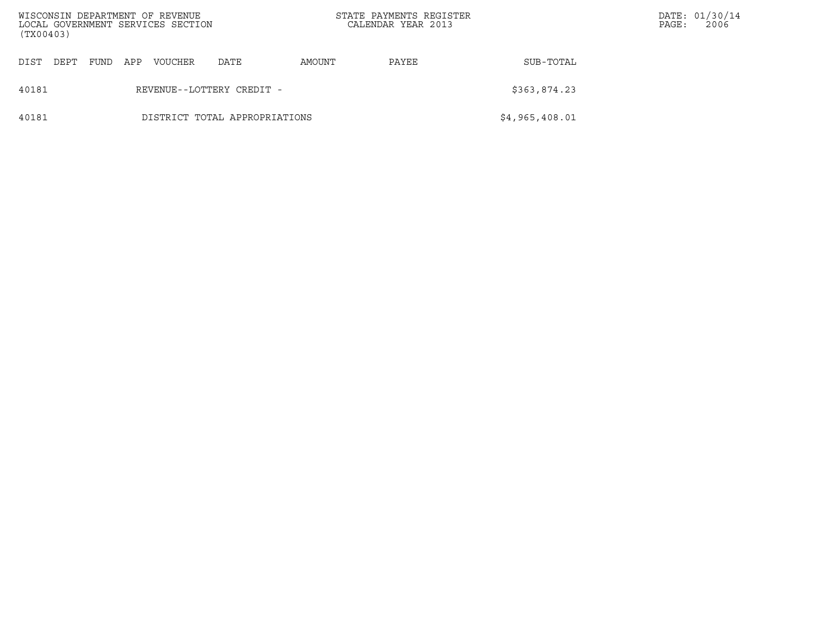| (TX00403) |      |      |     | WISCONSIN DEPARTMENT OF REVENUE<br>LOCAL GOVERNMENT SERVICES SECTION |                               |        | STATE PAYMENTS REGISTER<br>CALENDAR YEAR 2013 |                | PAGE: | DATE: 01/30/14<br>2006 |
|-----------|------|------|-----|----------------------------------------------------------------------|-------------------------------|--------|-----------------------------------------------|----------------|-------|------------------------|
| DIST      | DEPT | FUND | APP | VOUCHER                                                              | DATE                          | AMOUNT | PAYEE                                         | SUB-TOTAL      |       |                        |
| 40181     |      |      |     |                                                                      | REVENUE--LOTTERY CREDIT -     |        |                                               | \$363,874.23   |       |                        |
| 40181     |      |      |     |                                                                      | DISTRICT TOTAL APPROPRIATIONS |        |                                               | \$4,965,408.01 |       |                        |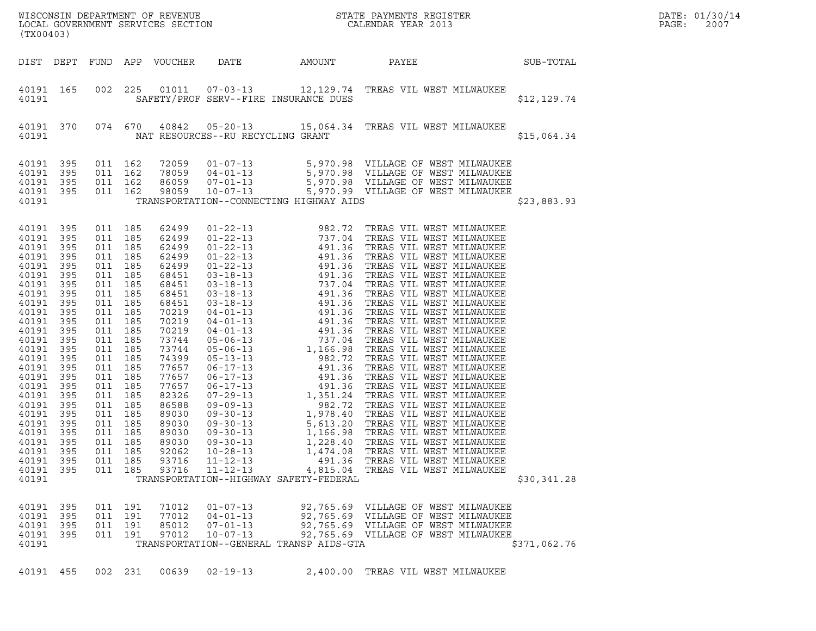| (TX00403)                                                                                                                                                                                                                                                                                                                            |                                                        |                                                                                                                                                                                                                                                                                                       |         |                                                                                                                                                                                                                                                 |                                                                      |                                         |                                                                                                                                                                                          |              | DATE: 01/30/14<br>PAGE:<br>2007 |
|--------------------------------------------------------------------------------------------------------------------------------------------------------------------------------------------------------------------------------------------------------------------------------------------------------------------------------------|--------------------------------------------------------|-------------------------------------------------------------------------------------------------------------------------------------------------------------------------------------------------------------------------------------------------------------------------------------------------------|---------|-------------------------------------------------------------------------------------------------------------------------------------------------------------------------------------------------------------------------------------------------|----------------------------------------------------------------------|-----------------------------------------|------------------------------------------------------------------------------------------------------------------------------------------------------------------------------------------|--------------|---------------------------------|
| DIST DEPT                                                                                                                                                                                                                                                                                                                            |                                                        |                                                                                                                                                                                                                                                                                                       |         | FUND APP VOUCHER                                                                                                                                                                                                                                | DATE                                                                 | AMOUNT                                  | SUB-TOTAL<br><b>PAYEE</b>                                                                                                                                                                |              |                                 |
| 40191 165<br>40191                                                                                                                                                                                                                                                                                                                   |                                                        | 002 225                                                                                                                                                                                                                                                                                               |         |                                                                                                                                                                                                                                                 |                                                                      | SAFETY/PROF SERV--FIRE INSURANCE DUES   | 01011  07-03-13  12,129.74  TREAS VIL WEST MILWAUKEE                                                                                                                                     | \$12,129.74  |                                 |
| 40191 370<br>40191                                                                                                                                                                                                                                                                                                                   |                                                        |                                                                                                                                                                                                                                                                                                       |         |                                                                                                                                                                                                                                                 | NAT RESOURCES--RU RECYCLING GRANT                                    |                                         | 074 670 40842 05-20-13 15,064.34 TREAS VIL WEST MILWAUKEE                                                                                                                                | \$15,064.34  |                                 |
| 40191 395<br>40191<br>40191 395<br>40191 395<br>40191                                                                                                                                                                                                                                                                                | 395                                                    | 011 162<br>011 162<br>011 162<br>011 162                                                                                                                                                                                                                                                              |         | 72059<br>78059<br>86059<br>98059                                                                                                                                                                                                                |                                                                      | TRANSPORTATION--CONNECTING HIGHWAY AIDS | 01-07-13 5,970.98 VILLAGE OF WEST MILWAUKEE<br>04-01-13 5,970.98 VILLAGE OF WEST MILWAUKEE<br>07-01-13 5,970.98 VILLAGE OF WEST MILWAUKEE<br>10-07-13 5,970.99 VILLAGE OF WEST MILWAUKEE | \$23,883.93  |                                 |
| 40191 395<br>40191 395<br>40191 395<br>40191 395<br>40191<br>40191 395<br>40191 395<br>40191 395<br>40191<br>40191 395<br>40191 395<br>40191 395<br>40191<br>40191 395<br>40191<br>40191 395<br>40191<br>40191 395<br>40191<br>40191 395<br>40191<br>40191 395<br>40191<br>40191 395<br>40191 395<br>40191 395<br>40191 395<br>40191 | 395<br>395<br>395<br>395<br>- 395<br>395<br>395<br>395 | 011 185<br>011 185<br>011 185<br>011 185<br>011 185<br>011 185<br>011 185<br>011 185<br>011 185<br>011 185<br>011 185<br>011 185<br>011 185<br>011 185<br>011 185<br>011 185<br>011 185<br>011 185<br>011 185<br>011 185<br>011 185<br>011 185<br>011 185<br>011 185<br>011 185<br>011 185<br>011 185 |         | 62499<br>62499<br>62499<br>62499<br>62499<br>68451<br>68451<br>68451<br>68451<br>70219<br>70219<br>70219<br>73744<br>73744<br>74399<br>77657<br>77657<br>77657<br>82326<br>86588<br>89030<br>89030<br>89030<br>89030<br>92062<br>93716<br>93716 | $10 - 28 - 13$<br>$11 - 12 - 13$<br>$11 - 12 - 13$                   | TRANSPORTATION--HIGHWAY SAFETY-FEDERAL  | 1,474.08 TREAS VIL WEST MILWAUKEE<br>491.36 TREAS VIL WEST MILWAUKEE<br>4,815.04 TREAS VIL WEST MILWAUKEE                                                                                | \$30,341.28  |                                 |
| 40191 395<br>40191 395<br>40191 395<br>40191 395<br>40191                                                                                                                                                                                                                                                                            |                                                        | 011 191<br>011 191<br>011 191<br>011 191                                                                                                                                                                                                                                                              |         | 71012<br>77012<br>85012<br>97012                                                                                                                                                                                                                | $01 - 07 - 13$<br>$04 - 01 - 13$<br>$07 - 01 - 13$<br>$10 - 07 - 13$ | TRANSPORTATION--GENERAL TRANSP AIDS-GTA | 92,765.69 VILLAGE OF WEST MILWAUKEE<br>92,765.69 VILLAGE OF WEST MILWAUKEE<br>92,765.69 VILLAGE OF WEST MILWAUKEE<br>92,765.69 VILLAGE OF WEST MILWAUKEE                                 | \$371,062.76 |                                 |
| 40191 455                                                                                                                                                                                                                                                                                                                            |                                                        |                                                                                                                                                                                                                                                                                                       | 002 231 | 00639                                                                                                                                                                                                                                           | $02 - 19 - 13$                                                       |                                         | 2,400.00 TREAS VIL WEST MILWAUKEE                                                                                                                                                        |              |                                 |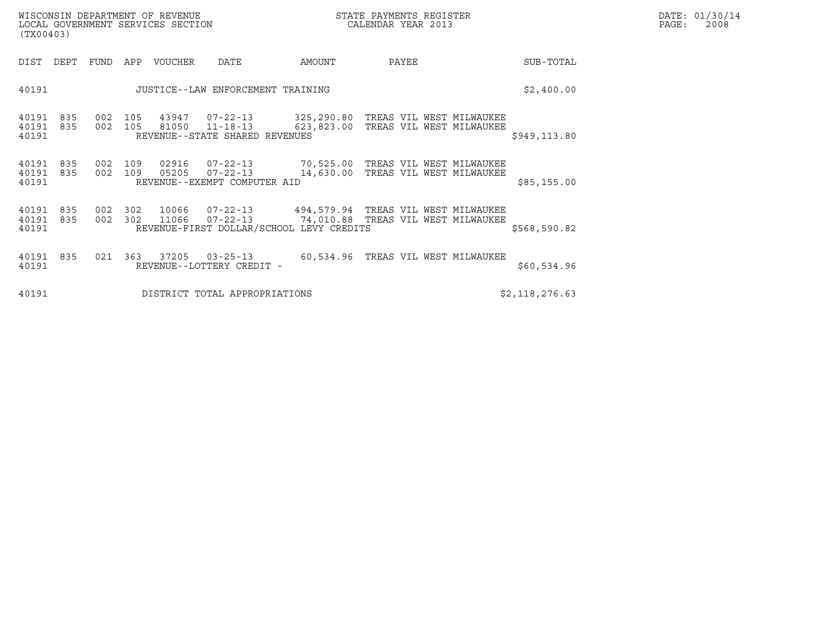| DATE: | 01/30/14 |
|-------|----------|
| PAGE: | 2008     |

| WISCONSIN DEPARTMENT OF REVENUE<br>LOCAL GOVERNMENT SERVICES SECTION<br>(TX00403) |                |            |                |                                                                    |        | STATE PAYMENTS REGISTER<br>CALENDAR YEAR 2013                                               |                | DATE: 01/30/14<br>$\mathtt{PAGE}$ :<br>2008 |
|-----------------------------------------------------------------------------------|----------------|------------|----------------|--------------------------------------------------------------------|--------|---------------------------------------------------------------------------------------------|----------------|---------------------------------------------|
| DIST<br>DEPT                                                                      | FUND           |            | APP VOUCHER    | <b>DATE</b>                                                        | AMOUNT | PAYEE                                                                                       | SUB-TOTAL      |                                             |
| 40191                                                                             |                |            |                | JUSTICE--LAW ENFORCEMENT TRAINING                                  |        |                                                                                             | \$2,400.00     |                                             |
| 40191<br>835<br>40191<br>835<br>40191                                             | 002<br>002 105 | 105        | 81050          | 43947 07-22-13<br>$11 - 18 - 13$<br>REVENUE--STATE SHARED REVENUES |        | 325,290.80 TREAS VIL WEST MILWAUKEE<br>623,823.00 TREAS VIL WEST MILWAUKEE                  | \$949,113.80   |                                             |
| 40191<br>835<br>40191 835<br>40191                                                | 002<br>002     | 109<br>109 | 02916<br>05205 | $07 - 22 - 13$<br>$07 - 22 - 13$<br>REVENUE--EXEMPT COMPUTER AID   |        | 70,525.00 TREAS VIL WEST MILWAUKEE<br>14,630.00 TREAS VIL WEST MILWAUKEE                    | \$85,155.00    |                                             |
| 40191<br>835<br>40191<br>835<br>40191                                             | 002<br>002 302 | 302        | 11066          | $07 - 22 - 13$<br>REVENUE-FIRST DOLLAR/SCHOOL LEVY CREDITS         |        | 10066  07-22-13  494,579.94  TREAS VIL WEST MILWAUKEE<br>74,010.88 TREAS VIL WEST MILWAUKEE | \$568,590.82   |                                             |
| 40191<br>835<br>40191                                                             | 021            | 363        |                | 37205 03-25-13<br>REVENUE--LOTTERY CREDIT -                        |        | 60,534.96 TREAS VIL WEST MILWAUKEE                                                          | \$60,534.96    |                                             |
| 40191                                                                             |                |            |                | DISTRICT TOTAL APPROPRIATIONS                                      |        |                                                                                             | \$2,118,276.63 |                                             |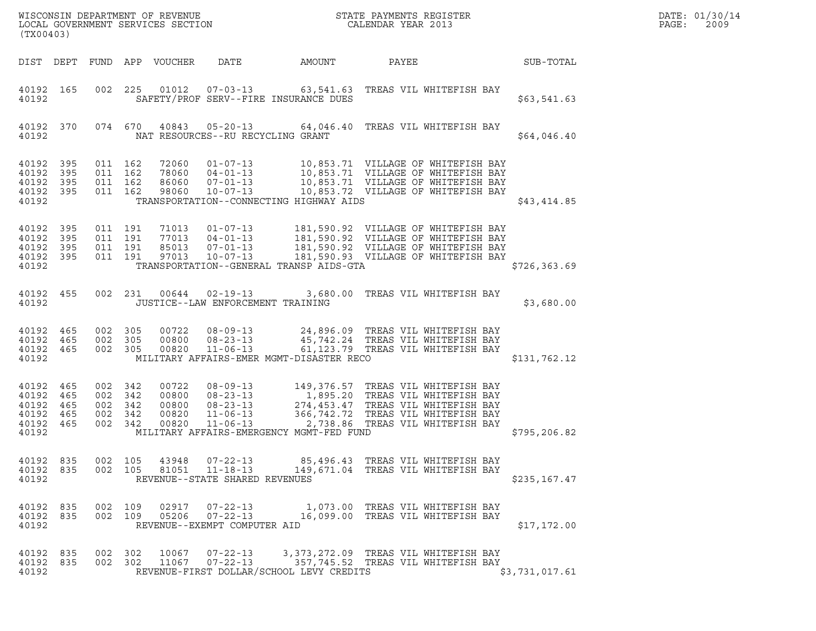| (TX00403)                                                  |                   |                                             |            |                                           |                                                                                                                                                     |                                                                                                                                                                                                                                                                           |       |                                                                         |                | DATE: 01/30/14<br>PAGE:<br>2009 |
|------------------------------------------------------------|-------------------|---------------------------------------------|------------|-------------------------------------------|-----------------------------------------------------------------------------------------------------------------------------------------------------|---------------------------------------------------------------------------------------------------------------------------------------------------------------------------------------------------------------------------------------------------------------------------|-------|-------------------------------------------------------------------------|----------------|---------------------------------|
|                                                            |                   |                                             |            | DIST DEPT FUND APP VOUCHER                | DATE                                                                                                                                                | AMOUNT                                                                                                                                                                                                                                                                    | PAYEE |                                                                         | SUB-TOTAL      |                                 |
| 40192 165<br>40192                                         |                   | 002 225                                     |            |                                           |                                                                                                                                                     | 01012  07-03-13  63,541.63  TREAS VIL WHITEFISH BAY<br>SAFETY/PROF SERV--FIRE INSURANCE DUES                                                                                                                                                                              |       |                                                                         | \$63,541.63    |                                 |
| 40192                                                      | 40192 370         |                                             | 074 670    |                                           |                                                                                                                                                     | 40843  05-20-13  64,046.40  TREAS VIL WHITEFISH BAY<br>NAT RESOURCES--RU RECYCLING GRANT                                                                                                                                                                                  |       |                                                                         | \$64,046.40    |                                 |
| 40192 395<br>40192<br>40192<br>40192 395<br>40192          | 395<br>395        | 011 162<br>011 162<br>011 162<br>011 162    |            | 72060<br>78060<br>86060<br>98060          | $10 - 07 - 13$                                                                                                                                      | 01-07-13 10,853.71 VILLAGE OF WHITEFISH BAY<br>04-01-13 10,853.71 VILLAGE OF WHITEFISH BAY<br>07-01-13 10,853.71 VILLAGE OF WHITEFISH BAY<br>10-07-13 10,853.72 VILLAGE OF WHITEFISH BAY<br>10,853.72 VILLAGE OF WHITEFISH BAY<br>TRANSPORTATION--CONNECTING HIGHWAY AIDS |       |                                                                         | \$43,414.85    |                                 |
| 40192<br>40192<br>40192<br>40192 395<br>40192              | 395<br>395<br>395 | 011 191<br>011 191<br>011 191<br>011 191    |            |                                           | $01 - 07 - 13$<br>$\begin{array}{cccc} 71013 & 01 - 07 - 13 \\ 77013 & 04 - 01 - 13 \\ 85013 & 07 - 01 - 13 \\ 97013 & 10 - 07 - 13 \\ \end{array}$ | 181,590.92 VILLAGE OF WHITEFISH BAY<br>181,590.92 VILLAGE OF WHITEFISH BAY<br>181,590.92 VILLAGE OF WHITEFISH BAY<br>181,590.93 VILLAGE OF WHITEFISH BAY<br>TRANSPORTATION--GENERAL TRANSP AIDS-GTA                                                                       |       |                                                                         | \$726, 363.69  |                                 |
| 40192                                                      | 40192 455         |                                             | 002 231    |                                           | 00644  02-19-13                                                                                                                                     | JUSTICE--LAW ENFORCEMENT TRAINING                                                                                                                                                                                                                                         |       | 3,680.00 TREAS VIL WHITEFISH BAY                                        | \$3,680.00     |                                 |
| 40192 465<br>40192 465<br>40192 465<br>40192               |                   | 002 305<br>002 305<br>002 305               |            | 00722<br>00800<br>00820                   | $08 - 23 - 13$<br>11-06-13                                                                                                                          | 08-09-13 24,896.09 TREAS VIL WHITEFISH BAY<br>45,742.24 TREAS VIL WHITEFISH BAY<br>MILITARY AFFAIRS-EMER MGMT-DISASTER RECO                                                                                                                                               |       | 61,123.79 TREAS VIL WHITEFISH BAY                                       | \$131,762.12   |                                 |
| 40192 465<br>40192<br>40192<br>40192<br>40192 465<br>40192 | 465<br>465<br>465 | 002 342<br>002<br>002 342<br>002<br>002 342 | 342<br>342 | 00722<br>00800<br>00800<br>00820<br>00820 | $08 - 09 - 13$<br>$11 - 06 - 13$                                                                                                                    | 149,376.57 TREAS VIL WHITEFISH BAY<br>08-23-13 1,895.20 TREAS VIL WHITEFISH BAY<br>08-23-13 274,453.47 TREAS VIL WHITEFISH BAY<br>11-06-13 366,742.72 TREAS VIL WHITEFISH BAY<br>MILITARY AFFAIRS-EMERGENCY MGMT-FED FUND                                                 |       | 2,738.86 TREAS VIL WHITEFISH BAY                                        | \$795, 206.82  |                                 |
| 40192 835<br>40192 835<br>40192                            |                   | 002 105<br>002 105                          |            | 43948<br>81051                            | $07 - 22 - 13$<br>$11 - 18 - 13$<br>REVENUE--STATE SHARED REVENUES                                                                                  |                                                                                                                                                                                                                                                                           |       | 85,496.43 TREAS VIL WHITEFISH BAY<br>149,671.04 TREAS VIL WHITEFISH BAY | \$235,167.47   |                                 |
| 40192 835<br>40192 835<br>40192                            |                   | 002 109<br>002 109                          |            | 02917<br>05206                            | $07 - 22 - 13$<br>$07 - 22 - 13$<br>REVENUE--EXEMPT COMPUTER AID                                                                                    |                                                                                                                                                                                                                                                                           |       | 1,073.00 TREAS VIL WHITEFISH BAY<br>16,099.00 TREAS VIL WHITEFISH BAY   | \$17,172.00    |                                 |
| 40192 835<br>40192 835<br>40192                            |                   | 002 302<br>002 302                          |            | 10067<br>11067                            | 07-22-13<br>$07 - 22 - 13$                                                                                                                          | 3,373,272.09 TREAS VIL WHITEFISH BAY<br>REVENUE-FIRST DOLLAR/SCHOOL LEVY CREDITS                                                                                                                                                                                          |       | 357,745.52 TREAS VIL WHITEFISH BAY                                      | \$3,731,017.61 |                                 |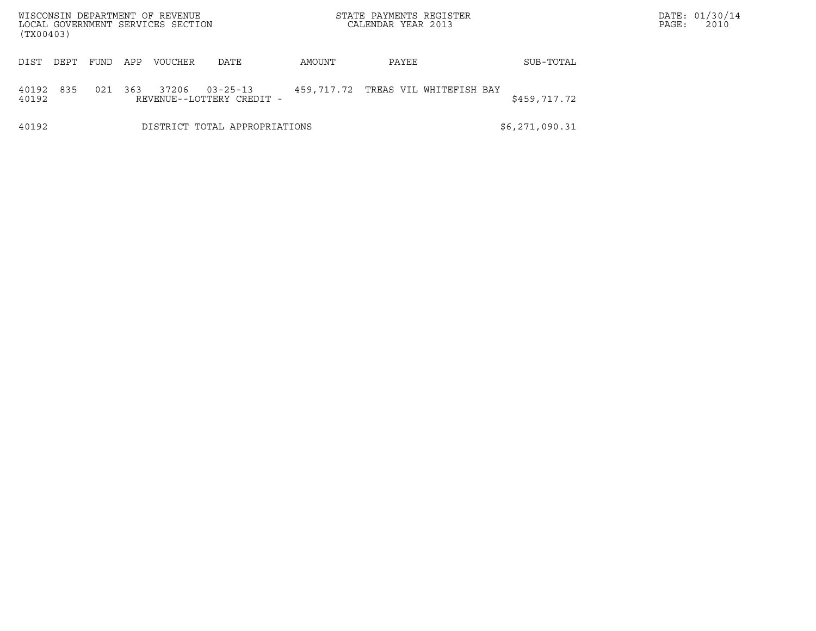|                    |      |      |     | WISCONSIN DEPARTMENT OF REVENUE<br>LOCAL GOVERNMENT SERVICES SECTION |                                             |            | STATE PAYMENTS REGISTER<br>CALENDAR YEAR 2013 |                | DATE: 01/30/14<br>2010<br>PAGE: |  |
|--------------------|------|------|-----|----------------------------------------------------------------------|---------------------------------------------|------------|-----------------------------------------------|----------------|---------------------------------|--|
| (TX00403)          |      |      |     |                                                                      |                                             |            |                                               |                |                                 |  |
| DIST               | DEPT | FUND | APP | VOUCHER                                                              | DATE                                        | AMOUNT     | PAYEE                                         | SUB-TOTAL      |                                 |  |
| 40192 835<br>40192 |      | 021  | 363 | 37206                                                                | $03 - 25 - 13$<br>REVENUE--LOTTERY CREDIT - | 459,717.72 | TREAS VIL WHITEFISH BAY                       | \$459,717.72   |                                 |  |
| 40192              |      |      |     |                                                                      | DISTRICT TOTAL APPROPRIATIONS               |            |                                               | \$6,271,090.31 |                                 |  |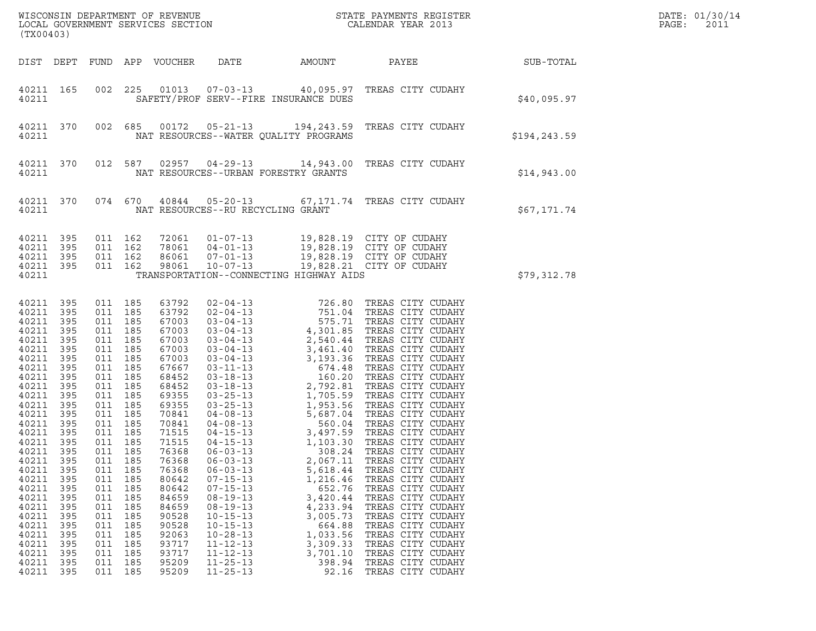| (TX00403)                                                                                                                                                                                                                                                                                                                                                                                                                                                                                 |                                                                                         |                                                                                                                                                                                                                                                                                    |                                                                                                                                                                                                                                                                            |                                                                                                                                                                                                                                                                            |                                                                                                                                                           |                                                                                                                                                                                                                                                                                                                                  |                 | DATE: 01/30/14<br>PAGE:<br>2011 |
|-------------------------------------------------------------------------------------------------------------------------------------------------------------------------------------------------------------------------------------------------------------------------------------------------------------------------------------------------------------------------------------------------------------------------------------------------------------------------------------------|-----------------------------------------------------------------------------------------|------------------------------------------------------------------------------------------------------------------------------------------------------------------------------------------------------------------------------------------------------------------------------------|----------------------------------------------------------------------------------------------------------------------------------------------------------------------------------------------------------------------------------------------------------------------------|----------------------------------------------------------------------------------------------------------------------------------------------------------------------------------------------------------------------------------------------------------------------------|-----------------------------------------------------------------------------------------------------------------------------------------------------------|----------------------------------------------------------------------------------------------------------------------------------------------------------------------------------------------------------------------------------------------------------------------------------------------------------------------------------|-----------------|---------------------------------|
| DIST DEPT FUND APP VOUCHER                                                                                                                                                                                                                                                                                                                                                                                                                                                                |                                                                                         |                                                                                                                                                                                                                                                                                    |                                                                                                                                                                                                                                                                            | DATE                                                                                                                                                                                                                                                                       | AMOUNT                                                                                                                                                    |                                                                                                                                                                                                                                                                                                                                  | PAYEE SUB-TOTAL |                                 |
| 40211 165<br>40211                                                                                                                                                                                                                                                                                                                                                                                                                                                                        |                                                                                         |                                                                                                                                                                                                                                                                                    |                                                                                                                                                                                                                                                                            |                                                                                                                                                                                                                                                                            | SAFETY/PROF SERV--FIRE INSURANCE DUES                                                                                                                     | 002 225 01013 07-03-13 40,095.97 TREAS CITY CUDAHY                                                                                                                                                                                                                                                                               | \$40,095.97     |                                 |
| 40211 370<br>40211                                                                                                                                                                                                                                                                                                                                                                                                                                                                        |                                                                                         |                                                                                                                                                                                                                                                                                    |                                                                                                                                                                                                                                                                            |                                                                                                                                                                                                                                                                            | NAT RESOURCES--WATER QUALITY PROGRAMS                                                                                                                     | 002 685 00172 05-21-13 194,243.59 TREAS CITY CUDAHY                                                                                                                                                                                                                                                                              | \$194,243.59    |                                 |
| 40211 370<br>40211                                                                                                                                                                                                                                                                                                                                                                                                                                                                        |                                                                                         |                                                                                                                                                                                                                                                                                    |                                                                                                                                                                                                                                                                            |                                                                                                                                                                                                                                                                            | NAT RESOURCES--URBAN FORESTRY GRANTS                                                                                                                      | 012 587 02957 04-29-13 14,943.00 TREAS CITY CUDAHY                                                                                                                                                                                                                                                                               | \$14,943.00     |                                 |
| 40211 370<br>40211                                                                                                                                                                                                                                                                                                                                                                                                                                                                        |                                                                                         |                                                                                                                                                                                                                                                                                    |                                                                                                                                                                                                                                                                            | NAT RESOURCES--RU RECYCLING GRANT                                                                                                                                                                                                                                          |                                                                                                                                                           | 074 670 40844 05-20-13 67,171.74 TREAS CITY CUDAHY                                                                                                                                                                                                                                                                               | \$67,171.74     |                                 |
| 40211 395<br>40211<br>395<br>40211<br>395<br>40211 395<br>40211                                                                                                                                                                                                                                                                                                                                                                                                                           |                                                                                         | 011 162<br>011 162<br>011 162<br>011 162                                                                                                                                                                                                                                           |                                                                                                                                                                                                                                                                            |                                                                                                                                                                                                                                                                            | TRANSPORTATION--CONNECTING HIGHWAY AIDS                                                                                                                   |                                                                                                                                                                                                                                                                                                                                  | \$79,312.78     |                                 |
| 40211<br>395<br>40211<br>395<br>40211<br>395<br>395<br>40211<br>40211<br>395<br>40211<br>395<br>40211<br>395<br>40211<br>395<br>40211<br>395<br>40211<br>395<br>40211<br>395<br>40211<br>395<br>40211<br>395<br>40211<br>395<br>40211<br>395<br>40211 395<br>40211<br>395<br>40211<br>395<br>40211<br>395<br>40211<br>395<br>40211<br>395<br>40211<br>395<br>40211<br>395<br>40211<br>395<br>40211<br>395<br>40211<br>395<br>40211<br>395<br>40211<br>395<br>40211<br>395<br>40211<br>395 | 011<br>011<br>011<br>011<br>011<br>011<br>011<br>011<br>011<br>011<br>011<br>011<br>011 | 011 185<br>011 185<br>011 185<br>011 185<br>011 185<br>011 185<br>011 185<br>011 185<br>011 185<br>011 185<br>011 185<br>011 185<br>011 185<br>011 185<br>011 185<br>011 185<br>185<br>185<br>185<br>185<br>185<br>185<br>185<br>185<br>185<br>185<br>185<br>185<br>185<br>011 185 | 63792<br>63792<br>67003<br>67003<br>67003<br>67003<br>67003<br>67667<br>68452<br>68452<br>69355<br>69355<br>70841<br>70841<br>71515<br>71515<br>76368<br>76368<br>76368<br>80642<br>80642<br>84659<br>84659<br>90528<br>90528<br>92063<br>93717<br>93717<br>95209<br>95209 | $04 - 15 - 13$<br>$06 - 03 - 13$<br>$06 - 03 - 13$<br>$06 - 03 - 13$<br>$07 - 15 - 13$<br>$07 - 15 - 13$<br>$08 - 19 - 13$<br>$08 - 19 - 13$<br>$10 - 15 - 13$<br>$10 - 15 - 13$<br>$10 - 28 - 13$<br>$11 - 12 - 13$<br>$11 - 12 - 13$<br>$11 - 25 - 13$<br>$11 - 25 - 13$ | 308.24<br>2,067.11<br>5,618.44<br>1,216.46<br>652.76<br>3,420.44<br>4,233.94<br>3,005.73<br>664.88<br>1,033.56<br>3,309.33<br>3,701.10<br>398.94<br>92.16 | 1,103.30 TREAS CITY CUDAHY<br>TREAS CITY CUDAHY<br>TREAS CITY CUDAHY<br>TREAS CITY CUDAHY<br>TREAS CITY CUDAHY<br>TREAS CITY CUDAHY<br>TREAS CITY CUDAHY<br>TREAS CITY CUDAHY<br>TREAS CITY CUDAHY<br>TREAS CITY CUDAHY<br>TREAS CITY CUDAHY<br>TREAS CITY CUDAHY<br>TREAS CITY CUDAHY<br>TREAS CITY CUDAHY<br>TREAS CITY CUDAHY |                 |                                 |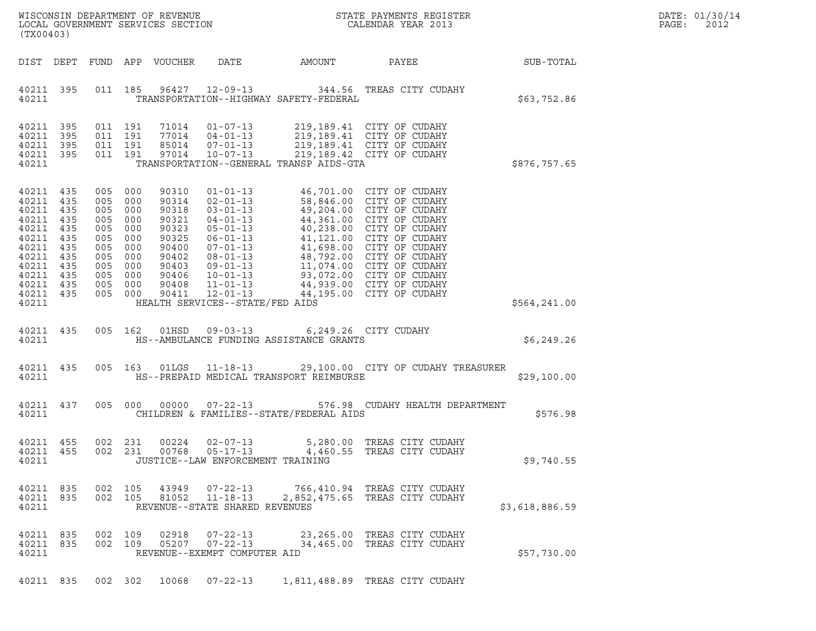| WISCONSIN DEPARTMENT OF REVENUE<br>LOCAL GOVERNMENT SERVICES SECTION<br>(TX00403) | STATE PAYMENTS REGISTER<br>CALENDAR YEAR 2013 | DATE: 01/30/14<br>PAGE:<br>2012 |
|-----------------------------------------------------------------------------------|-----------------------------------------------|---------------------------------|

| (TX00403)                                                                                                         |                                                                                  |                                                                                  |                                                                                  |                                                                                                          |                                                                                                                                                                                                                                                   |                                                   |                                                                                                                                                                                                                                                                                                                                    |                |
|-------------------------------------------------------------------------------------------------------------------|----------------------------------------------------------------------------------|----------------------------------------------------------------------------------|----------------------------------------------------------------------------------|----------------------------------------------------------------------------------------------------------|---------------------------------------------------------------------------------------------------------------------------------------------------------------------------------------------------------------------------------------------------|---------------------------------------------------|------------------------------------------------------------------------------------------------------------------------------------------------------------------------------------------------------------------------------------------------------------------------------------------------------------------------------------|----------------|
| DIST                                                                                                              | DEPT                                                                             | FUND                                                                             | APP                                                                              | <b>VOUCHER</b>                                                                                           | DATE                                                                                                                                                                                                                                              | AMOUNT                                            | PAYEE                                                                                                                                                                                                                                                                                                                              | SUB-TOTAL      |
| 40211<br>40211                                                                                                    | 395                                                                              | 011                                                                              | 185                                                                              | 96427                                                                                                    | $12 - 09 - 13$                                                                                                                                                                                                                                    | 344.56<br>TRANSPORTATION--HIGHWAY SAFETY-FEDERAL  | TREAS CITY CUDAHY                                                                                                                                                                                                                                                                                                                  | \$63,752.86    |
| 40211<br>40211<br>40211<br>40211<br>40211                                                                         | 395<br>395<br>395<br>395                                                         | 011<br>011<br>011<br>011                                                         | 191<br>191<br>191<br>191                                                         | 71014<br>77014<br>85014<br>97014                                                                         | $01 - 07 - 13$<br>$04 - 01 - 13$<br>$07 - 01 - 13$<br>$10 - 07 - 13$                                                                                                                                                                              | TRANSPORTATION--GENERAL TRANSP AIDS-GTA           | 219,189.41 CITY OF CUDAHY<br>219,189.41 CITY OF CUDAHY<br>219,189.41 CITY OF CUDAHY<br>219,189.42 CITY OF CUDAHY                                                                                                                                                                                                                   | \$876,757.65   |
| 40211<br>40211<br>40211<br>40211<br>40211<br>40211<br>40211<br>40211<br>40211<br>40211<br>40211<br>40211<br>40211 | 435<br>435<br>435<br>435<br>435<br>435<br>435<br>435<br>435<br>435<br>435<br>435 | 005<br>005<br>005<br>005<br>005<br>005<br>005<br>005<br>005<br>005<br>005<br>005 | 000<br>000<br>000<br>000<br>000<br>000<br>000<br>000<br>000<br>000<br>000<br>000 | 90310<br>90314<br>90318<br>90321<br>90323<br>90325<br>90400<br>90402<br>90403<br>90406<br>90408<br>90411 | $01 - 01 - 13$<br>$02 - 01 - 13$<br>$03 - 01 - 13$<br>$04 - 01 - 13$<br>$05 - 01 - 13$<br>$06 - 01 - 13$<br>$07 - 01 - 13$<br>$08 - 01 - 13$<br>09-01-13<br>$10 - 01 - 13$<br>$11 - 01 - 13$<br>$12 - 01 - 13$<br>HEALTH SERVICES--STATE/FED AIDS | 44,195.00                                         | 46,701.00 CITY OF CUDAHY<br>58,846.00 CITY OF CUDAHY<br>49,204.00 CITY OF CUDAHY<br>44,361.00 CITY OF CUDAHY<br>40,238.00 CITY OF CUDAHY<br>41,121.00 CITY OF CUDAHY<br>41,698.00 CITY OF CUDAHY<br>48,792.00 CITY OF CUDAHY<br>11,074.00 CITY OF CUDAHY<br>93,072.00 CITY OF CUDAHY<br>44,939.00 CITY OF CUDAHY<br>CITY OF CUDAHY | \$564,241.00   |
| 40211<br>40211                                                                                                    | 435                                                                              | 005                                                                              | 162                                                                              | 01HSD                                                                                                    | $09 - 03 - 13$                                                                                                                                                                                                                                    | HS--AMBULANCE FUNDING ASSISTANCE GRANTS           | 6,249.26 CITY CUDAHY                                                                                                                                                                                                                                                                                                               | \$6, 249.26    |
| 40211<br>40211                                                                                                    | 435                                                                              | 005                                                                              | 163                                                                              | 01LGS                                                                                                    | $11 - 18 - 13$                                                                                                                                                                                                                                    | HS--PREPAID MEDICAL TRANSPORT REIMBURSE           | 29,100.00 CITY OF CUDAHY TREASURER                                                                                                                                                                                                                                                                                                 | \$29,100.00    |
| 40211<br>40211                                                                                                    | 437                                                                              | 005                                                                              | 000                                                                              | 00000                                                                                                    | $07 - 22 - 13$                                                                                                                                                                                                                                    | 576.98<br>CHILDREN & FAMILIES--STATE/FEDERAL AIDS | CUDAHY HEALTH DEPARTMENT                                                                                                                                                                                                                                                                                                           | \$576.98       |
| 40211<br>40211<br>40211                                                                                           | 455<br>455                                                                       | 002<br>002                                                                       | 231<br>231                                                                       | 00224<br>00768                                                                                           | $02 - 07 - 13$<br>$05 - 17 - 13$<br>JUSTICE--LAW ENFORCEMENT TRAINING                                                                                                                                                                             | 5,280.00<br>4,460.55                              | TREAS CITY CUDAHY<br>TREAS CITY CUDAHY                                                                                                                                                                                                                                                                                             | \$9,740.55     |
| 40211<br>40211<br>40211                                                                                           | 835<br>835                                                                       | 002<br>002                                                                       | 105<br>105                                                                       | 43949<br>81052                                                                                           | $07 - 22 - 13$<br>REVENUE--STATE SHARED REVENUES                                                                                                                                                                                                  | 766,410.94                                        | TREAS CITY CUDAHY<br>11-18-13 2,852,475.65 TREAS CITY CUDAHY                                                                                                                                                                                                                                                                       | \$3,618,886.59 |
| 40211<br>40211<br>40211                                                                                           | 835<br>835                                                                       | 002<br>002                                                                       | 109<br>109                                                                       | 02918<br>05207                                                                                           | $07 - 22 - 13$<br>$07 - 22 - 13$<br>REVENUE--EXEMPT COMPUTER AID                                                                                                                                                                                  | 34,465.00                                         | 23, 265.00 TREAS CITY CUDAHY<br>TREAS CITY CUDAHY                                                                                                                                                                                                                                                                                  | \$57,730.00    |

40211 835 002 302 10068 07-22-13 1,811,488.89 TREAS CITY CUDAHY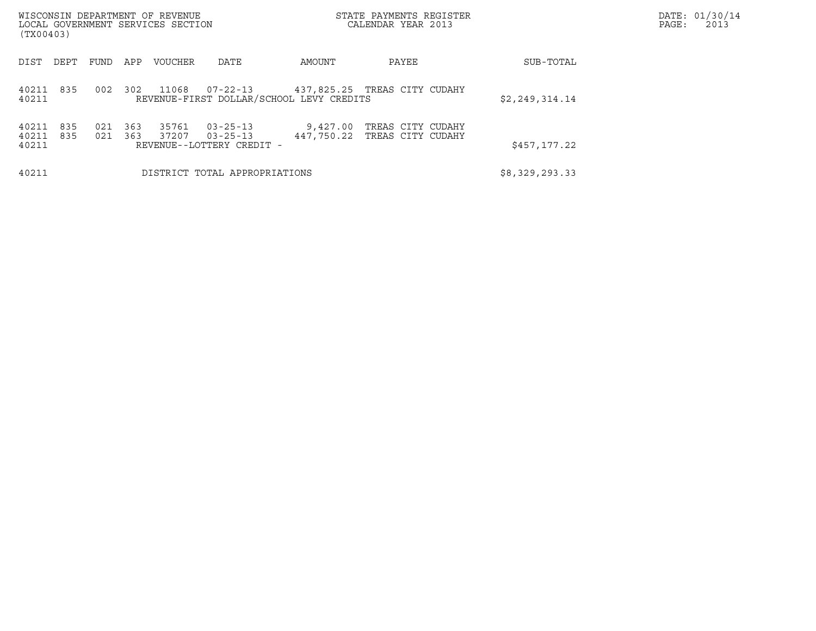| (TX00403)                             | WISCONSIN DEPARTMENT OF REVENUE<br>LOCAL GOVERNMENT SERVICES SECTION |            |                |                                                               |                                          | STATE PAYMENTS REGISTER<br>CALENDAR YEAR 2013 |                | DATE: 01/30/14<br>PAGE:<br>2013 |
|---------------------------------------|----------------------------------------------------------------------|------------|----------------|---------------------------------------------------------------|------------------------------------------|-----------------------------------------------|----------------|---------------------------------|
| DEPT<br>DIST                          | FUND                                                                 | APP        | <b>VOUCHER</b> | DATE                                                          | AMOUNT                                   | PAYEE                                         | SUB-TOTAL      |                                 |
| 40211 835<br>40211                    | 002                                                                  | 302        | 11068          | 07-22-13                                                      | REVENUE-FIRST DOLLAR/SCHOOL LEVY CREDITS | 437,825.25 TREAS CITY CUDAHY                  | \$2,249,314.14 |                                 |
| 835<br>40211<br>40211<br>835<br>40211 | 021<br>021                                                           | 363<br>363 | 35761<br>37207 | $03 - 25 - 13$<br>$03 - 25 - 13$<br>REVENUE--LOTTERY CREDIT - | 9,427.00<br>447,750.22                   | TREAS CITY CUDAHY<br>TREAS CITY CUDAHY        | \$457,177.22   |                                 |
| 40211                                 |                                                                      |            |                | DISTRICT TOTAL APPROPRIATIONS                                 |                                          |                                               | \$8,329,293.33 |                                 |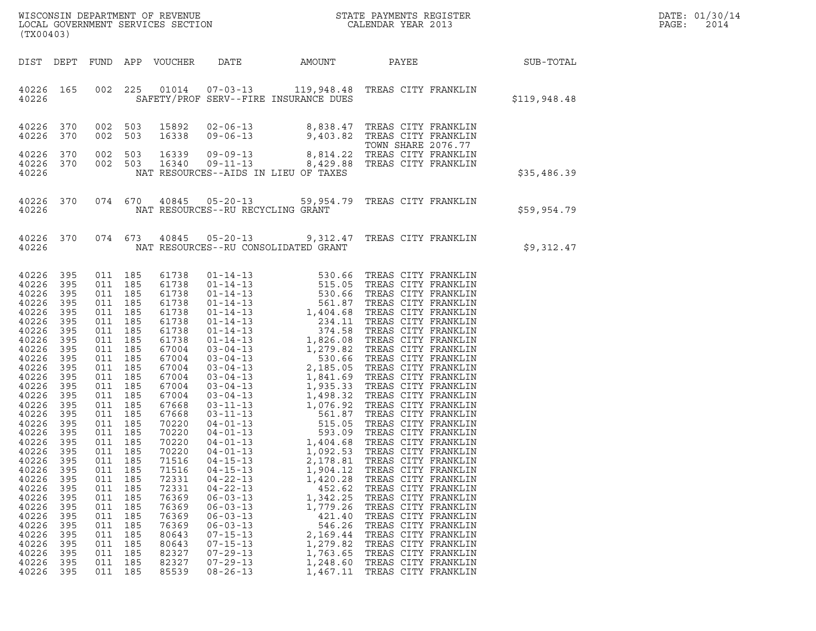|       | DATE: 01/30/14 |
|-------|----------------|
| PAGE: | 2014           |

| WISCONSIN DEPARTMENT OF REVENUE<br>LOCAL GOVERNMENT SERVICES SECTION<br>CALENDAR YEAR 2013<br>(TX00403)                                                                                                                                                                                               |                                                                                                                                                                                                                                       |                                                                                                                                                                                                                                                                                                 |                                                                                                                            |                                                                                                                                                                                                                                                                                                       |                                                                                                                                                                                                                                                          |                                                                                                                                                                                                                                                                                                                                                                                                                            |                                                                                                                                                                                                                                                                                                                                | DATE: 01/30/14<br>PAGE:<br>2014 |  |
|-------------------------------------------------------------------------------------------------------------------------------------------------------------------------------------------------------------------------------------------------------------------------------------------------------|---------------------------------------------------------------------------------------------------------------------------------------------------------------------------------------------------------------------------------------|-------------------------------------------------------------------------------------------------------------------------------------------------------------------------------------------------------------------------------------------------------------------------------------------------|----------------------------------------------------------------------------------------------------------------------------|-------------------------------------------------------------------------------------------------------------------------------------------------------------------------------------------------------------------------------------------------------------------------------------------------------|----------------------------------------------------------------------------------------------------------------------------------------------------------------------------------------------------------------------------------------------------------|----------------------------------------------------------------------------------------------------------------------------------------------------------------------------------------------------------------------------------------------------------------------------------------------------------------------------------------------------------------------------------------------------------------------------|--------------------------------------------------------------------------------------------------------------------------------------------------------------------------------------------------------------------------------------------------------------------------------------------------------------------------------|---------------------------------|--|
|                                                                                                                                                                                                                                                                                                       |                                                                                                                                                                                                                                       |                                                                                                                                                                                                                                                                                                 |                                                                                                                            | DIST DEPT FUND APP VOUCHER                                                                                                                                                                                                                                                                            | DATE                                                                                                                                                                                                                                                     | AMOUNT                                                                                                                                                                                                                                                                                                                                                                                                                     | PAYEE                                                                                                                                                                                                                                                                                                                          | <b>SUB-TOTAL</b>                |  |
| 40226 165<br>40226                                                                                                                                                                                                                                                                                    |                                                                                                                                                                                                                                       | 002 225                                                                                                                                                                                                                                                                                         |                                                                                                                            |                                                                                                                                                                                                                                                                                                       |                                                                                                                                                                                                                                                          | SAFETY/PROF SERV--FIRE INSURANCE DUES                                                                                                                                                                                                                                                                                                                                                                                      |                                                                                                                                                                                                                                                                                                                                | \$119,948.48                    |  |
| 40226<br>40226                                                                                                                                                                                                                                                                                        | 370<br>370                                                                                                                                                                                                                            | 002 503<br>002                                                                                                                                                                                                                                                                                  | 503                                                                                                                        | 15892<br>16338                                                                                                                                                                                                                                                                                        |                                                                                                                                                                                                                                                          | 02-06-13 8,838.47 TREAS CITY FRANKLIN<br>09-06-13 9,403.82 TREAS CITY FRANKLIN                                                                                                                                                                                                                                                                                                                                             | TOWN SHARE 2076.77                                                                                                                                                                                                                                                                                                             |                                 |  |
| 40226<br>40226 370<br>40226                                                                                                                                                                                                                                                                           | 370                                                                                                                                                                                                                                   | 002<br>002 503                                                                                                                                                                                                                                                                                  | 503                                                                                                                        | 16339<br>16340                                                                                                                                                                                                                                                                                        |                                                                                                                                                                                                                                                          | TOWN SHARE 2076.77<br>09-09-13 8,814.22 TREAS CITY FRANKLIN<br>09-11-13 8,429.88 TREAS CITY FRANKLIN<br>NAT RESOURCES--AIDS IN LIEU OF TAXES                                                                                                                                                                                                                                                                               |                                                                                                                                                                                                                                                                                                                                | \$35,486.39                     |  |
| 40226                                                                                                                                                                                                                                                                                                 | 40226 370                                                                                                                                                                                                                             |                                                                                                                                                                                                                                                                                                 | 074 670                                                                                                                    |                                                                                                                                                                                                                                                                                                       | NAT RESOURCES--RU RECYCLING GRANT                                                                                                                                                                                                                        | 40845  05-20-13  59,954.79  TREAS CITY FRANKLIN                                                                                                                                                                                                                                                                                                                                                                            |                                                                                                                                                                                                                                                                                                                                | \$59,954.79                     |  |
| 40226                                                                                                                                                                                                                                                                                                 | 40226 370                                                                                                                                                                                                                             |                                                                                                                                                                                                                                                                                                 |                                                                                                                            |                                                                                                                                                                                                                                                                                                       |                                                                                                                                                                                                                                                          | 074 673 40845 05-20-13 9,312.47 TREAS CITY FRANKLIN<br>NAT RESOURCES--RU CONSOLIDATED GRANT                                                                                                                                                                                                                                                                                                                                |                                                                                                                                                                                                                                                                                                                                | \$9,312.47                      |  |
| 40226<br>40226<br>40226<br>40226<br>40226<br>40226<br>40226<br>40226<br>40226<br>40226<br>40226<br>40226<br>40226<br>40226<br>40226<br>40226<br>40226<br>40226<br>40226<br>40226<br>40226<br>40226<br>40226<br>40226<br>40226<br>40226<br>40226<br>40226<br>40226<br>40226<br>40226<br>40226<br>40226 | 395<br>395<br>395<br>395<br>395<br>395<br>395<br>395<br>395<br>395<br>395<br>395<br>395<br>395<br>395<br>395<br>395<br>395<br>- 395<br>395<br>395<br>395<br>395<br>395<br>395<br>395<br>395<br>395<br>395<br>395<br>395<br>395<br>395 | 011 185<br>011 185<br>011 185<br>011 185<br>011 185<br>011<br>011 185<br>011 185<br>011 185<br>011<br>011 185<br>011<br>011 185<br>011<br>011 185<br>011 185<br>011 185<br>011 185<br>011 185<br>011<br>011<br>011<br>011<br>011<br>011<br>011<br>011<br>011<br>011<br>011<br>011<br>011<br>011 | 185<br>185<br>185<br>185<br>185<br>185<br>185<br>185<br>185<br>185<br>185<br>185<br>185<br>185<br>185<br>185<br>185<br>185 | 61738<br>61738<br>61738<br>61738<br>61738<br>61738<br>61738<br>61738<br>67004<br>67004<br>67004<br>67004<br>67004<br>67004<br>67668<br>67668<br>70220<br>70220<br>70220<br>70220<br>71516<br>71516<br>72331<br>72331<br>76369<br>76369<br>76369<br>76369<br>80643<br>80643<br>82327<br>82327<br>85539 | $04 - 01 - 13$<br>$04 - 15 - 13$<br>$04 - 15 - 13$<br>$04 - 22 - 13$<br>$04 - 22 - 13$<br>$06 - 03 - 13$<br>$06 - 03 - 13$<br>$06 - 03 - 13$<br>$06 - 03 - 13$<br>$07 - 15 - 13$<br>$07 - 15 - 13$<br>$07 - 29 - 13$<br>$07 - 29 - 13$<br>$08 - 26 - 13$ | 01-14-13<br>01-14-13<br>01-14-13<br>01-14-13<br>515.05 TREAS CITY FRANKLIN<br>01-14-13<br>530.66 TREAS CITY FRANKLIN<br>01-14-13<br>561.87 TREAS CITY FRANKLIN<br>01-14-13<br>1,404.68 TREAS CITY FRANKLIN<br>01-14-13<br>234.11 TREAS CITY FRANKLIN<br><br>1,092.53<br>2,178.81<br>1,904.12<br>1,420.28<br>452.62<br>1,342.25<br>1,779.26<br>421.40<br>546.26<br>2,169.44<br>1,279.82<br>1,763.65<br>1,248.60<br>1,467.11 | TREAS CITY FRANKLIN<br>TREAS CITY FRANKLIN<br>TREAS CITY FRANKLIN<br>TREAS CITY FRANKLIN<br>TREAS CITY FRANKLIN<br>TREAS CITY FRANKLIN<br>TREAS CITY FRANKLIN<br>TREAS CITY FRANKLIN<br>TREAS CITY FRANKLIN<br>TREAS CITY FRANKLIN<br>TREAS CITY FRANKLIN<br>TREAS CITY FRANKLIN<br>TREAS CITY FRANKLIN<br>TREAS CITY FRANKLIN |                                 |  |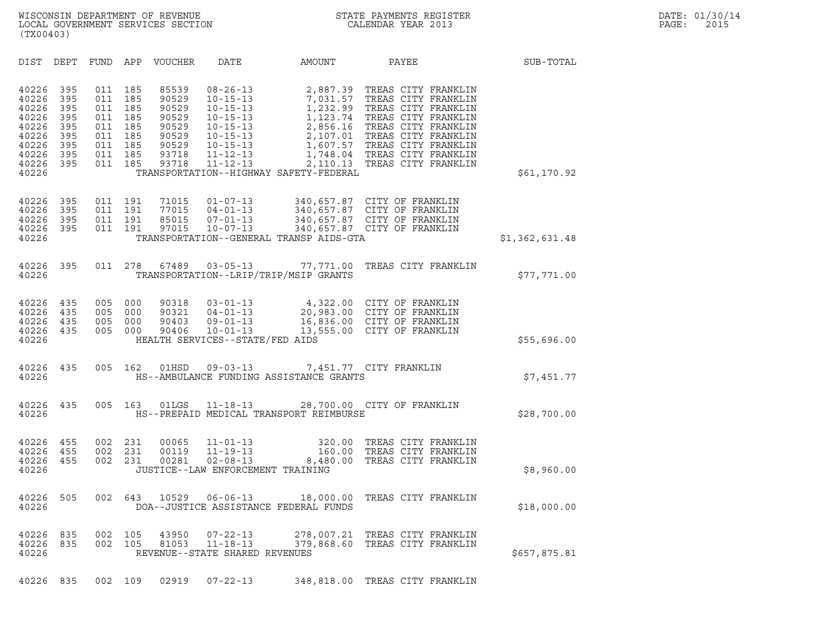| (TX00403)                                                                                                                                                                                                            |                                                                                                                                              |                                                                                                                                                                                                          |                                                                                              |                                                                                                                                                                                                                      |                |
|----------------------------------------------------------------------------------------------------------------------------------------------------------------------------------------------------------------------|----------------------------------------------------------------------------------------------------------------------------------------------|----------------------------------------------------------------------------------------------------------------------------------------------------------------------------------------------------------|----------------------------------------------------------------------------------------------|----------------------------------------------------------------------------------------------------------------------------------------------------------------------------------------------------------------------|----------------|
| DIST DEPT<br>FUND                                                                                                                                                                                                    | APP<br>VOUCHER                                                                                                                               | <b>DATE</b><br>AMOUNT                                                                                                                                                                                    |                                                                                              | PAYEE                                                                                                                                                                                                                | SUB-TOTAL      |
| 40226<br>395<br>011<br>40226<br>395<br>011<br>40226<br>395<br>011<br>40226<br>395<br>011<br>40226<br>395<br>011<br>40226<br>395<br>011<br>40226<br>395<br>011<br>40226<br>395<br>011<br>40226<br>395<br>011<br>40226 | 185<br>85539<br>185<br>90529<br>185<br>90529<br>90529<br>185<br>185<br>90529<br>185<br>90529<br>185<br>90529<br>185<br>93718<br>185<br>93718 | $08 - 26 - 13$<br>$10 - 15 - 13$<br>$10 - 15 - 13$<br>$10 - 15 - 13$<br>$10 - 15 - 13$<br>$10 - 15 - 13$<br>$10 - 15 - 13$<br>$11 - 12 - 13$<br>$11 - 12 - 13$<br>TRANSPORTATION--HIGHWAY SAFETY-FEDERAL | 2,887.39<br>7,031.57<br>1,232.99<br>1,123.74<br>2,856.16<br>2,107.01<br>1,607.57<br>2,110.13 | TREAS CITY FRANKLIN<br>TREAS CITY FRANKLIN<br>TREAS CITY FRANKLIN<br>TREAS CITY FRANKLIN<br>TREAS CITY FRANKLIN<br>TREAS CITY FRANKLIN<br>TREAS CITY FRANKLIN<br>1,748.04 TREAS CITY FRANKLIN<br>TREAS CITY FRANKLIN | \$61,170.92    |
| 40226<br>395<br>011<br>40226<br>395<br>011<br>40226<br>395<br>011<br>40226<br>395<br>011<br>40226                                                                                                                    | 191<br>71015<br>191<br>77015<br>191<br>85015<br>191<br>97015                                                                                 | $01 - 07 - 13$<br>$04 - 01 - 13$<br>$07 - 01 - 13$<br>$10 - 07 - 13$<br>TRANSPORTATION--GENERAL TRANSP AIDS-GTA                                                                                          |                                                                                              | 340,657.87 CITY OF FRANKLIN<br>340,657.87 CITY OF FRANKLIN<br>340,657.87 CITY OF FRANKLIN<br>340,657.87 CITY OF FRANKLIN                                                                                             | \$1,362,631.48 |
| 40226<br>395<br>40226                                                                                                                                                                                                | 011 278<br>67489                                                                                                                             | $03 - 05 - 13$<br>TRANSPORTATION--LRIP/TRIP/MSIP GRANTS                                                                                                                                                  | 77,771.00                                                                                    | TREAS CITY FRANKLIN                                                                                                                                                                                                  | \$77,771.00    |
| 40226<br>435<br>005<br>435<br>005<br>40226<br>005<br>40226<br>435<br>435<br>005<br>40226<br>40226                                                                                                                    | 000<br>90318<br>000<br>90321<br>000<br>90403<br>000<br>90406                                                                                 | $03 - 01 - 13$<br>$04 - 01 - 13$<br>$09 - 01 - 13$<br>$10 - 01 - 13$<br>HEALTH SERVICES--STATE/FED AIDS                                                                                                  |                                                                                              | 4,322.00 CITY OF FRANKLIN<br>20,983.00 CITY OF FRANKLIN<br>16,836.00 CITY OF FRANKLIN<br>13,555.00 CITY OF FRANKLIN                                                                                                  | \$55,696.00    |
| 435<br>005<br>40226<br>40226                                                                                                                                                                                         | 01HSD<br>162                                                                                                                                 | 09-03-13 7,451.77 CITY FRANKLIN<br>HS--AMBULANCE FUNDING ASSISTANCE GRANTS                                                                                                                               |                                                                                              |                                                                                                                                                                                                                      | \$7,451.77     |
| 005<br>40226<br>435<br>40226                                                                                                                                                                                         | 163<br>01LGS                                                                                                                                 | $11 - 18 - 13$<br>HS--PREPAID MEDICAL TRANSPORT REIMBURSE                                                                                                                                                |                                                                                              | 28,700.00 CITY OF FRANKLIN                                                                                                                                                                                           | \$28,700.00    |
| 40226<br>455<br>002<br>40226<br>455<br>002<br>455<br>002<br>40226<br>40226                                                                                                                                           | 231<br>00065<br>231<br>00119<br>231<br>00281                                                                                                 | $11 - 01 - 13$<br>$11 - 19 - 13$<br>$02 - 08 - 13$<br>JUSTICE--LAW ENFORCEMENT TRAINING                                                                                                                  | 320.00<br>160.00<br>8,480.00                                                                 | TREAS CITY FRANKLIN<br>TREAS CITY FRANKLIN<br>TREAS CITY FRANKLIN                                                                                                                                                    | \$8,960.00     |
| 40226<br>505<br>002<br>40226                                                                                                                                                                                         | 643                                                                                                                                          | 10529   06-06-13   18,000.00<br>DOA--JUSTICE ASSISTANCE FEDERAL FUNDS                                                                                                                                    |                                                                                              | TREAS CITY FRANKLIN                                                                                                                                                                                                  | \$18,000.00    |
| 40226<br>835<br>002<br>002<br>40226<br>835<br>40226                                                                                                                                                                  | 105<br>43950<br>105<br>81053                                                                                                                 | $07 - 22 - 13$<br>$11 - 18 - 13$<br>REVENUE--STATE SHARED REVENUES                                                                                                                                       |                                                                                              | 278,007.21 TREAS CITY FRANKLIN<br>379,868.60 TREAS CITY FRANKLIN                                                                                                                                                     | \$657,875.81   |
| 40226 835                                                                                                                                                                                                            | 002 109<br>02919                                                                                                                             | $07 - 22 - 13$                                                                                                                                                                                           |                                                                                              | 348,818.00 TREAS CITY FRANKLIN                                                                                                                                                                                       |                |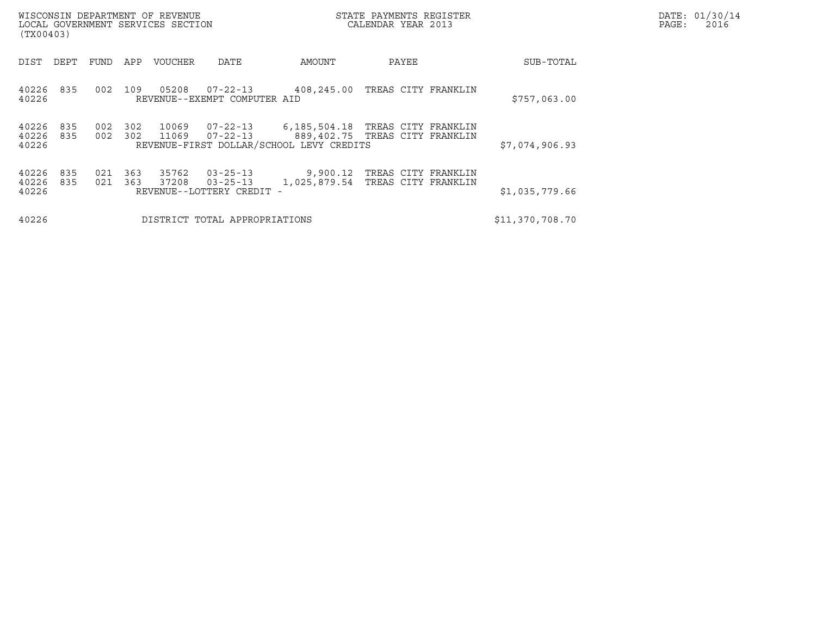| WISCONSIN DEPARTMENT OF REVENUE<br>LOCAL GOVERNMENT SERVICES SECTION<br>(TX00403) |            |            |                |                                                               |                                                          | STATE PAYMENTS REGISTER<br>CALENDAR YEAR 2013         |                 | DATE: 01/30/14<br>PAGE:<br>2016 |
|-----------------------------------------------------------------------------------|------------|------------|----------------|---------------------------------------------------------------|----------------------------------------------------------|-------------------------------------------------------|-----------------|---------------------------------|
| DIST<br>DEPT                                                                      | FUND       | APP        | VOUCHER        | DATE                                                          | AMOUNT                                                   | PAYEE                                                 | SUB-TOTAL       |                                 |
| 835<br>40226<br>40226                                                             | 002        | 109        | 05208          | 07-22-13<br>REVENUE--EXEMPT COMPUTER AID                      | 408,245.00                                               | TREAS CITY FRANKLIN                                   | \$757,063.00    |                                 |
| 835<br>40226<br>40226<br>835<br>40226                                             | 002<br>002 | 302<br>302 | 10069<br>11069 | $07 - 22 - 13$<br>$07 - 22 - 13$                              | 6,185,504.18<br>REVENUE-FIRST DOLLAR/SCHOOL LEVY CREDITS | TREAS CITY FRANKLIN<br>889,402.75 TREAS CITY FRANKLIN | \$7,074,906.93  |                                 |
| 835<br>40226<br>40226<br>835<br>40226                                             | 021<br>021 | 363<br>363 | 35762<br>37208 | $03 - 25 - 13$<br>$03 - 25 - 13$<br>REVENUE--LOTTERY CREDIT - | 9,900.12<br>1,025,879.54                                 | TREAS CITY FRANKLIN<br>TREAS CITY FRANKLIN            | \$1,035,779.66  |                                 |
| 40226                                                                             |            |            |                | DISTRICT TOTAL APPROPRIATIONS                                 |                                                          |                                                       | \$11,370,708.70 |                                 |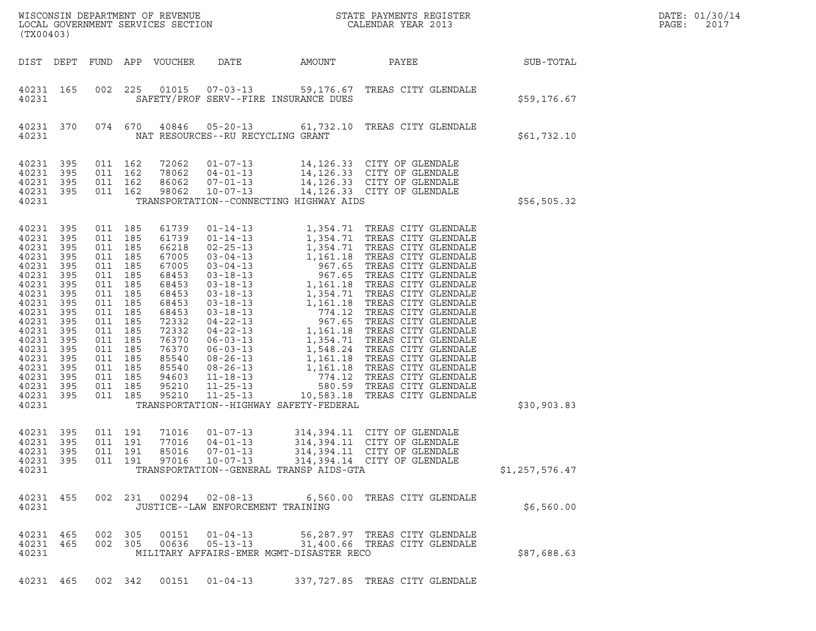| ${\tt WISCONSIM\ DEPARTMENT\ OF\ REVENUE}\hbox{\tt STATE\ PAYMENTS\ REGISTER\ LOCAL\ GOVERNMENT\ SERVICES\ SECTION\hbox{\tt SCITION}\hbox{\tt CALENDAR\ YEAR\ 2013}}$<br>(TX00403) |                                                                                                                                                                                                           |         |                                                                                                                                                                                                    |                                                                                                                                                                         |                                                                |                                          |                                                                                                                                        |                  | DATE: 01/30/14<br>PAGE:<br>2017 |
|------------------------------------------------------------------------------------------------------------------------------------------------------------------------------------|-----------------------------------------------------------------------------------------------------------------------------------------------------------------------------------------------------------|---------|----------------------------------------------------------------------------------------------------------------------------------------------------------------------------------------------------|-------------------------------------------------------------------------------------------------------------------------------------------------------------------------|----------------------------------------------------------------|------------------------------------------|----------------------------------------------------------------------------------------------------------------------------------------|------------------|---------------------------------|
|                                                                                                                                                                                    | DIST DEPT                                                                                                                                                                                                 |         |                                                                                                                                                                                                    | FUND APP VOUCHER                                                                                                                                                        | DATE                                                           | AMOUNT                                   | PAYEE                                                                                                                                  | <b>SUB-TOTAL</b> |                                 |
| 40231                                                                                                                                                                              | 40231 165                                                                                                                                                                                                 |         | 002 225                                                                                                                                                                                            |                                                                                                                                                                         |                                                                | SAFETY/PROF SERV--FIRE INSURANCE DUES    | 01015  07-03-13  59,176.67  TREAS CITY GLENDALE                                                                                        | \$59,176.67      |                                 |
| 40231                                                                                                                                                                              | 40231 370                                                                                                                                                                                                 |         |                                                                                                                                                                                                    |                                                                                                                                                                         | NAT RESOURCES--RU RECYCLING GRANT                              |                                          | 074 670 40846 05-20-13 61,732.10 TREAS CITY GLENDALE                                                                                   | \$61,732.10      |                                 |
| 40231<br>40231                                                                                                                                                                     | 40231 395<br>395<br>40231 395<br>40231 395                                                                                                                                                                |         | 011 162<br>011 162<br>011 162<br>011 162                                                                                                                                                           | 72062<br>78062<br>86062<br>98062                                                                                                                                        |                                                                | TRANSPORTATION--CONNECTING HIGHWAY AIDS  | 01-07-13<br>04-01-13<br>14,126.33 CITY OF GLENDALE<br>07-01-13<br>14,126.33 CITY OF GLENDALE<br>10-07-13<br>14,126.33 CITY OF GLENDALE | \$56,505.32      |                                 |
| 40231<br>40231<br>40231<br>40231<br>40231<br>40231<br>40231<br>40231<br>40231                                                                                                      | 40231 395<br>40231 395<br>395<br>40231 395<br>- 395<br>40231 395<br>395<br>40231 395<br>- 395<br>40231 395<br>395<br>40231 395<br>- 395<br>40231 395<br>395<br>40231 395<br>395<br>40231 395<br>40231 395 | 011 185 | 011 185<br>011 185<br>011 185<br>011 185<br>011 185<br>011 185<br>011 185<br>011 185<br>011 185<br>011 185<br>011 185<br>011 185<br>011 185<br>011 185<br>011 185<br>011 185<br>011 185<br>011 185 | 61739<br>61739<br>66218<br>67005<br>67005<br>68453<br>68453<br>68453<br>68453<br>68453<br>72332<br>72332<br>76370<br>76370<br>85540<br>85540<br>94603<br>95210<br>95210 |                                                                | TRANSPORTATION--HIGHWAY SAFETY-FEDERAL   |                                                                                                                                        | \$30,903.83      |                                 |
| 40231                                                                                                                                                                              | 40231 395<br>40231 395<br>40231 395<br>40231 395                                                                                                                                                          |         | 011 191<br>011 191<br>011 191                                                                                                                                                                      | 71016<br>77016<br>85016<br>011 191 97016                                                                                                                                | $01 - 07 - 13$<br>$04 - 01 - 13$<br>07-01-13<br>$10 - 07 - 13$ | TRANSPORTATION--GENERAL TRANSP AIDS-GTA  | 314, 394.11 CITY OF GLENDALE<br>314,394.11 CITY OF GLENDALE<br>314,394.11 CITY OF GLENDALE<br>314,394.14 CITY OF GLENDALE              | \$1,257,576.47   |                                 |
| 40231                                                                                                                                                                              | 40231 455                                                                                                                                                                                                 |         |                                                                                                                                                                                                    |                                                                                                                                                                         | JUSTICE--LAW ENFORCEMENT TRAINING                              |                                          | 002  231  00294  02-08-13  6,560.00  TREAS CITY GLENDALE                                                                               | \$6,560.00       |                                 |
| 40231                                                                                                                                                                              | 40231 465<br>40231 465                                                                                                                                                                                    |         | 002 305                                                                                                                                                                                            | 002 305 00151<br>00636                                                                                                                                                  | $01 - 04 - 13$<br>$05 - 13 - 13$                               | MILITARY AFFAIRS-EMER MGMT-DISASTER RECO | 56,287.97 TREAS CITY GLENDALE<br>31,400.66 TREAS CITY GLENDALE                                                                         | \$87,688.63      |                                 |
|                                                                                                                                                                                    |                                                                                                                                                                                                           |         |                                                                                                                                                                                                    |                                                                                                                                                                         |                                                                |                                          | 40231 465 002 342 00151 01-04-13 337,727.85 TREAS CITY GLENDALE                                                                        |                  |                                 |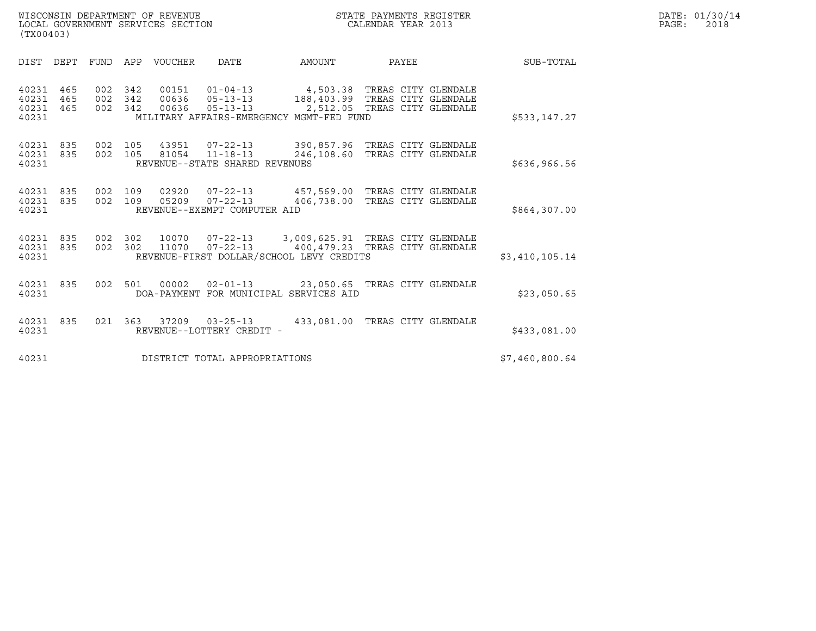| WISCONSIN DEPARTMENT OF REVENUE<br>STATE PAYMENTS REGISTER<br>LOCAL GOVERNMENT SERVICES SECTION<br>CALENDAR YEAR 2013<br>(TX00403) |      |                               |             |                                                     |                                                                                                                                                                                         |                                |  |                | DATE: 01/30/14<br>$\mathtt{PAGE}$ :<br>2018 |
|------------------------------------------------------------------------------------------------------------------------------------|------|-------------------------------|-------------|-----------------------------------------------------|-----------------------------------------------------------------------------------------------------------------------------------------------------------------------------------------|--------------------------------|--|----------------|---------------------------------------------|
| DIST DEPT                                                                                                                          | FUND |                               | APP VOUCHER | <b>DATE</b>                                         | AMOUNT                                                                                                                                                                                  | PAYEE                          |  | SUB-TOTAL      |                                             |
| 40231 465<br>40231<br>465<br>40231 465<br>40231                                                                                    |      | 002 342<br>002 342<br>002 342 | 00151       |                                                     | 01-04-13 4,503.38 TREAS CITY GLENDALE<br>00636  05-13-13  188,403.99  TREAS CITY GLENDALE<br>00636  05-13-13  2,512.05  TREAS CITY GLENDALE<br>MILITARY AFFAIRS-EMERGENCY MGMT-FED FUND |                                |  | \$533,147.27   |                                             |
| 40231<br>835<br>40231 835<br>40231                                                                                                 |      | 002 105<br>002 105            |             | REVENUE--STATE SHARED REVENUES                      | 43951  07-22-13  390,857.96  TREAS CITY GLENDALE<br>81054  11-18-13  246,108.60  TREAS CITY GLENDALE                                                                                    |                                |  | \$636,966.56   |                                             |
| 40231<br>835<br>40231 835<br>40231                                                                                                 |      | 002 109<br>002 109            |             | REVENUE--EXEMPT COMPUTER AID                        | 02920  07-22-13  457,569.00 TREAS CITY GLENDALE<br>05209  07-22-13  406,738.00 TREAS CITY GLENDALE                                                                                      |                                |  | \$864,307.00   |                                             |
| 40231 835<br>40231 835<br>40231                                                                                                    |      | 002 302<br>002 302            |             |                                                     | 10070  07-22-13  3,009,625.91  TREAS CITY GLENDALE<br>11070  07-22-13  400,479.23  TREAS CITY GLENDALE<br>REVENUE-FIRST DOLLAR/SCHOOL LEVY CREDITS                                      |                                |  | \$3,410,105.14 |                                             |
| 40231 835<br>40231                                                                                                                 |      | 002 501                       | 00002       |                                                     | DOA-PAYMENT FOR MUNICIPAL SERVICES AID                                                                                                                                                  |                                |  | \$23,050.65    |                                             |
| 40231 835<br>40231                                                                                                                 |      |                               |             | 021 363 37209 03-25-13<br>REVENUE--LOTTERY CREDIT - |                                                                                                                                                                                         | 433,081.00 TREAS CITY GLENDALE |  | \$433,081.00   |                                             |

| 40231 835<br>40231 | 021 363 | 37209 | 03-25-13<br>REVENUE--LOTTERY CREDIT - | 433,081.00 TREAS CITY GLENDALE | \$433,081.00   |
|--------------------|---------|-------|---------------------------------------|--------------------------------|----------------|
| 40231              |         |       | DISTRICT TOTAL APPROPRIATIONS         |                                | \$7,460,800.64 |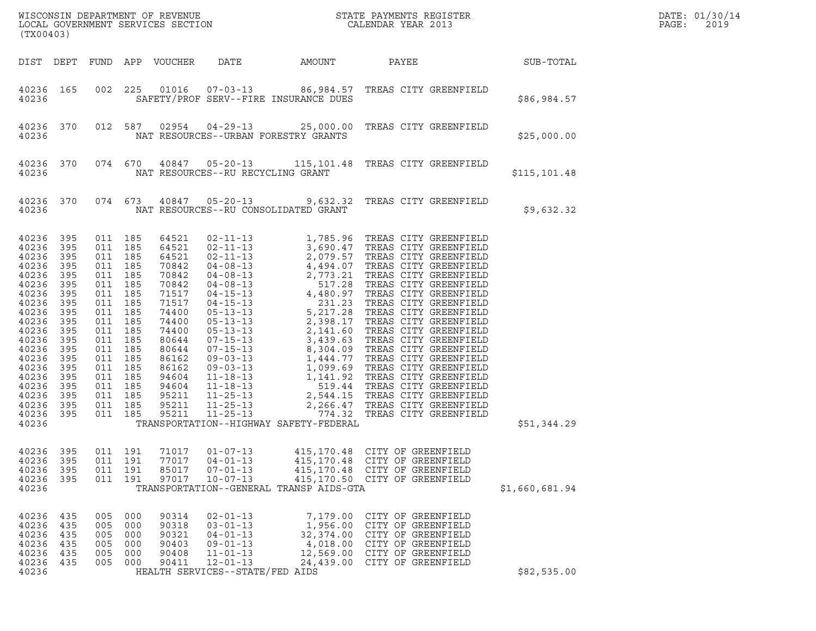| (TX00403)                                                                                                                                                                                                                                                                                                                             | ${\tt WISCONSIM\ DEPARTMENT\ OF\ REVENUE}\qquad \qquad {\tt STATE\ PAYMENTS\ REGISTER\ LOCAL\ GOVERNMENT\ SERVICES\ SECTION\qquad \qquad {\tt CALENDAR\ YEAR\ 2013}}$                                                                                                                                                                                                                                              |                                                                                                                                                                                                                        | DATE: 01/30/14<br>PAGE:<br>2019                                                                                                  |                  |  |
|---------------------------------------------------------------------------------------------------------------------------------------------------------------------------------------------------------------------------------------------------------------------------------------------------------------------------------------|--------------------------------------------------------------------------------------------------------------------------------------------------------------------------------------------------------------------------------------------------------------------------------------------------------------------------------------------------------------------------------------------------------------------|------------------------------------------------------------------------------------------------------------------------------------------------------------------------------------------------------------------------|----------------------------------------------------------------------------------------------------------------------------------|------------------|--|
|                                                                                                                                                                                                                                                                                                                                       | DIST DEPT FUND APP VOUCHER                                                                                                                                                                                                                                                                                                                                                                                         | DATE<br>AMOUNT                                                                                                                                                                                                         | PAYEE                                                                                                                            | <b>SUB-TOTAL</b> |  |
| 40236 165<br>40236                                                                                                                                                                                                                                                                                                                    | 002 225                                                                                                                                                                                                                                                                                                                                                                                                            | 01016  07-03-13  86,984.57  TREAS CITY GREENFIELD<br>SAFETY/PROF SERV--FIRE INSURANCE DUES                                                                                                                             |                                                                                                                                  | \$86,984.57      |  |
| 40236 370<br>40236                                                                                                                                                                                                                                                                                                                    | 012 587                                                                                                                                                                                                                                                                                                                                                                                                            | 02954  04-29-13  25,000.00  TREAS CITY GREENFIELD<br>NAT RESOURCES--URBAN FORESTRY GRANTS                                                                                                                              |                                                                                                                                  | \$25,000.00      |  |
| 40236 370<br>40236                                                                                                                                                                                                                                                                                                                    |                                                                                                                                                                                                                                                                                                                                                                                                                    | 074 670 40847 05-20-13 115,101.48 TREAS CITY GREENFIELD<br>NAT RESOURCES--RU RECYCLING GRANT                                                                                                                           |                                                                                                                                  | \$115,101.48     |  |
| 40236 370<br>40236                                                                                                                                                                                                                                                                                                                    | 074 673                                                                                                                                                                                                                                                                                                                                                                                                            | 40847  05-20-13  9,632.32  TREAS CITY GREENFIELD<br>NAT RESOURCES--RU CONSOLIDATED GRANT                                                                                                                               |                                                                                                                                  | \$9,632.32       |  |
| 40236<br>395<br>40236<br>395<br>40236<br>395<br>40236<br>395<br>40236<br>395<br>40236<br>395<br>40236<br>395<br>40236<br>395<br>40236<br>395<br>40236<br>395<br>40236<br>395<br>40236<br>395<br>40236<br>395<br>40236<br>395<br>40236<br>395<br>40236<br>395<br>40236<br>395<br>40236<br>395<br>40236<br>395<br>40236<br>395<br>40236 | 011 185<br>64521<br>011 185<br>64521<br>011 185<br>64521<br>011 185<br>70842<br>011 185<br>70842<br>185<br>011<br>70842<br>011 185<br>71517<br>011 185<br>71517<br>011 185<br>74400<br>011 185<br>74400<br>011 185<br>74400<br>011 185<br>80644<br>011 185<br>80644<br>185<br>011<br>86162<br>011 185<br>86162<br>011 185<br>94604<br>011 185<br>94604<br>011 185<br>95211<br>011 185<br>95211<br>011 185<br>95211 | TRANSPORTATION--HIGHWAY SAFETY-FEDERAL                                                                                                                                                                                 |                                                                                                                                  | \$51,344.29      |  |
| 40236<br>395<br>40236<br>395<br>40236<br>395<br>40236<br>395<br>40236                                                                                                                                                                                                                                                                 | 191<br>71017<br>011<br>191<br>77017<br>011<br>011<br>191<br>85017<br>011 191<br>97017                                                                                                                                                                                                                                                                                                                              | $01 - 07 - 13$<br>415,170.48<br>$04 - 01 - 13$<br>415,170.48<br>$07 - 01 - 13$<br>415,170.48<br>$10 - 07 - 13$<br>TRANSPORTATION--GENERAL TRANSP AIDS-GTA                                                              | CITY OF GREENFIELD<br>CITY OF GREENFIELD<br>CITY OF GREENFIELD<br>415,170.50 CITY OF GREENFIELD                                  | \$1,660,681.94   |  |
| 40236<br>435<br>40236<br>435<br>40236<br>435<br>40236<br>435<br>40236<br>435<br>40236<br>435<br>40236                                                                                                                                                                                                                                 | 005<br>000<br>90314<br>005<br>000<br>90318<br>005<br>000<br>90321<br>000<br>90403<br>005<br>005<br>000<br>90408<br>005 000<br>90411                                                                                                                                                                                                                                                                                | $02 - 01 - 13$<br>7,179.00<br>$03 - 01 - 13$<br>1,956.00<br>$04 - 01 - 13$<br>32,374.00<br>$09 - 01 - 13$<br>4,018.00<br>$11 - 01 - 13$<br>12,569.00<br>$12 - 01 - 13$<br>24,439.00<br>HEALTH SERVICES--STATE/FED AIDS | CITY OF GREENFIELD<br>CITY OF GREENFIELD<br>CITY OF GREENFIELD<br>CITY OF GREENFIELD<br>CITY OF GREENFIELD<br>CITY OF GREENFIELD | \$82,535.00      |  |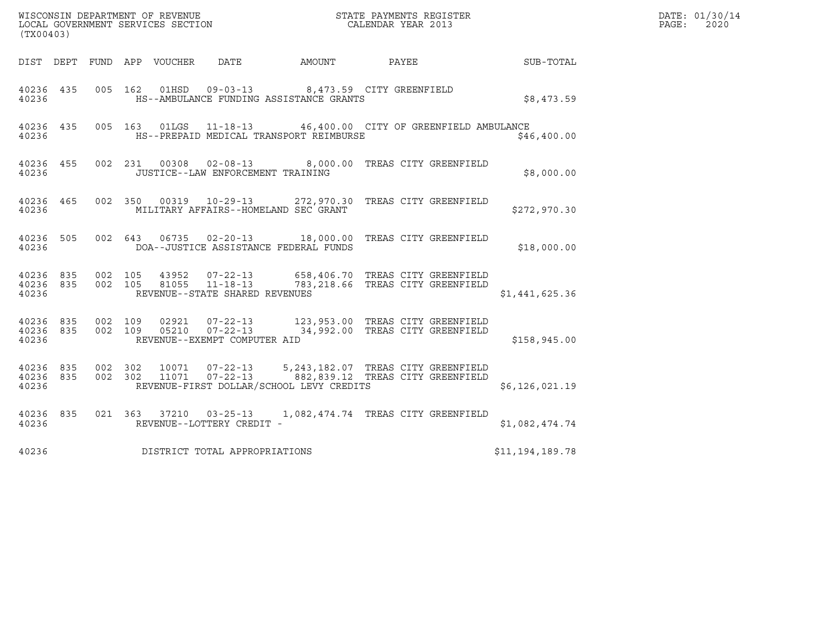|                                 | $\tt WISCONSIM DEPARTMENT OF REVENUE$ $\tt WISCONSIM EN THE RAYMENTS REGISTERLOCAL GOVERNMENT SERVICES SECTION CALENDAR YEAR 2013$<br>(TX00403) |                    |         |               |                                   |                                          |                                                                                                                                                         |                 | DATE: 01/30/14<br>$\mathtt{PAGE}$ :<br>2020 |
|---------------------------------|-------------------------------------------------------------------------------------------------------------------------------------------------|--------------------|---------|---------------|-----------------------------------|------------------------------------------|---------------------------------------------------------------------------------------------------------------------------------------------------------|-----------------|---------------------------------------------|
|                                 |                                                                                                                                                 |                    |         |               | DIST DEPT FUND APP VOUCHER DATE   | <b>AMOUNT</b>                            | <b>PAYEE</b>                                                                                                                                            | SUB-TOTAL       |                                             |
| 40236 435<br>40236              |                                                                                                                                                 |                    |         |               |                                   | HS--AMBULANCE FUNDING ASSISTANCE GRANTS  | 005 162 01HSD 09-03-13 8,473.59 CITY GREENFIELD                                                                                                         | \$8,473.59      |                                             |
| 40236                           | 40236 435                                                                                                                                       |                    |         |               |                                   | HS--PREPAID MEDICAL TRANSPORT REIMBURSE  | 005  163  01LGS  11-18-13  46,400.00  CITY OF GREENFIELD AMBULANCE                                                                                      | \$46,400.00     |                                             |
| 40236                           | 40236 455                                                                                                                                       |                    |         |               | JUSTICE--LAW ENFORCEMENT TRAINING |                                          | 002 231 00308 02-08-13 8,000.00 TREAS CITY GREENFIELD                                                                                                   | \$8,000.00      |                                             |
| 40236                           | 40236 465                                                                                                                                       |                    |         |               |                                   | MILITARY AFFAIRS--HOMELAND SEC GRANT     | 002 350 00319 10-29-13 272,970.30 TREAS CITY GREENFIELD                                                                                                 | \$272,970.30    |                                             |
| 40236 505<br>40236              |                                                                                                                                                 |                    |         | 002 643 06735 |                                   | DOA--JUSTICE ASSISTANCE FEDERAL FUNDS    | 02-20-13 18,000.00 TREAS CITY GREENFIELD                                                                                                                | \$18,000.00     |                                             |
| 40236 835<br>40236 835<br>40236 |                                                                                                                                                 |                    |         |               | REVENUE--STATE SHARED REVENUES    |                                          | 002 105 43952 07-22-13 658,406.70 TREAS CITY GREENFIELD<br>002 105 81055 11-18-13 783,218.66 TREAS CITY GREENFIELD<br>783, 218.66 TREAS CITY GREENFIELD | \$1,441,625.36  |                                             |
| 40236                           | 40236 835<br>40236 835                                                                                                                          | 002 109            | 002 109 |               | REVENUE--EXEMPT COMPUTER AID      |                                          | 02921  07-22-13  123,953.00 TREAS CITY GREENFIELD<br>05210  07-22-13  34,992.00 TREAS CITY GREENFIELD                                                   | \$158,945.00    |                                             |
| 40236 835<br>40236<br>40236     | 835                                                                                                                                             | 002 302<br>002 302 |         | 11071         | 10071  07-22-13                   | REVENUE-FIRST DOLLAR/SCHOOL LEVY CREDITS | 5, 243, 182.07 TREAS CITY GREENFIELD<br>07-22-13 882,839.12 TREAS CITY GREENFIELD                                                                       | \$6,126,021.19  |                                             |
| 40236 835<br>40236              |                                                                                                                                                 |                    |         |               | REVENUE--LOTTERY CREDIT -         |                                          | 021  363  37210  03-25-13  1,082,474.74  TREAS CITY GREENFIELD                                                                                          | \$1,082,474.74  |                                             |
| 40236                           |                                                                                                                                                 |                    |         |               | DISTRICT TOTAL APPROPRIATIONS     |                                          |                                                                                                                                                         | \$11,194,189.78 |                                             |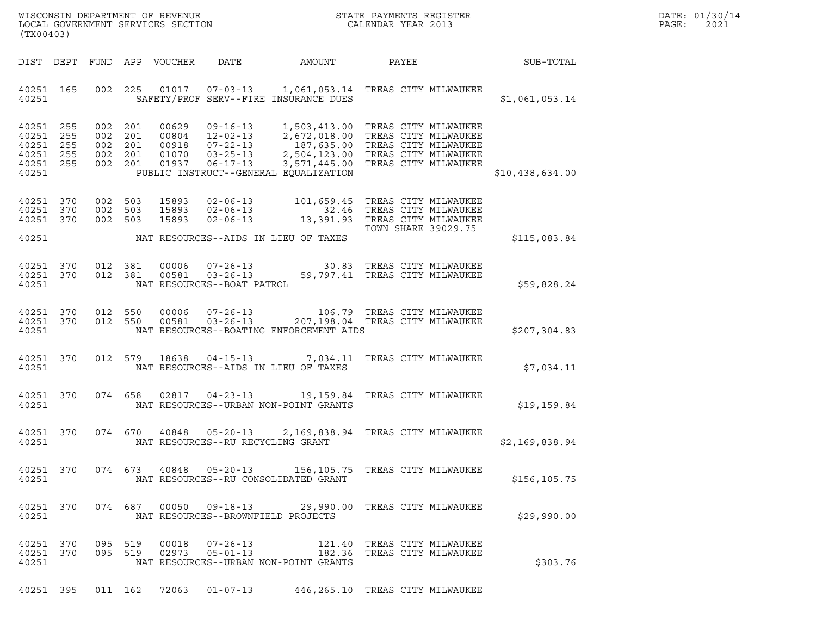|       | DATE: 01/30/14 |
|-------|----------------|
| PAGE: | 2021           |

| (TX00403)                                                              |                                                                                                                                                                                                                                                                                                     | DATE: 01/30/14<br>PAGE:<br>2021 |
|------------------------------------------------------------------------|-----------------------------------------------------------------------------------------------------------------------------------------------------------------------------------------------------------------------------------------------------------------------------------------------------|---------------------------------|
|                                                                        | DIST DEPT FUND APP VOUCHER DATE AMOUNT<br>PAYEE SUB-TOTAL                                                                                                                                                                                                                                           |                                 |
| 40251                                                                  | 40251 165 002 225 01017 07-03-13 1,061,053.14 TREAS CITY MILWAUKEE<br>SAFETY/PROF SERV--FIRE INSURANCE DUES<br>\$1,061,053.14                                                                                                                                                                       |                                 |
| 40251 255<br>40251 255<br>40251 255<br>40251 255<br>40251 255<br>40251 | 002 201 00629 09-16-13 1,503,413.00 TREAS CITY MILWAUKEE<br>002 201 00804 12-02-13 2,672,018.00 TREAS CITY MILWAUKEE<br>002 201 00918 07-22-13 187,635.00 TREAS CITY MILWAUKEE<br>002 201 01070 03-25-13 2,504,123.00 TREAS CITY MILWAU<br>PUBLIC INSTRUCT--GENERAL EQUALIZATION<br>\$10,438,634.00 |                                 |
| 40251 370<br>40251 370<br>40251 370                                    | 002 503 15893 02-06-13 101,659.45 TREAS CITY MILWAUKEE<br>002 503 15893 02-06-13 32.46 TREAS CITY MILWAUKEE<br>002 503 15893 02-06-13 13,391.93 TAEAS CITY MILWAUKEE<br>TOWN SHARE 39029.75<br>40251 NAT RESOURCES--AIDS IN LIEU OF TAXES<br>\$115,083.84                                           |                                 |
| 40251 370<br>40251 370<br>40251                                        | 012 381 00006 07-26-13 30.83 TREAS CITY MILWAUKEE<br>012 381 00581 03-26-13 59,797.41 TREAS CITY MILWAUKEE<br>NAT RESOURCES--BOAT PATROL<br>\$59,828.24                                                                                                                                             |                                 |
| 40251 370<br>40251 370<br>40251                                        | 012 550 00006 07-26-13 106.79 TREAS CITY MILWAUKEE<br>012 550 00581 03-26-13 207,198.04 TREAS CITY MILWAUKEE<br>NAT RESOURCES--BOATING ENFORCEMENT AIDS<br>\$207,304.83                                                                                                                             |                                 |
| 40251 370<br>40251                                                     | 012 579 18638 04-15-13 7,034.11 TREAS CITY MILWAUKEE<br>NAT RESOURCES--AIDS IN LIEU OF TAXES<br>\$7,034.11                                                                                                                                                                                          |                                 |
| 40251 370<br>40251                                                     | 074 658 02817 04-23-13 19,159.84 TREAS CITY MILWAUKEE<br>NAT RESOURCES--URBAN NON-POINT GRANTS<br>\$19,159.84                                                                                                                                                                                       |                                 |
| 40251 370<br>40251                                                     | 2,169,838.94 TREAS CITY MILWAUKEE<br>074 670 40848 05-20-13<br>NAT RESOURCES--RU RECYCLING GRANT<br>\$2,169,838.94                                                                                                                                                                                  |                                 |
| 40251 370<br>40251                                                     | 074  673  40848  05-20-13  156,105.75  TREAS CITY MILWAUKEE<br>NAT RESOURCES--RU CONSOLIDATED GRANT<br>\$156, 105.75                                                                                                                                                                                |                                 |
| 40251 370<br>40251                                                     | 074 687 00050 09-18-13<br>29,990.00 TREAS CITY MILWAUKEE<br>NAT RESOURCES--BROWNFIELD PROJECTS<br>\$29,990.00                                                                                                                                                                                       |                                 |
| 40251 370<br>095 519<br>40251 370<br>40251                             | 00018<br>$07 - 26 - 13$<br>121.40 TREAS CITY MILWAUKEE<br>095 519 02973 05-01-13<br>182.36 TREAS CITY MILWAUKEE<br>NAT RESOURCES--URBAN NON-POINT GRANTS<br>\$303.76                                                                                                                                |                                 |

40251 395 011 162 72063 01-07-13 446,265.10 TREAS CITY MILWAUKEE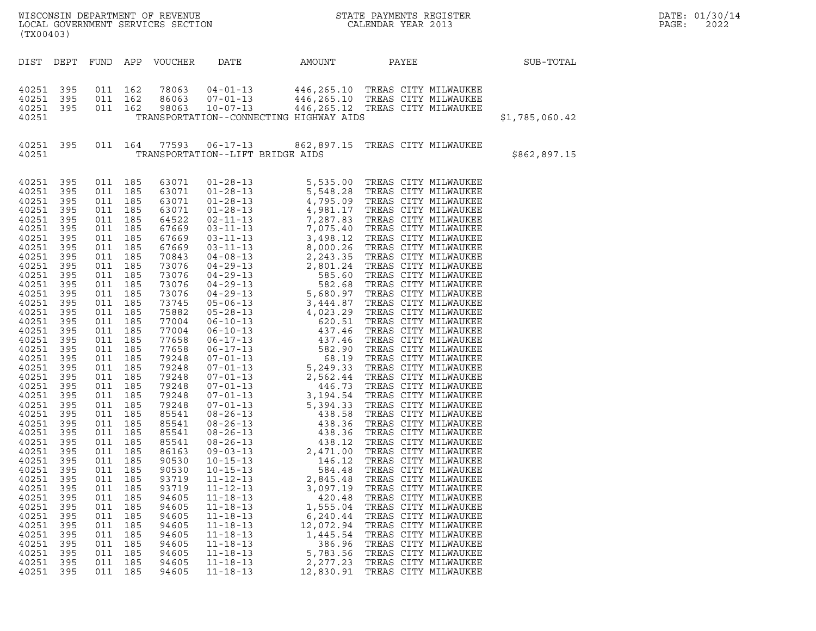| LOCAL GOVERNMENT SERVICES SECTION<br>(TX00403)                                                                                                                                                                                                                                                                                                                                                                                                                                                                                                                                                                                                                                                            |                                                                                                                                                                                                                                                                                                                                                                                                            |                                                                                                                         |                                                                                                                                                                                                                                                                                                                                                                                                 |                                                                                                                                                                                                                                                          |                                                                                                                                                                | WISCONSIN DEPARTMENT OF REVENUE<br>LOCAL GOVERNMENT SERVICES SECTION<br>CALENDAR YEAR 2013                                                                                                                                                                                                                                                   |                | DATE: 01/30/14<br>PAGE:<br>2022 |  |  |
|-----------------------------------------------------------------------------------------------------------------------------------------------------------------------------------------------------------------------------------------------------------------------------------------------------------------------------------------------------------------------------------------------------------------------------------------------------------------------------------------------------------------------------------------------------------------------------------------------------------------------------------------------------------------------------------------------------------|------------------------------------------------------------------------------------------------------------------------------------------------------------------------------------------------------------------------------------------------------------------------------------------------------------------------------------------------------------------------------------------------------------|-------------------------------------------------------------------------------------------------------------------------|-------------------------------------------------------------------------------------------------------------------------------------------------------------------------------------------------------------------------------------------------------------------------------------------------------------------------------------------------------------------------------------------------|----------------------------------------------------------------------------------------------------------------------------------------------------------------------------------------------------------------------------------------------------------|----------------------------------------------------------------------------------------------------------------------------------------------------------------|----------------------------------------------------------------------------------------------------------------------------------------------------------------------------------------------------------------------------------------------------------------------------------------------------------------------------------------------|----------------|---------------------------------|--|--|
| DIST DEPT FUND APP VOUCHER                                                                                                                                                                                                                                                                                                                                                                                                                                                                                                                                                                                                                                                                                |                                                                                                                                                                                                                                                                                                                                                                                                            |                                                                                                                         |                                                                                                                                                                                                                                                                                                                                                                                                 | DATE                                                                                                                                                                                                                                                     | AMOUNT                                                                                                                                                         | PAYEE                                                                                                                                                                                                                                                                                                                                        | SUB-TOTAL      |                                 |  |  |
| 40251 395<br>40251<br>395<br>40251 395<br>40251                                                                                                                                                                                                                                                                                                                                                                                                                                                                                                                                                                                                                                                           | 011 162                                                                                                                                                                                                                                                                                                                                                                                                    | 011 162<br>011 162                                                                                                      | 78063<br>86063<br>98063                                                                                                                                                                                                                                                                                                                                                                         | $04 - 01 - 13$<br>$07 - 01 - 13$<br>$10 - 07 - 13$                                                                                                                                                                                                       | TRANSPORTATION--CONNECTING HIGHWAY AIDS                                                                                                                        | 446,265.10 TREAS CITY MILWAUKEE<br>446,265.10 TREAS CITY MILWAUKEE<br>446,265.12__TREAS CITY MILWAUKEE                                                                                                                                                                                                                                       | \$1,785,060.42 |                                 |  |  |
| 40251 395<br>40251                                                                                                                                                                                                                                                                                                                                                                                                                                                                                                                                                                                                                                                                                        |                                                                                                                                                                                                                                                                                                                                                                                                            |                                                                                                                         |                                                                                                                                                                                                                                                                                                                                                                                                 | 011 164 77593 06-17-13<br>TRANSPORTATION--LIFT BRIDGE AIDS                                                                                                                                                                                               |                                                                                                                                                                | 862,897.15 TREAS CITY MILWAUKEE                                                                                                                                                                                                                                                                                                              | \$862,897.15   |                                 |  |  |
| 40251 395<br>40251<br>395<br>40251<br>395<br>40251<br>395<br>40251<br>395<br>40251<br>395<br>40251<br>395<br>40251<br>395<br>40251<br>395<br>40251<br>395<br>40251<br>395<br>40251<br>395<br>40251<br>395<br>40251<br>395<br>40251<br>395<br>40251<br>395<br>40251<br>395<br>40251<br>395<br>40251<br>395<br>40251<br>395<br>40251<br>395<br>40251<br>395<br>40251<br>395<br>40251<br>395<br>40251<br>395<br>40251<br>395<br>40251<br>395<br>40251<br>395<br>40251<br>395<br>40251<br>395<br>40251<br>395<br>40251<br>395<br>40251<br>395<br>40251<br>395<br>40251<br>395<br>40251<br>395<br>40251<br>395<br>40251<br>395<br>40251<br>395<br>40251<br>395<br>40251<br>395<br>40251<br>395<br>40251<br>395 | 011 185<br>011 185<br>011 185<br>011 185<br>011 185<br>011 185<br>011 185<br>011 185<br>011 185<br>011 185<br>011 185<br>011<br>011 185<br>011 185<br>011 185<br>011 185<br>011 185<br>011 185<br>011 185<br>011 185<br>011 185<br>011<br>011 185<br>011<br>011 185<br>011 185<br>011 185<br>011 185<br>011 185<br>011<br>011<br>011<br>011<br>011<br>011<br>011<br>011<br>011<br>011<br>011<br>011<br>011 | 185<br>185<br>185<br>185<br>185<br>185<br>185<br>185<br>185<br>185<br>185<br>185<br>185<br>185<br>185<br>185<br>011 185 | 63071<br>63071<br>63071<br>63071<br>64522<br>67669<br>67669<br>67669<br>70843<br>73076<br>73076<br>73076<br>73076<br>73745<br>75882<br>77004<br>77004<br>77658<br>77658<br>79248<br>79248<br>79248<br>79248<br>79248<br>79248<br>85541<br>85541<br>85541<br>85541<br>86163<br>90530<br>90530<br>93719<br>93719<br>94605<br>94605<br>94605<br>94605<br>94605<br>94605<br>94605<br>94605<br>94605 | $09 - 03 - 13$<br>$10 - 15 - 13$<br>$10 - 15 - 13$<br>$11 - 12 - 13$<br>$11 - 12 - 13$<br>$11 - 18 - 13$<br>$11 - 18 - 13$<br>$11 - 18 - 13$<br>$11 - 18 - 13$<br>$11 - 18 - 13$<br>$11 - 18 - 13$<br>$11 - 18 - 13$<br>$11 - 18 - 13$<br>$11 - 18 - 13$ | 2,471.00<br>146.12<br>584.48<br>2,845.48<br>3,097.19<br>420.48<br>1,555.04<br>6,240.44<br>12,072.94<br>1,445.54<br>386.96<br>5,783.56<br>2,277.23<br>12,830.91 | TREAS CITY MILWAUKEE<br>TREAS CITY MILWAUKEE<br>TREAS CITY MILWAUKEE<br>TREAS CITY MILWAUKEE<br>TREAS CITY MILWAUKEE<br>TREAS CITY MILWAUKEE<br>TREAS CITY MILWAUKEE<br>TREAS CITY MILWAUKEE<br>TREAS CITY MILWAUKEE<br>TREAS CITY MILWAUKEE<br>TREAS CITY MILWAUKEE<br>TREAS CITY MILWAUKEE<br>TREAS CITY MILWAUKEE<br>TREAS CITY MILWAUKEE |                |                                 |  |  |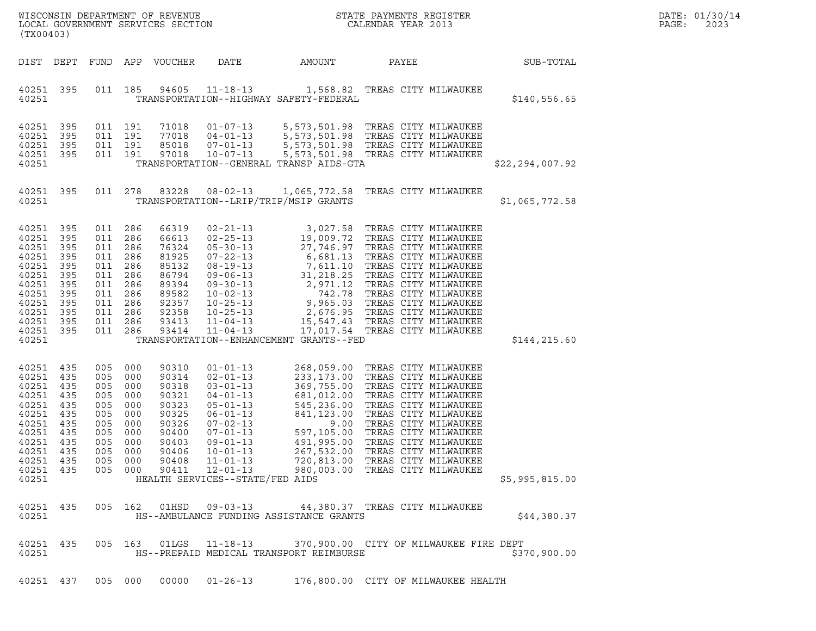| (TX00403)                                                                                                                                 |                                                                           |                                                             |                                                                                                           |                                                                                                          |                                                                                                                                                                                                                                                         |                                         | $\tt WISCONSIM DEPARTMENT OF REVENUE$ $\tt WISCONSIM EN THE BAYMENTS REGISTERLOCAL GOVERNMENT SERVICES SECTION CALENDAR YEAR 2013$                                                                                                                                                                                                                                                                                          |                   | DATE: 01/30/14<br>PAGE:<br>2023 |
|-------------------------------------------------------------------------------------------------------------------------------------------|---------------------------------------------------------------------------|-------------------------------------------------------------|-----------------------------------------------------------------------------------------------------------|----------------------------------------------------------------------------------------------------------|---------------------------------------------------------------------------------------------------------------------------------------------------------------------------------------------------------------------------------------------------------|-----------------------------------------|-----------------------------------------------------------------------------------------------------------------------------------------------------------------------------------------------------------------------------------------------------------------------------------------------------------------------------------------------------------------------------------------------------------------------------|-------------------|---------------------------------|
| DIST DEPT                                                                                                                                 |                                                                           |                                                             |                                                                                                           | FUND APP VOUCHER                                                                                         | DATE                                                                                                                                                                                                                                                    | AMOUNT                                  | PAYEE                                                                                                                                                                                                                                                                                                                                                                                                                       | SUB-TOTAL         |                                 |
| 40251 395<br>40251                                                                                                                        |                                                                           |                                                             |                                                                                                           |                                                                                                          |                                                                                                                                                                                                                                                         | TRANSPORTATION--HIGHWAY SAFETY-FEDERAL  | 011 185 94605 11-18-13 1,568.82 TREAS CITY MILWAUKEE                                                                                                                                                                                                                                                                                                                                                                        | \$140,556.65      |                                 |
| 40251<br>40251<br>40251<br>40251 395<br>40251                                                                                             | 395<br>395<br>395                                                         |                                                             | 011 191<br>011 191<br>011 191<br>011 191                                                                  | 71018<br>77018<br>85018<br>97018                                                                         | $01 - 07 - 13$<br>$04 - 01 - 13$<br>$07 - 01 - 13$<br>$10 - 07 - 13$                                                                                                                                                                                    | TRANSPORTATION--GENERAL TRANSP AIDS-GTA | 5,573,501.98 TREAS CITY MILWAUKEE<br>5,573,501.98 TREAS CITY MILWAUKEE<br>5,573,501.98 TREAS CITY MILWAUKEE<br>5,573,501.98 TREAS CITY MILWAUKEE                                                                                                                                                                                                                                                                            | \$22, 294, 007.92 |                                 |
| 40251 395<br>40251                                                                                                                        |                                                                           |                                                             | 011 278                                                                                                   | 83228                                                                                                    | $08 - 02 - 13$                                                                                                                                                                                                                                          | TRANSPORTATION--LRIP/TRIP/MSIP GRANTS   | 1,065,772.58 TREAS CITY MILWAUKEE                                                                                                                                                                                                                                                                                                                                                                                           | \$1,065,772.58    |                                 |
| 40251<br>40251<br>40251<br>40251<br>40251<br>40251<br>40251<br>40251<br>40251<br>40251<br>40251<br>40251 395<br>40251                     | 395<br>395<br>395<br>395<br>395<br>395<br>395<br>395<br>395<br>395<br>395 | 011<br>011<br>011 286<br>011                                | 011 286<br>011 286<br>011 286<br>011 286<br>286<br>011 286<br>286<br>011 286<br>011 286<br>286<br>011 286 | 66319<br>66613<br>76324<br>81925<br>85132<br>86794<br>89394<br>89582<br>92357<br>92358<br>93413<br>93414 | $11 - 04 - 13$                                                                                                                                                                                                                                          | TRANSPORTATION--ENHANCEMENT GRANTS--FED | 17,017.54   TREAS CITY MILWAUKEE                                                                                                                                                                                                                                                                                                                                                                                            | \$144,215.60      |                                 |
| 40251 435<br>40251<br>40251 435<br>40251<br>40251<br>40251<br>40251<br>40251<br>40251 435<br>40251 435<br>40251 435<br>40251 435<br>40251 | 435<br>435<br>435<br>435<br>435<br>435                                    | 005<br>005<br>005<br>005<br>005<br>005<br>005<br>005<br>005 | 000<br>000<br>000<br>000<br>000<br>000<br>000<br>000<br>000<br>005 000<br>005 000<br>005 000              | 90310<br>90314<br>90318<br>90321<br>90323<br>90325<br>90326<br>90400<br>90403<br>90406<br>90408<br>90411 | $01 - 01 - 13$<br>$02 - 01 - 13$<br>$03 - 01 - 13$<br>$04 - 01 - 13$<br>$05 - 01 - 13$<br>$06 - 01 - 13$<br>$07 - 02 - 13$<br>$07 - 01 - 13$<br>$09 - 01 - 13$<br>$10 - 01 - 13$<br>$11 - 01 - 13$<br>$12 - 01 - 13$<br>HEALTH SERVICES--STATE/FED AIDS |                                         | 268,059.00 TREAS CITY MILWAUKEE<br>233,173.00 TREAS CITY MILWAUKEE<br>369,755.00 TREAS CITY MILWAUKEE<br>681,012.00 TREAS CITY MILWAUKEE<br>545,236.00 TREAS CITY MILWAUKEE<br>841, 123.00 TREAS CITY MILWAUKEE<br>9.00 TREAS CITY MILWAUKEE<br>597,105.00 TREAS CITY MILWAUKEE<br>491,995.00 TREAS CITY MILWAUKEE<br>267,532.00 TREAS CITY MILWAUKEE<br>720,813.00 TREAS CITY MILWAUKEE<br>980,003.00 TREAS CITY MILWAUKEE | \$5,995,815.00    |                                 |
| 40251 435<br>40251                                                                                                                        |                                                                           |                                                             | 005 162                                                                                                   |                                                                                                          |                                                                                                                                                                                                                                                         | HS--AMBULANCE FUNDING ASSISTANCE GRANTS | 44,380.37 TREAS CITY MILWAUKEE                                                                                                                                                                                                                                                                                                                                                                                              | \$44,380.37       |                                 |
| 40251 435<br>40251                                                                                                                        |                                                                           |                                                             |                                                                                                           |                                                                                                          | 005 163 01LGS 11-18-13                                                                                                                                                                                                                                  | HS--PREPAID MEDICAL TRANSPORT REIMBURSE | 370,900.00 CITY OF MILWAUKEE FIRE DEPT                                                                                                                                                                                                                                                                                                                                                                                      | \$370,900.00      |                                 |

40251 437 005 000 00000 01-26-13 176,800.00 CITY OF MILWAUKEE HEALTH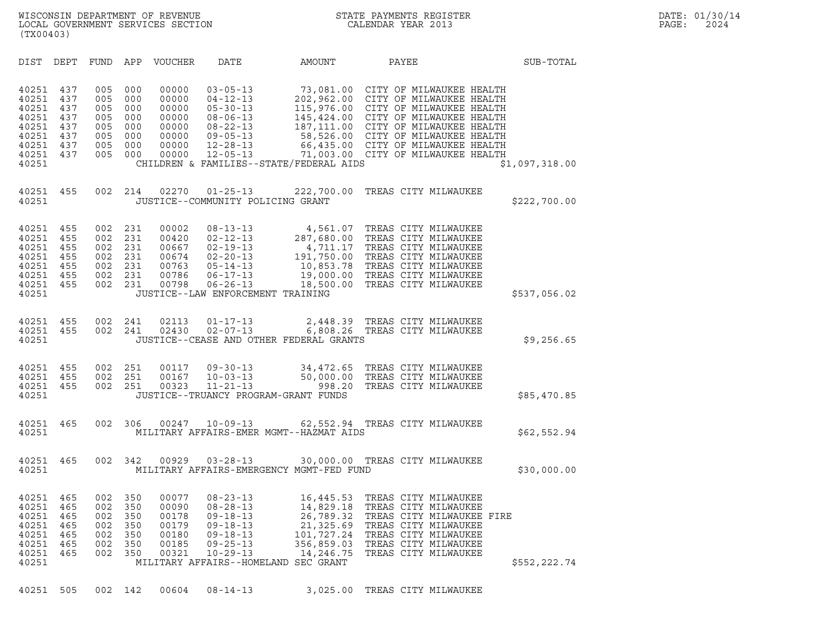| (TX00403)                                                                     |                                                      |                                                      |                                                      |                                                                      |                                                                                                                                                                    |                                                                                                                                                                                                                                                                          |                                                                                                                                                                                                                                                                                                                        |                |
|-------------------------------------------------------------------------------|------------------------------------------------------|------------------------------------------------------|------------------------------------------------------|----------------------------------------------------------------------|--------------------------------------------------------------------------------------------------------------------------------------------------------------------|--------------------------------------------------------------------------------------------------------------------------------------------------------------------------------------------------------------------------------------------------------------------------|------------------------------------------------------------------------------------------------------------------------------------------------------------------------------------------------------------------------------------------------------------------------------------------------------------------------|----------------|
| DIST                                                                          | DEPT                                                 | FUND                                                 | APP                                                  | VOUCHER                                                              | DATE                                                                                                                                                               | AMOUNT                                                                                                                                                                                                                                                                   | PAYEE                                                                                                                                                                                                                                                                                                                  | SUB-TOTAL      |
| 40251<br>40251<br>40251<br>40251<br>40251<br>40251<br>40251<br>40251<br>40251 | 437<br>437<br>437<br>437<br>437<br>437<br>437<br>437 | 005<br>005<br>005<br>005<br>005<br>005<br>005<br>005 | 000<br>000<br>000<br>000<br>000<br>000<br>000<br>000 | 00000<br>00000<br>00000<br>00000<br>00000<br>00000<br>00000<br>00000 | $03 - 05 - 13$<br>$04 - 12 - 13$<br>$05 - 30 - 13$<br>$08 - 06 - 13$<br>08-22-13<br>$09 - 05 - 13$<br>$12 - 28 - 13$<br>$12 - 05 - 13$                             | 73,081.00 CITY OF MILWAUKEE HEALTH $202,962.00$ CITY OF MILWAUKEE HEALTH $115,976.00$ CITY OF MILWAUKEE HEALTH $145,424.00$ CITY OF MILWAUKEE HEALTH $187,111.00$ CITY OF MILWAUKEE HEALTH $58,526.00$ CITY OF MILWAUKEE HEAL<br>CHILDREN & FAMILIES--STATE/FEDERAL AIDS | 66,435.00 CITY OF MILWAUKEE HEALTH<br>71,003.00 CITY OF MILWAUKEE HEALTH                                                                                                                                                                                                                                               | \$1,097,318.00 |
| 40251<br>40251                                                                | 455                                                  | 002                                                  | 214                                                  | 02270                                                                | $01 - 25 - 13$<br>JUSTICE--COMMUNITY POLICING GRANT                                                                                                                | 222,700.00                                                                                                                                                                                                                                                               | TREAS CITY MILWAUKEE                                                                                                                                                                                                                                                                                                   | \$222,700.00   |
| 40251<br>40251<br>40251<br>40251<br>40251<br>40251<br>40251<br>40251          | 455<br>455<br>455<br>455<br>455<br>455<br>455        | 002<br>002<br>002<br>002<br>002<br>002<br>002        | 231<br>231<br>231<br>231<br>231<br>231<br>231        | 00002<br>00420<br>00667<br>00674<br>00763<br>00786<br>00798          | $08 - 13 - 13$<br>$02 - 12 - 13$<br>$02 - 19 - 13$<br>$02 - 20 - 13$<br>$05 - 14 - 13$<br>$06 - 17 - 13$<br>$06 - 26 - 13$<br>JUSTICE--LAW ENFORCEMENT TRAINING    | 4,711.17<br>18,500.00                                                                                                                                                                                                                                                    | $4,561.07 \quad \, \text{TERS} \quad \, \text{CITY} \quad \, \text{MLWAUKEE} \\ 287,680.00 \quad \, \text{TERAS} \quad \, \text{CITY} \quad \, \text{MLWAUKEE}$<br>TREAS CITY MILWAUKEE<br>191,750.00 TREAS CITY MILWAUKEE<br>10,853.78 TREAS CITY MILWAUKEE<br>19,000.00 TREAS CITY MILWAUKEE<br>TREAS CITY MILWAUKEE | \$537,056.02   |
| 40251<br>40251<br>40251                                                       | 455<br>455                                           | 002<br>002                                           | 241<br>241                                           | 02113<br>02430                                                       | $01 - 17 - 13$<br>02-07-13                                                                                                                                         | 2,448.39<br>JUSTICE--CEASE AND OTHER FEDERAL GRANTS                                                                                                                                                                                                                      | TREAS CITY MILWAUKEE<br>6,808.26 TREAS CITY MILWAUKEE                                                                                                                                                                                                                                                                  | \$9,256.65     |
| 40251<br>40251<br>40251<br>40251                                              | 455<br>455<br>455                                    | 002<br>002<br>002                                    | 251<br>251<br>251                                    | 00117<br>00167<br>00323                                              | $09 - 30 - 13$<br>$10 - 03 - 13$<br>$11 - 21 - 13$<br>JUSTICE--TRUANCY PROGRAM-GRANT FUNDS                                                                         | 998.20                                                                                                                                                                                                                                                                   | 34,472.65 TREAS CITY MILWAUKEE<br>50,000.00 TREAS CITY MILWAUKEE<br>TREAS CITY MILWAUKEE                                                                                                                                                                                                                               | \$85,470.85    |
| 40251<br>40251                                                                | 465                                                  | 002                                                  | 306                                                  | 00247                                                                | $10 - 09 - 13$                                                                                                                                                     | MILITARY AFFAIRS-EMER MGMT--HAZMAT AIDS                                                                                                                                                                                                                                  | 62,552.94 TREAS CITY MILWAUKEE                                                                                                                                                                                                                                                                                         | \$62,552.94    |
| 40251<br>40251                                                                | 465                                                  | 002                                                  | 342                                                  | 00929                                                                | $03 - 28 - 13$                                                                                                                                                     | MILITARY AFFAIRS-EMERGENCY MGMT-FED FUND                                                                                                                                                                                                                                 | 30,000.00 TREAS CITY MILWAUKEE                                                                                                                                                                                                                                                                                         | \$30,000.00    |
| 40251<br>40251<br>40251<br>40251<br>40251<br>40251<br>40251<br>40251          | 465<br>465<br>465<br>465<br>465<br>465<br>465        | 002<br>002<br>002<br>002<br>002<br>002<br>002        | 350<br>350<br>350<br>350<br>350<br>350<br>350        | 00077<br>00090<br>00178<br>00179<br>00180<br>00185<br>00321          | $08 - 23 - 13$<br>$08 - 28 - 13$<br>$09 - 18 - 13$<br>$09 - 18 - 13$<br>$09 - 18 - 13$<br>$09 - 25 - 13$<br>$10 - 29 - 13$<br>MILITARY AFFAIRS--HOMELAND SEC GRANT | 16,445.53<br>14,829.18<br>26,789.32<br>21,325.69<br>101,727.24<br>356,859.03<br>14,246.75                                                                                                                                                                                | TREAS CITY MILWAUKEE<br>TREAS CITY MILWAUKEE<br>TREAS CITY MILWAUKEE FIRE<br>TREAS CITY MILWAUKEE<br>TREAS CITY MILWAUKEE<br>TREAS CITY MILWAUKEE<br>TREAS CITY MILWAUKEE                                                                                                                                              | \$552,222.74   |
| 40251                                                                         | 505                                                  |                                                      | 002 142                                              | 00604                                                                | $08 - 14 - 13$                                                                                                                                                     | 3,025.00                                                                                                                                                                                                                                                                 | TREAS CITY MILWAUKEE                                                                                                                                                                                                                                                                                                   |                |

|  |  |  |  |  |  | 40251 505 002 142 00604 08-14-13 |  |  |  |  |  | 3,025.00 TREAS CITY MILWAUKE |
|--|--|--|--|--|--|----------------------------------|--|--|--|--|--|------------------------------|
|--|--|--|--|--|--|----------------------------------|--|--|--|--|--|------------------------------|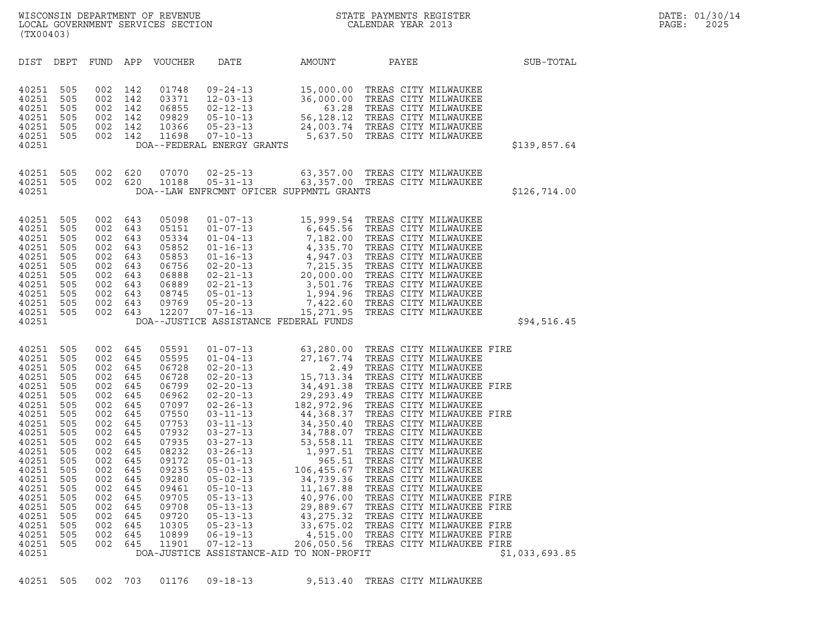|                                                                                                                                                                                                             | (TX00403)                                                                                                                                              |                                                                                                                                                        |                                                                                                                                                        |                                                                                                                                                                                                    |                                                                                                                                  |                                                                                                      |                                                                                                                                                                                                                                                                                          |                |  |
|-------------------------------------------------------------------------------------------------------------------------------------------------------------------------------------------------------------|--------------------------------------------------------------------------------------------------------------------------------------------------------|--------------------------------------------------------------------------------------------------------------------------------------------------------|--------------------------------------------------------------------------------------------------------------------------------------------------------|----------------------------------------------------------------------------------------------------------------------------------------------------------------------------------------------------|----------------------------------------------------------------------------------------------------------------------------------|------------------------------------------------------------------------------------------------------|------------------------------------------------------------------------------------------------------------------------------------------------------------------------------------------------------------------------------------------------------------------------------------------|----------------|--|
| DIST                                                                                                                                                                                                        | DEPT                                                                                                                                                   | FUND                                                                                                                                                   | APP                                                                                                                                                    | VOUCHER                                                                                                                                                                                            | DATE                                                                                                                             | AMOUNT                                                                                               | PAYEE                                                                                                                                                                                                                                                                                    | SUB-TOTAL      |  |
| 40251<br>40251<br>40251<br>40251<br>40251<br>40251<br>40251                                                                                                                                                 | 505<br>505<br>505<br>505<br>505<br>505                                                                                                                 | 002<br>002<br>002<br>002<br>002<br>002                                                                                                                 | 142<br>142<br>142<br>142<br>142<br>142                                                                                                                 | 01748<br>03371<br>06855<br>09829<br>10366<br>11698                                                                                                                                                 | $09 - 24 - 13$<br>$12 - 03 - 13$<br>02-12-13<br>$05 - 10 - 13$<br>$05 - 23 - 13$<br>$07 - 10 - 13$<br>DOA--FEDERAL ENERGY GRANTS | $\begin{array}{r} 15,000.00 \\ 36,000.00 \\ 63.28 \\ 56,128.12 \\ 24,003.74 \\ 5,637.50 \end{array}$ | TREAS CITY MILWAUKEE<br>TREAS CITY MILWAUKEE<br>TREAS CITY MILWAUKEE<br>TREAS CITY MILWAUKEE<br>24,003.74 TREAS CITY MILWAUKEE<br>5,637.50 TREAS CITY MILWAUKEE<br>5,637.50 TREAS CITY MILWAUKEE                                                                                         | \$139,857.64   |  |
| 40251<br>40251<br>40251                                                                                                                                                                                     | 505<br>505                                                                                                                                             | 002<br>002                                                                                                                                             | 620<br>620                                                                                                                                             | 07070<br>10188                                                                                                                                                                                     | $02 - 25 - 13$<br>$05 - 31 - 13$<br>DOA--LAW ENFRCMNT OFICER SUPPMNTL GRANTS                                                     | 63,357.00                                                                                            | TREAS CITY MILWAUKEE<br>63,357.00 TREAS CITY MILWAUKEE                                                                                                                                                                                                                                   | \$126,714.00   |  |
| 40251<br>40251<br>40251<br>40251<br>40251<br>40251<br>40251<br>40251<br>40251<br>40251<br>40251<br>40251                                                                                                    | 505<br>505<br>505<br>505<br>505<br>505<br>505<br>505<br>505<br>505<br>505                                                                              | 002<br>002<br>002<br>002<br>002<br>002<br>002<br>002<br>002<br>002<br>002                                                                              | 643<br>643<br>643<br>643<br>643<br>643<br>643<br>643<br>643<br>643<br>643                                                                              | 05098<br>05151<br>05334<br>05852<br>05853<br>06756<br>06888<br>06889<br>08745<br>09769<br>12207                                                                                                    | $07 - 16 - 13$<br>DOA--JUSTICE ASSISTANCE FEDERAL FUNDS                                                                          | 15,271.95                                                                                            | 01-07-13<br>01-07-13<br>01-07-13<br>6,645.56<br>01-04-13<br>7,182.00<br>TREAS CITY MILWAUKEE<br>01-16-13<br>4,335.70<br>TREAS CITY MILWAUKEE<br>02-20-13<br>7,215.35<br>TREAS CITY MILWAUKEE<br>02-21-13<br>3,501.76<br>TREAS CITY MILWAUKEE<br>05-01-13<br>1,99<br>TREAS CITY MILWAUKEE | \$94,516.45    |  |
| 40251<br>40251<br>40251<br>40251<br>40251<br>40251<br>40251<br>40251<br>40251<br>40251<br>40251<br>40251<br>40251<br>40251<br>40251<br>40251<br>40251<br>40251<br>40251<br>40251<br>40251<br>40251<br>40251 | 505<br>505<br>505<br>505<br>505<br>505<br>505<br>505<br>505<br>505<br>505<br>505<br>505<br>505<br>505<br>505<br>505<br>505<br>505<br>505<br>505<br>505 | 002<br>002<br>002<br>002<br>002<br>002<br>002<br>002<br>002<br>002<br>002<br>002<br>002<br>002<br>002<br>002<br>002<br>002<br>002<br>002<br>002<br>002 | 645<br>645<br>645<br>645<br>645<br>645<br>645<br>645<br>645<br>645<br>645<br>645<br>645<br>645<br>645<br>645<br>645<br>645<br>645<br>645<br>645<br>645 | 05591<br>05595<br>06728<br>06728<br>06799<br>06962<br>07097<br>07550<br>07753<br>07932<br>07935<br>08232<br>09172<br>09235<br>09280<br>09461<br>09705<br>09708<br>09720<br>10305<br>10899<br>11901 | $01 - 07 - 13$<br>$07 - 12 - 13$<br>DOA-JUSTICE ASSISTANCE-AID TO NON-PROFIT                                                     |                                                                                                      | 63,280.00 TREAS CITY MILWAUKEE FIRE<br>TREAS CITY MILWAUKEE FIRE<br>TREAS CITY MILWAUKEE FIRE<br>TREAS CITY MILWAUKEE FIRE<br>TREAS CITY MILWAUKEE FIRE<br>33,675.02 TREAS CITY MILWAUKEE FIRE<br>4,515.00 TREAS CITY MILWAUKEE FIRE<br>206,050.56 TREAS CITY MILWAUKEE FIRE             | \$1,033,693.85 |  |

40251 505 002 703 01176 09-18-13 9,513.40 TREAS CITY MILWAUKEE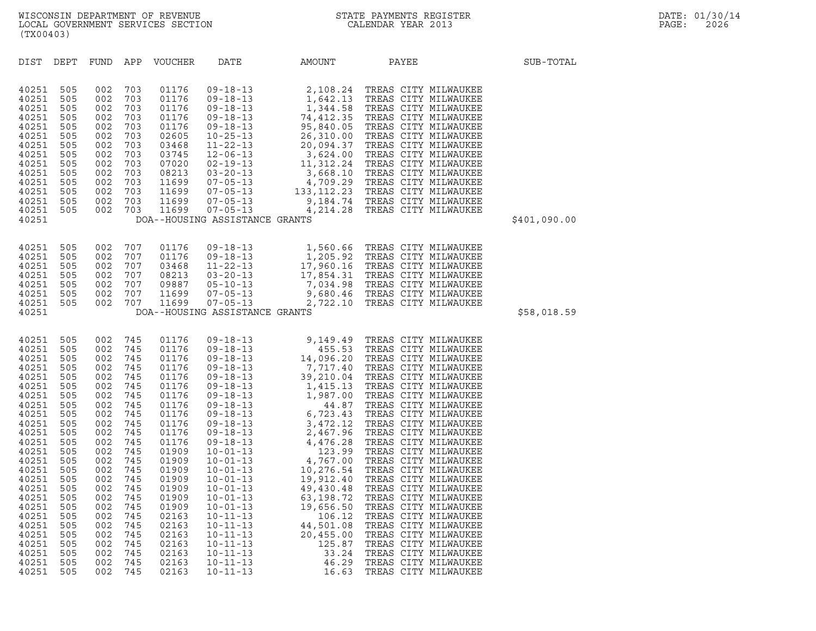| (TX00403)                                                                                                                                                                                                                              |                                                                                                                                                                                    |                                                                                                                                                                                    |                                                                                                                                                                                    |                                                                                                                                                                                                                                        |                                                                                                                                                                                                                                                                                            |                                                                                                                                                                                                                                                                                                                                                                                                                              |                                                                                                                                                                                                                                                                                                                                                                                                                                                                                                                                                                                                                                              |              |
|----------------------------------------------------------------------------------------------------------------------------------------------------------------------------------------------------------------------------------------|------------------------------------------------------------------------------------------------------------------------------------------------------------------------------------|------------------------------------------------------------------------------------------------------------------------------------------------------------------------------------|------------------------------------------------------------------------------------------------------------------------------------------------------------------------------------|----------------------------------------------------------------------------------------------------------------------------------------------------------------------------------------------------------------------------------------|--------------------------------------------------------------------------------------------------------------------------------------------------------------------------------------------------------------------------------------------------------------------------------------------|------------------------------------------------------------------------------------------------------------------------------------------------------------------------------------------------------------------------------------------------------------------------------------------------------------------------------------------------------------------------------------------------------------------------------|----------------------------------------------------------------------------------------------------------------------------------------------------------------------------------------------------------------------------------------------------------------------------------------------------------------------------------------------------------------------------------------------------------------------------------------------------------------------------------------------------------------------------------------------------------------------------------------------------------------------------------------------|--------------|
| DIST                                                                                                                                                                                                                                   | DEPT                                                                                                                                                                               | FUND                                                                                                                                                                               | APP                                                                                                                                                                                | <b>VOUCHER</b>                                                                                                                                                                                                                         | DATE                                                                                                                                                                                                                                                                                       | AMOUNT                                                                                                                                                                                                                                                                                                                                                                                                                       | PAYEE                                                                                                                                                                                                                                                                                                                                                                                                                                                                                                                                                                                                                                        | SUB-TOTAL    |
| 40251<br>40251<br>40251<br>40251<br>40251<br>40251<br>40251<br>40251<br>40251<br>40251<br>40251<br>40251<br>40251<br>40251<br>40251                                                                                                    | 505<br>505<br>505<br>505<br>505<br>505<br>505<br>505<br>505<br>505<br>505<br>505<br>505<br>505                                                                                     | 002<br>002<br>002<br>002<br>002<br>002<br>002<br>002<br>002<br>002<br>002<br>002<br>002<br>002                                                                                     | 703<br>703<br>703<br>703<br>703<br>703<br>703<br>703<br>703<br>703<br>703<br>703<br>703<br>703                                                                                     | 01176<br>01176<br>01176<br>01176<br>01176<br>02605<br>03468<br>03745<br>07020<br>08213<br>11699<br>11699<br>11699<br>11699                                                                                                             | $09 - 18 - 13$<br>$09 - 18 - 13$<br>$09 - 18 - 13$<br>$09 - 18 - 13$<br>$09 - 18 - 13$<br>$10 - 25 - 13$<br>$11 - 22 - 13$<br>$12 - 06 - 13$<br>$02 - 19 - 13$<br>$03 - 20 - 13$<br>$07 - 05 - 13$<br>$07 - 05 - 13$<br>$07 - 05 - 13$<br>$07 - 05 - 13$<br>DOA--HOUSING ASSISTANCE GRANTS |                                                                                                                                                                                                                                                                                                                                                                                                                              | $\begin{tabular}{c} 2,108.24 \quad \text{TREAS CITY MLUAAUKEE} \\ 1,642.13 \quad \text{TREAS CITY MLUAAUKEE} \\ 1,344.58 \quad \text{TREAS CITY MLUAAUKEE} \\ 74,412.35 \quad \text{TREAS CITY MLUAAUKEE} \\ 95,840.05 \quad \text{TREAS CITY MLUAAUKEE} \\ 26,310.00 \quad \text{TREAS CITY MLUAAUKEE} \\ 20,094.37 \quad \text{TREAS CITY MLUAAUKEE} \\ 3,624.00 \quad \text{TREAS CITY$                                                                                                                                                                                                                                                   | \$401,090.00 |
| 40251<br>40251<br>40251<br>40251<br>40251<br>40251<br>40251<br>40251                                                                                                                                                                   | 505<br>505<br>505<br>505<br>505<br>505<br>505                                                                                                                                      | 002<br>002<br>002<br>002<br>002<br>002<br>002                                                                                                                                      | 707<br>707<br>707<br>707<br>707<br>707<br>707                                                                                                                                      | 01176<br>01176<br>03468<br>08213<br>09887<br>11699<br>11699                                                                                                                                                                            | $09 - 18 - 13$<br>$09 - 18 - 13$<br>$11 - 22 - 13$<br>$03 - 20 - 13$<br>$05 - 10 - 13$<br>$07 - 05 - 13$<br>$07 - 05 - 13$<br>DOA--HOUSING ASSISTANCE GRANTS                                                                                                                               |                                                                                                                                                                                                                                                                                                                                                                                                                              | 1,560.66 TREAS CITY MILWAUKEE<br>1,560.66 TREAS CITY MILWAUKEE<br>1,205.92 TREAS CITY MILWAUKEE<br>17,960.16 TREAS CITY MILWAUKEE<br>17,854.31 TREAS CITY MILWAUKEE<br>7,034.98 TREAS CITY MILWAUKEE<br>9,680.46 TREAS CITY MILWAUKEE<br>2,722.10 TREAS CITY MILWAUKEE                                                                                                                                                                                                                                                                                                                                                                       | \$58,018.59  |
| 40251<br>40251<br>40251<br>40251<br>40251<br>40251<br>40251<br>40251<br>40251<br>40251<br>40251<br>40251<br>40251<br>40251<br>40251<br>40251<br>40251<br>40251<br>40251<br>40251<br>40251<br>40251<br>40251<br>40251<br>40251<br>40251 | 505<br>505<br>505<br>505<br>505<br>505<br>505<br>505<br>505<br>505<br>505<br>505<br>505<br>505<br>505<br>505<br>505<br>505<br>505<br>505<br>505<br>505<br>505<br>505<br>505<br>505 | 002<br>002<br>002<br>002<br>002<br>002<br>002<br>002<br>002<br>002<br>002<br>002<br>002<br>002<br>002<br>002<br>002<br>002<br>002<br>002<br>002<br>002<br>002<br>002<br>002<br>002 | 745<br>745<br>745<br>745<br>745<br>745<br>745<br>745<br>745<br>745<br>745<br>745<br>745<br>745<br>745<br>745<br>745<br>745<br>745<br>745<br>745<br>745<br>745<br>745<br>745<br>745 | 01176<br>01176<br>01176<br>01176<br>01176<br>01176<br>01176<br>01176<br>01176<br>01176<br>01176<br>01176<br>01909<br>01909<br>01909<br>01909<br>01909<br>01909<br>01909<br>02163<br>02163<br>02163<br>02163<br>02163<br>02163<br>02163 | $10 - 01 - 13$<br>$10 - 11 - 13$<br>$10 - 11 - 13$<br>$10 - 11 - 13$<br>$10 - 11 - 13$<br>$10 - 11 - 13$<br>$10 - 11 - 13$<br>$10 - 11 - 13$                                                                                                                                               | $\begin{array}{cccc} & \begin{array}{cccc} 18-13 & 9,149.4 \\ -13 & 9,149.4 \\ 09-18-13 & 4,696.20 \\ 09-18-13 & 14,096.20 \\ 09-18-13 & 7,717.40 \\ 09-18-13 & 39,210.04 \\ 09-18-13 & 1,495.13 \end{array} & \begin{array}{c} \text{7,}717,40 \\ \text{7,}717,40 \\ 145.13 \end{array} & \begin{array}{c} \text{7,}717,40 \\ \text{$<br>19,656.50<br>106.12<br>44,501.08<br>20,455.00<br>125.87<br>33.24<br>46.29<br>16.63 | TREAS CITY MILWAUKEE<br>TREAS CITY MILWAUKEE<br>TREAS CITY MILWAUKEE<br>TREAS CITY MILWAUKEE<br>TREAS CITY MILWAUKEE<br>TREAS CITY MILWAUKEE<br>TREAS CITY MILWAUKEE<br>TREAS CITY MILWAUKEE<br>TREAS CITY MILWAUKEE<br>TREAS CITY MILWAUKEE<br>TREAS CITY MILWAUKEE<br>TREAS CITY MILWAUKEE<br>TREAS CITY MILWAUKEE<br>TREAS CITY MILWAUKEE<br>TREAS CITY MILWAUKEE<br>TREAS CITY MILWAUKEE<br>TREAS CITY MILWAUKEE<br>TREAS CITY MILWAUKEE<br>TREAS CITY MILWAUKEE<br>TREAS CITY MILWAUKEE<br>TREAS CITY MILWAUKEE<br>TREAS CITY MILWAUKEE<br>TREAS CITY MILWAUKEE<br>TREAS CITY MILWAUKEE<br>TREAS CITY MILWAUKEE<br>TREAS CITY MILWAUKEE |              |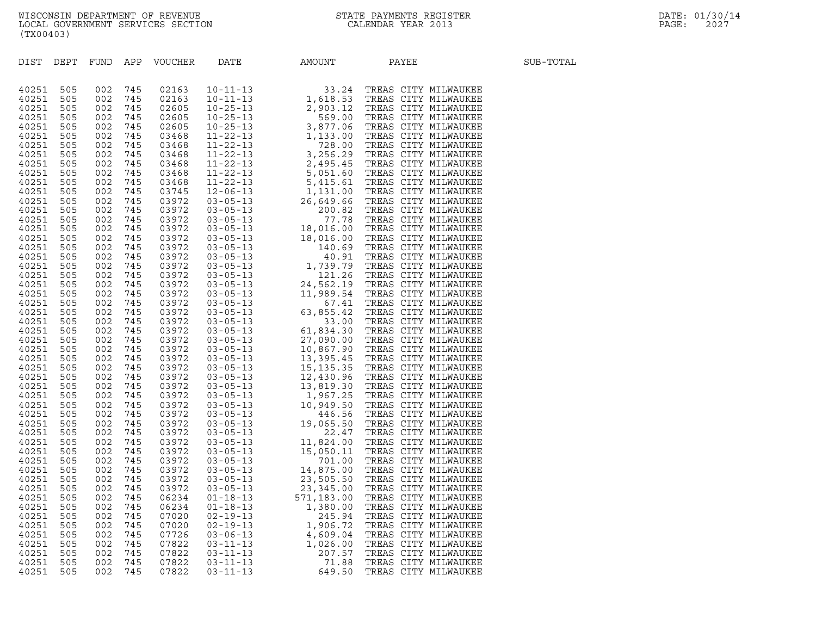| (TX00403)      |            |            |            |                |                                  |                 |                                                                                                                                                                                                                                         |           |
|----------------|------------|------------|------------|----------------|----------------------------------|-----------------|-----------------------------------------------------------------------------------------------------------------------------------------------------------------------------------------------------------------------------------------|-----------|
| DIST           | DEPT       | FUND       | APP        | VOUCHER        | DATE                             | AMOUNT          | PAYEE                                                                                                                                                                                                                                   | SUB-TOTAL |
| 40251          | 505        | 002        | 745        | 02163          |                                  |                 | R DATE AMOUNT PAYEB (1992)<br>10-11-1-13 1, 23.24 TREAS CITY MILWAUKEE<br>10-12-15 1, 33.25 TREAS CITY MILWAUKEE<br>10-25-13 2, 963, 10 TREAS CITY MILWAUKEE<br>10-25-13 3, 9797, 06 TREAS CITY MILWAUKEE<br>11-22-13 3, 9797, 06 TREAS |           |
| 40251          | 505        | 002        | 745        | 02163          |                                  |                 |                                                                                                                                                                                                                                         |           |
| 40251          | 505        | 002        | 745        | 02605          |                                  |                 |                                                                                                                                                                                                                                         |           |
| 40251<br>40251 | 505<br>505 | 002<br>002 | 745<br>745 | 02605<br>02605 |                                  |                 |                                                                                                                                                                                                                                         |           |
| 40251          | 505        | 002        | 745        | 03468          |                                  |                 |                                                                                                                                                                                                                                         |           |
| 40251          | 505        | 002        | 745        | 03468          |                                  |                 |                                                                                                                                                                                                                                         |           |
| 40251          | 505        | 002        | 745        | 03468          |                                  |                 |                                                                                                                                                                                                                                         |           |
| 40251          | 505        | 002        | 745        | 03468          |                                  |                 |                                                                                                                                                                                                                                         |           |
| 40251          | 505        | 002        | 745        | 03468          |                                  |                 |                                                                                                                                                                                                                                         |           |
| 40251          | 505        | 002        | 745        | 03468          |                                  |                 |                                                                                                                                                                                                                                         |           |
| 40251          | 505        | 002        | 745<br>745 | 03745          |                                  |                 |                                                                                                                                                                                                                                         |           |
| 40251<br>40251 | 505<br>505 | 002<br>002 | 745        | 03972<br>03972 |                                  |                 |                                                                                                                                                                                                                                         |           |
| 40251          | 505        | 002        | 745        | 03972          |                                  |                 |                                                                                                                                                                                                                                         |           |
| 40251          | 505        | 002        | 745        | 03972          |                                  |                 |                                                                                                                                                                                                                                         |           |
| 40251          | 505        | 002        | 745        | 03972          |                                  |                 |                                                                                                                                                                                                                                         |           |
| 40251          | 505        | 002        | 745        | 03972          |                                  |                 |                                                                                                                                                                                                                                         |           |
| 40251          | 505        | 002        | 745        | 03972          |                                  |                 |                                                                                                                                                                                                                                         |           |
| 40251          | 505        | 002        | 745<br>745 | 03972          |                                  |                 |                                                                                                                                                                                                                                         |           |
| 40251<br>40251 | 505<br>505 | 002<br>002 | 745        | 03972<br>03972 |                                  |                 |                                                                                                                                                                                                                                         |           |
| 40251          | 505        | 002        | 745        | 03972          |                                  |                 |                                                                                                                                                                                                                                         |           |
| 40251          | 505        | 002        | 745        | 03972          |                                  |                 |                                                                                                                                                                                                                                         |           |
| 40251          | 505        | 002        | 745        | 03972          |                                  |                 |                                                                                                                                                                                                                                         |           |
| 40251          | 505        | 002        | 745        | 03972          |                                  |                 |                                                                                                                                                                                                                                         |           |
| 40251          | 505        | 002        | 745        | 03972          |                                  |                 |                                                                                                                                                                                                                                         |           |
| 40251<br>40251 | 505<br>505 | 002<br>002 | 745<br>745 | 03972<br>03972 |                                  |                 |                                                                                                                                                                                                                                         |           |
| 40251          | 505        | 002        | 745        | 03972          |                                  |                 |                                                                                                                                                                                                                                         |           |
| 40251          | 505        | 002        | 745        | 03972          |                                  |                 |                                                                                                                                                                                                                                         |           |
| 40251          | 505        | 002        | 745        | 03972          |                                  |                 |                                                                                                                                                                                                                                         |           |
| 40251          | 505        | 002        | 745        | 03972          |                                  |                 |                                                                                                                                                                                                                                         |           |
| 40251          | 505        | 002        | 745        | 03972          |                                  |                 |                                                                                                                                                                                                                                         |           |
| 40251          | 505        | 002        | 745        | 03972          |                                  |                 |                                                                                                                                                                                                                                         |           |
| 40251<br>40251 | 505<br>505 | 002<br>002 | 745<br>745 | 03972<br>03972 |                                  |                 |                                                                                                                                                                                                                                         |           |
| 40251          | 505        | 002        | 745        | 03972          |                                  |                 |                                                                                                                                                                                                                                         |           |
| 40251          | 505        | 002        | 745        | 03972          |                                  |                 |                                                                                                                                                                                                                                         |           |
| 40251          | 505        | 002        | 745        | 03972          |                                  |                 |                                                                                                                                                                                                                                         |           |
| 40251          | 505        | 002        | 745        | 03972          |                                  |                 |                                                                                                                                                                                                                                         |           |
| 40251          | 505        | 002        | 745        | 03972          |                                  |                 |                                                                                                                                                                                                                                         |           |
| 40251          | 505        | 002        | 745        | 03972          |                                  |                 |                                                                                                                                                                                                                                         |           |
| 40251<br>40251 | 505<br>505 | 002<br>002 | 745<br>745 | 03972<br>06234 | $01 - 18 - 13$                   | 571,183.00      | TREAS CITY MILWAUKEE                                                                                                                                                                                                                    |           |
| 40251          | 505        | 002        | 745        | 06234          | $01 - 18 - 13$                   | 1,380.00        | TREAS CITY MILWAUKEE                                                                                                                                                                                                                    |           |
| 40251          | 505        | 002        | 745        | 07020          | $02 - 19 - 13$                   | 245.94          | TREAS CITY MILWAUKEE                                                                                                                                                                                                                    |           |
| 40251          | 505        | 002        | 745        | 07020          | $02 - 19 - 13$                   | 1,906.72        | TREAS CITY MILWAUKEE                                                                                                                                                                                                                    |           |
| 40251          | 505        | 002        | 745        | 07726          | $03 - 06 - 13$                   | 4,609.04        | TREAS CITY MILWAUKEE                                                                                                                                                                                                                    |           |
| 40251          | 505        | 002        | 745        | 07822          | $03 - 11 - 13$                   | 1,026.00        | TREAS CITY MILWAUKEE                                                                                                                                                                                                                    |           |
| 40251          | 505        | 002        | 745        | 07822          | $03 - 11 - 13$<br>$03 - 11 - 13$ | 207.57          | TREAS CITY MILWAUKEE                                                                                                                                                                                                                    |           |
| 40251<br>40251 | 505<br>505 | 002<br>002 | 745<br>745 | 07822<br>07822 | $03 - 11 - 13$                   | 71.88<br>649.50 | TREAS CITY MILWAUKEE<br>TREAS CITY MILWAUKEE                                                                                                                                                                                            |           |
|                |            |            |            |                |                                  |                 |                                                                                                                                                                                                                                         |           |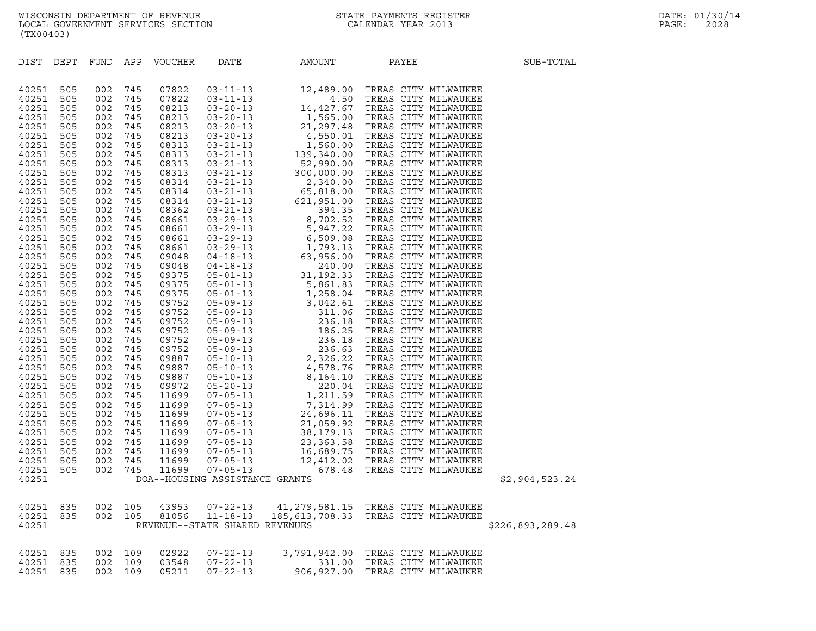| (TX00403)      |            |            |            |                  |                                |                                    |                                 |                  |
|----------------|------------|------------|------------|------------------|--------------------------------|------------------------------------|---------------------------------|------------------|
| DIST           | DEPT       |            |            | FUND APP VOUCHER | DATE                           | AMOUNT                             | PAYEE                           | SUB-TOTAL        |
| 40251          | 505        | 002        | 745        | 07822            |                                |                                    |                                 |                  |
| 40251          | 505        | 002        | 745        | 07822            |                                |                                    |                                 |                  |
| 40251          | 505        | 002        | 745        | 08213            |                                |                                    |                                 |                  |
| 40251          | 505        | 002        | 745        | 08213            |                                |                                    |                                 |                  |
| 40251          | 505        | 002        | 745        | 08213            |                                |                                    |                                 |                  |
| 40251          | 505        | 002        | 745        | 08213            |                                |                                    |                                 |                  |
| 40251          | 505        | 002        | 745        | 08313            |                                |                                    |                                 |                  |
| 40251          | 505        | 002        | 745        | 08313            |                                |                                    |                                 |                  |
| 40251          | 505        | 002        | 745        | 08313            |                                |                                    |                                 |                  |
| 40251          | 505        | 002        | 745        | 08313            |                                |                                    |                                 |                  |
| 40251          | 505        | 002        | 745        | 08314            |                                |                                    |                                 |                  |
| 40251<br>40251 | 505<br>505 | 002<br>002 | 745<br>745 | 08314<br>08314   |                                |                                    |                                 |                  |
| 40251          | 505        | 002        | 745        | 08362            |                                |                                    |                                 |                  |
| 40251          | 505        | 002        | 745        | 08661            |                                |                                    |                                 |                  |
| 40251          | 505        | 002        | 745        | 08661            |                                |                                    |                                 |                  |
| 40251          | 505        | 002        | 745        | 08661            |                                |                                    |                                 |                  |
| 40251          | 505        | 002        | 745        | 08661            |                                |                                    |                                 |                  |
| 40251          | 505        | 002        | 745        | 09048            |                                |                                    |                                 |                  |
| 40251          | 505        | 002        | 745        | 09048            |                                |                                    |                                 |                  |
| 40251          | 505        | 002        | 745        | 09375            |                                |                                    |                                 |                  |
| 40251          | 505        | 002        | 745        | 09375            |                                |                                    |                                 |                  |
| 40251          | 505        | 002        | 745        | 09375            |                                |                                    |                                 |                  |
| 40251          | 505        | 002        | 745        | 09752            |                                |                                    |                                 |                  |
| 40251          | 505        | 002        | 745        | 09752            |                                |                                    |                                 |                  |
| 40251          | 505        | 002        | 745        | 09752            |                                |                                    |                                 |                  |
| 40251<br>40251 | 505<br>505 | 002<br>002 | 745<br>745 | 09752<br>09752   |                                |                                    |                                 |                  |
| 40251          | 505        | 002        | 745        | 09752            |                                |                                    |                                 |                  |
| 40251          | 505        | 002        | 745        | 09887            |                                |                                    |                                 |                  |
| 40251          | 505        | 002        | 745        | 09887            |                                |                                    |                                 |                  |
| 40251          | 505        | 002        | 745        | 09887            |                                |                                    |                                 |                  |
| 40251          | 505        | 002        | 745        | 09972            |                                |                                    |                                 |                  |
| 40251          | 505        | 002        | 745        | 11699            |                                |                                    |                                 |                  |
| 40251          | 505        | 002        | 745        | 11699            |                                |                                    |                                 |                  |
| 40251          | 505        | 002        | 745        | 11699            |                                |                                    |                                 |                  |
| 40251          | 505        | 002        | 745        | 11699            |                                |                                    |                                 |                  |
| 40251          | 505        | 002        | 745        | 11699            |                                |                                    |                                 |                  |
| 40251          | 505        | 002        | 745        | 11699            |                                |                                    |                                 |                  |
| 40251<br>40251 | 505<br>505 | 002        | 745        | 11699<br>11699   |                                |                                    |                                 |                  |
| 40251          | 505        | 002<br>002 | 745<br>745 | 11699            |                                |                                    |                                 |                  |
| 40251          |            |            |            |                  | DOA--HOUSING ASSISTANCE GRANTS |                                    |                                 | \$2,904,523.24   |
|                |            |            |            |                  |                                |                                    |                                 |                  |
| 40251          | 835        | 002        | 105        | 43953            | 07-22-13                       | 41,279,581.15 TREAS CITY MILWAUKEE |                                 |                  |
| 40251          | 835        | 002        | 105        | 81056            | $11 - 18 - 13$                 | 185,613,708.33                     | TREAS CITY MILWAUKEE            |                  |
| 40251          |            |            |            |                  | REVENUE--STATE SHARED REVENUES |                                    |                                 | \$226,893,289.48 |
| 40251          | 835        | 002        | 109        | 02922            | $07 - 22 - 13$                 | 3,791,942.00 TREAS CITY MILWAUKEE  |                                 |                  |
| 40251          | 835        | 002        | 109        | 03548            | $07 - 22 - 13$                 |                                    | 331.00 TREAS CITY MILWAUKEE     |                  |
| 40251          | 835        | 002        | 109        | 05211            | $07 - 22 - 13$                 |                                    | 906,927.00 TREAS CITY MILWAUKEE |                  |
|                |            |            |            |                  |                                |                                    |                                 |                  |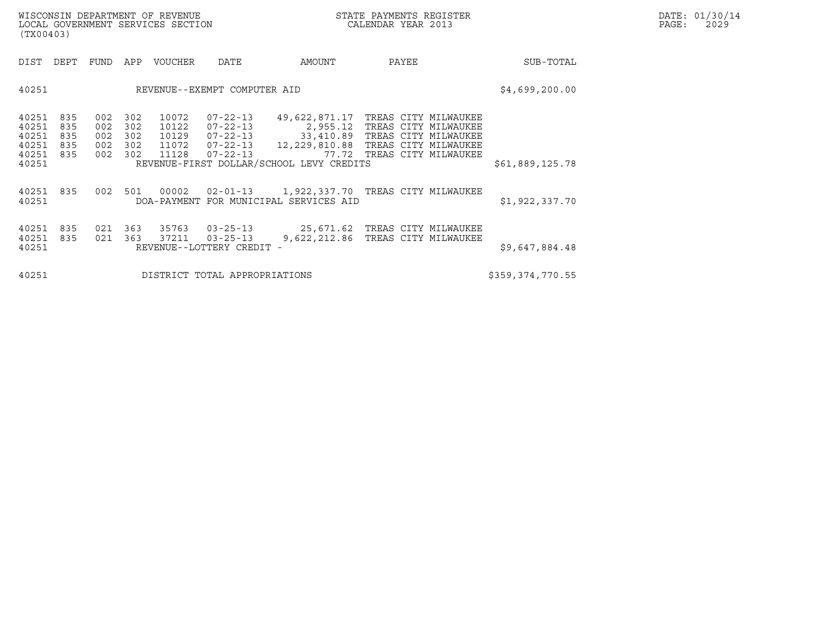| (TX00403)                                          |                                 |                                 |                                 |                                  |                                                             |                                                                                                                                          |                                                                                                        |                  |  |
|----------------------------------------------------|---------------------------------|---------------------------------|---------------------------------|----------------------------------|-------------------------------------------------------------|------------------------------------------------------------------------------------------------------------------------------------------|--------------------------------------------------------------------------------------------------------|------------------|--|
| DIST                                               | DEPT                            | FUND                            | APP                             | VOUCHER                          | DATE                                                        | AMOUNT                                                                                                                                   | PAYEE                                                                                                  | SUB-TOTAL        |  |
| 40251                                              |                                 |                                 |                                 |                                  | REVENUE--EXEMPT COMPUTER AID                                |                                                                                                                                          |                                                                                                        | \$4,699,200.00   |  |
| 40251<br>40251<br>40251<br>40251<br>40251<br>40251 | 835<br>835<br>835<br>835<br>835 | 002<br>002<br>002<br>002<br>002 | 302<br>302<br>302<br>302<br>302 | 10072<br>10122<br>10129<br>11128 | 07-22-13<br>07-22-13<br>$07 - 22 - 13$<br>07-22-13          | 49,622,871.17<br>2,955.12<br>11072  07-22-13  12, 229, 810.88  TREAS CITY MILWAUKEE<br>77.72<br>REVENUE-FIRST DOLLAR/SCHOOL LEVY CREDITS | TREAS CITY MILWAUKEE<br>TREAS CITY MILWAUKEE<br>33,410.89 TREAS CITY MILWAUKEE<br>TREAS CITY MILWAUKEE | \$61,889,125.78  |  |
| 40251<br>40251                                     | 835                             | 002                             | 501                             | 00002                            |                                                             | 02-01-13 1,922,337.70 TREAS CITY MILWAUKEE<br>DOA-PAYMENT FOR MUNICIPAL SERVICES AID                                                     |                                                                                                        | \$1,922,337.70   |  |
| 40251<br>40251<br>40251                            | 835<br>835                      | 021<br>021                      | 363<br>363                      | 35763<br>37211                   | $03 - 25 - 13$<br>$03 - 25 - 13$<br>REVENUE--LOTTERY CREDIT | 25,671.62   TREAS CITY MILWAUKEE<br>9,622,212.86 TREAS CITY MILWAUKEE                                                                    |                                                                                                        | \$9,647,884.48   |  |
| 40251                                              |                                 |                                 |                                 |                                  | DISTRICT TOTAL APPROPRIATIONS                               |                                                                                                                                          |                                                                                                        | \$359,374,770.55 |  |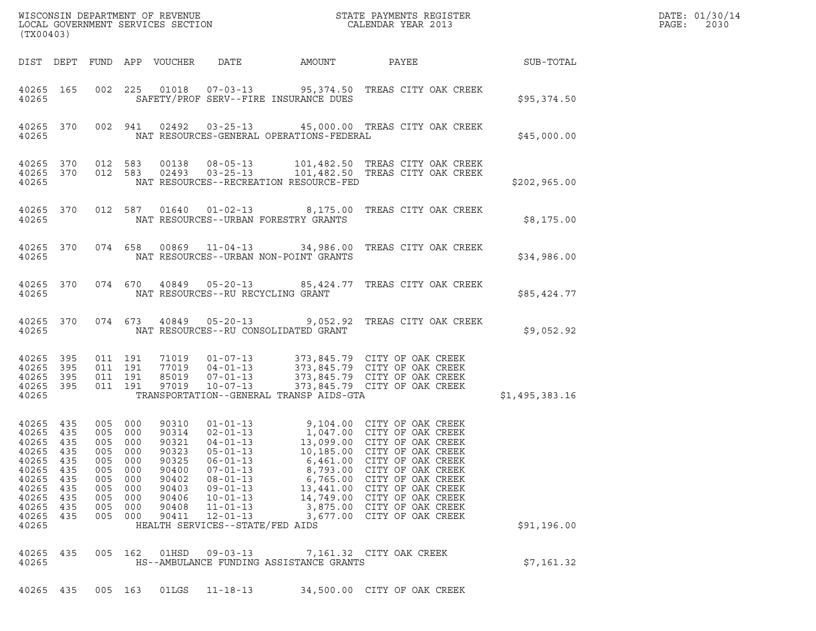| (TX00403)                                                                                       |                                                                           |     |                                                                                                                   | WISCONSIN DEPARTMENT OF REVENUE<br>LOCAL GOVERNMENT SERVICES SECTION                            |                                                                                                                                                                                  |                                                               | STATE PAYMENTS REGISTER<br>CALENDAR YEAR 2013                                                                                                                                                                                                                                                                 |                | DATE: 01/30/14<br>PAGE:<br>2030 |
|-------------------------------------------------------------------------------------------------|---------------------------------------------------------------------------|-----|-------------------------------------------------------------------------------------------------------------------|-------------------------------------------------------------------------------------------------|----------------------------------------------------------------------------------------------------------------------------------------------------------------------------------|---------------------------------------------------------------|---------------------------------------------------------------------------------------------------------------------------------------------------------------------------------------------------------------------------------------------------------------------------------------------------------------|----------------|---------------------------------|
| DIST DEPT                                                                                       |                                                                           |     |                                                                                                                   | FUND APP VOUCHER                                                                                | DATE                                                                                                                                                                             | AMOUNT                                                        | PAYEE                                                                                                                                                                                                                                                                                                         | SUB-TOTAL      |                                 |
| 40265 165<br>40265                                                                              |                                                                           |     | 002 225                                                                                                           | 01018                                                                                           | $07 - 03 - 13$                                                                                                                                                                   | SAFETY/PROF SERV--FIRE INSURANCE DUES                         | 95,374.50 TREAS CITY OAK CREEK                                                                                                                                                                                                                                                                                | \$95,374.50    |                                 |
| 40265<br>40265                                                                                  | 370                                                                       |     | 002 941                                                                                                           | 02492                                                                                           |                                                                                                                                                                                  | NAT RESOURCES-GENERAL OPERATIONS-FEDERAL                      | 03-25-13 45,000.00 TREAS CITY OAK CREEK                                                                                                                                                                                                                                                                       | \$45,000.00    |                                 |
| 40265<br>40265<br>40265                                                                         | 370<br>370                                                                |     | 012 583<br>012 583                                                                                                | 00138<br>02493                                                                                  | $08 - 05 - 13$<br>$03 - 25 - 13$                                                                                                                                                 | NAT RESOURCES--RECREATION RESOURCE-FED                        | 101,482.50 TREAS CITY OAK CREEK<br>101,482.50 TREAS CITY OAK CREEK                                                                                                                                                                                                                                            | \$202,965.00   |                                 |
| 40265 370<br>40265                                                                              |                                                                           |     |                                                                                                                   |                                                                                                 | 012 587 01640 01-02-13                                                                                                                                                           | NAT RESOURCES--URBAN FORESTRY GRANTS                          | 8,175.00 TREAS CITY OAK CREEK                                                                                                                                                                                                                                                                                 | \$8,175.00     |                                 |
| 40265 370<br>40265                                                                              |                                                                           |     |                                                                                                                   | 074 658 00869                                                                                   |                                                                                                                                                                                  | NAT RESOURCES--URBAN NON-POINT GRANTS                         |                                                                                                                                                                                                                                                                                                               | \$34,986.00    |                                 |
| 40265 370<br>40265                                                                              |                                                                           |     | 074 670                                                                                                           | 40849                                                                                           |                                                                                                                                                                                  | $05 - 20 - 13$ 85,424.77<br>NAT RESOURCES--RU RECYCLING GRANT | TREAS CITY OAK CREEK                                                                                                                                                                                                                                                                                          | \$85,424.77    |                                 |
| 40265 370<br>40265                                                                              |                                                                           |     | 074 673                                                                                                           | 40849                                                                                           | 05-20-13                                                                                                                                                                         | NAT RESOURCES--RU CONSOLIDATED GRANT                          | 9,052.92 TREAS CITY OAK CREEK                                                                                                                                                                                                                                                                                 | \$9,052.92     |                                 |
| 40265<br>40265<br>40265<br>40265<br>40265                                                       | 395<br>395<br>395<br>395                                                  |     | 011 191<br>011 191<br>011 191<br>011 191                                                                          | 71019<br>77019<br>85019<br>97019                                                                | $01 - 07 - 13$<br>$04 - 01 - 13$<br>07-01-13<br>$10 - 07 - 13$                                                                                                                   | TRANSPORTATION--GENERAL TRANSP AIDS-GTA                       | 373,845.79 CITY OF OAK CREEK<br>373,845.79 CITY OF OAK CREEK<br>373,845.79 CITY OF OAK CREEK<br>373,845.79 CITY OF OAK CREEK                                                                                                                                                                                  | \$1,495,383.16 |                                 |
| 40265<br>40265<br>40265<br>40265<br>40265<br>40265<br>40265<br>40265<br>40265<br>40265<br>40265 | 435<br>435<br>435<br>435<br>435<br>435<br>435<br>435<br>435<br>435<br>435 | 005 | 005 000<br>005 000<br>005 000<br>005 000<br>005 000<br>005 000<br>005 000<br>000<br>005 000<br>005 000<br>005 000 | 90310<br>90314<br>90321<br>90323<br>90325<br>90400<br>90402<br>90403<br>90406<br>90408<br>90411 | $01 - 01 - 13$<br>$02 - 01 - 13$<br>04-01-13<br>$05 - 01 - 13$<br>$06 - 01 - 13$<br>07-01-13<br>$08 - 01 - 13$<br>09-01-13<br>$10 - 01 - 13$<br>$11 - 01 - 13$<br>$12 - 01 - 13$ | 13,099.00<br>8,793.00<br>13,441.00                            | 9,104.00 CITY OF OAK CREEK<br>1,047.00 CITY OF OAK CREEK<br>CITY OF OAK CREEK<br>10,185.00 CITY OF OAK CREEK<br>6,461.00 CITY OF OAK CREEK<br>CITY OF OAK CREEK<br>6,765.00 CITY OF OAK CREEK<br>CITY OF OAK CREEK<br>14,749.00 CITY OF OAK CREEK<br>3,875.00 CITY OF OAK CREEK<br>3.677.00 CITY OF OAK CREEK |                |                                 |

40265 435 005 162 01HSD 09-03-13 7,161.32 CITY OAK CREEK <sup>40265</sup> HS--AMBULANCE FUNDING ASSISTANCE GRANTS \$7,161.32 40265 435 005 163 01LGS 11-18-13 34,500.00 CITY OF OAK CREEK

40265 435 005 000 90403 09-01-13 13,441.00 CITY OF OAK CREEK<br>40265 435 005 000 90406 10-01-13 14,749.00 CITY OF OAK CREEK<br>40265 435 005 000 90408 11-01-13 3,875.00 CITY OF OAK CREEK<br>40265 435 005 000 90411 12-01-13 3,677.0

40265 435 005 000 90406 10-01-13 14,749.00 CITY OF OAK CREEK<br>40265 435 005 000 90408 11-01-13 3,875.00 CITY OF OAK CREEK<br>40265 435 005 000 90411 12-01-13 3,677.00 CITY OF OAK CREEK \$91,196.00<br>40265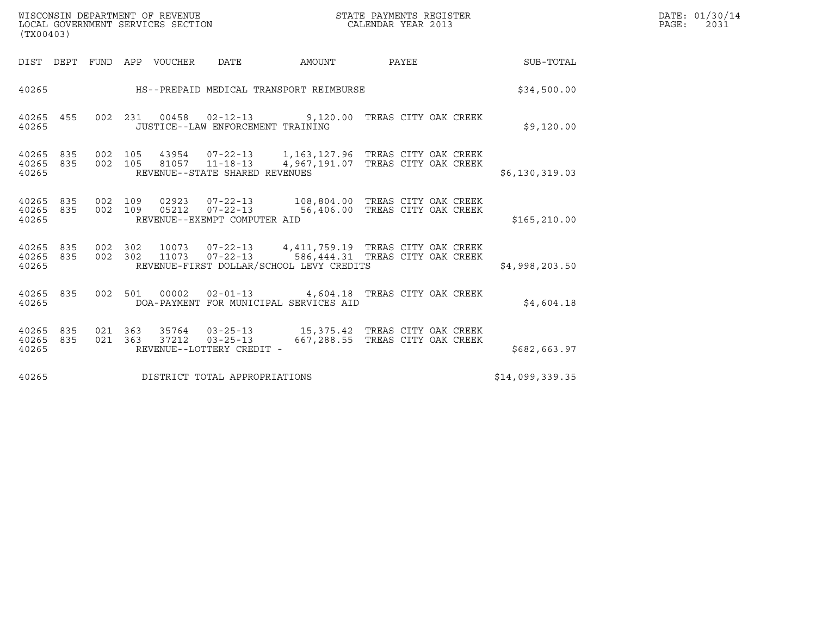| WISCONSIN DEPARTMENT OF REVENUE   | STATE PAYMENTS REGISTER | DATE: 01/30/14 |
|-----------------------------------|-------------------------|----------------|
| LOCAL GOVERNMENT SERVICES SECTION | CALENDAR YEAR 2013      | 2031<br>PAGE:  |

| (TX00403)                                                                                                                                                                                |                                                                                                                       |                 | DATE: 01/30/14<br>$\mathtt{PAGE:}$<br>2031 |
|------------------------------------------------------------------------------------------------------------------------------------------------------------------------------------------|-----------------------------------------------------------------------------------------------------------------------|-----------------|--------------------------------------------|
| DIST DEPT FUND APP VOUCHER DATE AMOUNT PAYEE                                                                                                                                             |                                                                                                                       | SUB-TOTAL       |                                            |
| 40265                                                                                                                                                                                    | HS--PREPAID MEDICAL TRANSPORT REIMBURSE                                                                               | \$34,500.00     |                                            |
| 40265 455 002 231 00458 02-12-13 9,120.00 TREAS CITY OAK CREEK<br>40265<br>JUSTICE--LAW ENFORCEMENT TRAINING                                                                             |                                                                                                                       | \$9,120.00      |                                            |
| 40265 835<br>40265 835<br>REVENUE--STATE SHARED REVENUES<br>40265                                                                                                                        | 002 105 43954 07-22-13 1,163,127.96 TREAS CITY OAK CREEK<br>002 105 81057 11-18-13 4,967,191.07 TREAS CITY OAK CREEK  | \$6,130,319.03  |                                            |
| 40265 835<br>40265 835<br>REVENUE--EXEMPT COMPUTER AID<br>40265                                                                                                                          | 002 109 02923 07-22-13 108,804.00 TREAS CITY OAK CREEK<br>002 109 05212 07-22-13 56,406.00 TREAS CITY OAK CREEK       | \$165, 210.00   |                                            |
| 40265 835 002 302 10073 07-22-13 4,411,759.19 TREAS CITY OAK CREEK<br>40265 835 002 302 11073 07-22-13 586,444.31 TREAS CITY OAK CREEK<br>40265 REVENUE-FIRST DOLLAR/SCHOOL LEVY CREDITS |                                                                                                                       | \$4,998,203.50  |                                            |
| 40265 835 002 501 00002 02-01-13 4,604.18 TREAS CITY OAK CREEK<br>40265                                                                                                                  | DOA-PAYMENT FOR MUNICIPAL SERVICES AID                                                                                | \$4,604.18      |                                            |
| 40265 835<br>40265 835<br>REVENUE--LOTTERY CREDIT -<br>40265                                                                                                                             | 021  363  35764  03-25-13   15,375.42  TREAS CITY OAK CREEK<br>021 363 37212 03-25-13 667,288.55 TREAS CITY OAK CREEK | \$682,663.97    |                                            |
| DISTRICT TOTAL APPROPRIATIONS<br>40265                                                                                                                                                   |                                                                                                                       | \$14,099,339.35 |                                            |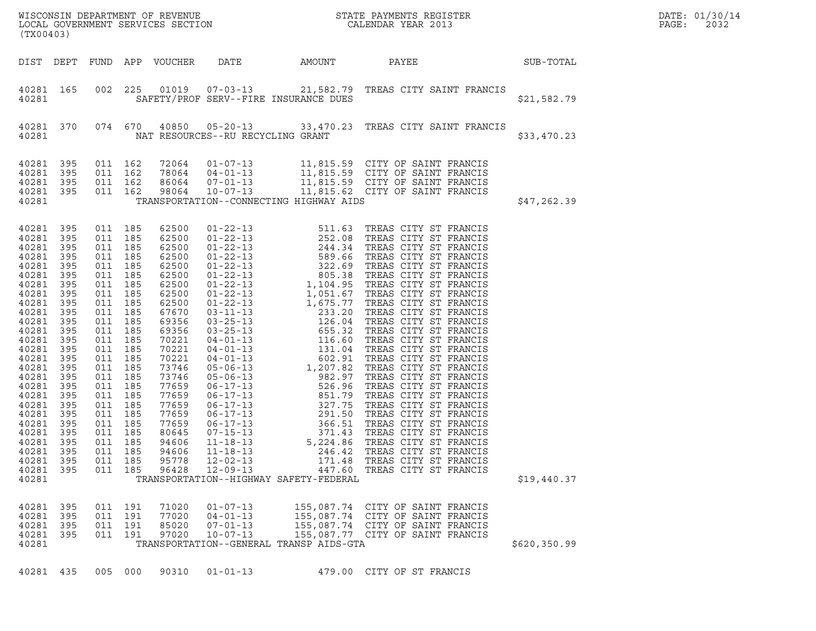| (TX00403)                                                                                                                                                                                                                                                                                                   |                                                                                          |                                                                                                                                                                                                                                                                                            |         |                                                                                                                                                                                                                                                 |                                                    |                                         |                                                                                                                                                                                                                                                                                                                                                        |              | DATE: 01/30/14<br>PAGE:<br>2032 |
|-------------------------------------------------------------------------------------------------------------------------------------------------------------------------------------------------------------------------------------------------------------------------------------------------------------|------------------------------------------------------------------------------------------|--------------------------------------------------------------------------------------------------------------------------------------------------------------------------------------------------------------------------------------------------------------------------------------------|---------|-------------------------------------------------------------------------------------------------------------------------------------------------------------------------------------------------------------------------------------------------|----------------------------------------------------|-----------------------------------------|--------------------------------------------------------------------------------------------------------------------------------------------------------------------------------------------------------------------------------------------------------------------------------------------------------------------------------------------------------|--------------|---------------------------------|
| DIST DEPT                                                                                                                                                                                                                                                                                                   |                                                                                          |                                                                                                                                                                                                                                                                                            |         | FUND APP VOUCHER                                                                                                                                                                                                                                | DATE                                               | AMOUNT                                  | <b>PAYEE</b>                                                                                                                                                                                                                                                                                                                                           | SUB-TOTAL    |                                 |
| 40281 165<br>40281                                                                                                                                                                                                                                                                                          |                                                                                          |                                                                                                                                                                                                                                                                                            | 002 225 |                                                                                                                                                                                                                                                 |                                                    | SAFETY/PROF SERV--FIRE INSURANCE DUES   | 01019  07-03-13  21,582.79  TREAS CITY SAINT FRANCIS                                                                                                                                                                                                                                                                                                   | \$21,582.79  |                                 |
| 40281 370<br>40281                                                                                                                                                                                                                                                                                          |                                                                                          |                                                                                                                                                                                                                                                                                            | 074 670 |                                                                                                                                                                                                                                                 | NAT RESOURCES--RU RECYCLING GRANT                  |                                         | 40850  05-20-13  33,470.23  TREAS CITY SAINT FRANCIS                                                                                                                                                                                                                                                                                                   | \$33,470.23  |                                 |
| 40281 395<br>40281<br>40281 395<br>40281 395                                                                                                                                                                                                                                                                | 395                                                                                      | 011 162<br>011 162<br>011 162<br>011 162                                                                                                                                                                                                                                                   |         | 72064<br>78064<br>86064<br>98064                                                                                                                                                                                                                |                                                    |                                         | 01-07-13 11,815.59 CITY OF SAINT FRANCIS<br>04-01-13 11,815.59 CITY OF SAINT FRANCIS<br>07-01-13 11,815.59 CITY OF SAINT FRANCIS<br>10-07-13 11,815.62 CITY OF SAINT FRANCIS                                                                                                                                                                           |              |                                 |
| 40281                                                                                                                                                                                                                                                                                                       |                                                                                          |                                                                                                                                                                                                                                                                                            |         |                                                                                                                                                                                                                                                 |                                                    | TRANSPORTATION--CONNECTING HIGHWAY AIDS |                                                                                                                                                                                                                                                                                                                                                        | \$47,262.39  |                                 |
| 40281 395<br>40281 395<br>40281<br>40281 395<br>40281<br>40281 395<br>40281<br>40281 395<br>40281<br>40281 395<br>40281<br>40281 395<br>40281<br>40281 395<br>40281<br>40281 395<br>40281<br>40281 395<br>40281<br>40281 395<br>40281<br>40281 395<br>40281<br>40281<br>40281 395<br>40281 395<br>40281 395 | - 395<br>- 395<br>395<br>- 395<br>395<br>- 395<br>395<br>395<br>395<br>395<br>395<br>395 | 011 185<br>011 185<br>011 185<br>011 185<br>011 185<br>011 185<br>011 185<br>011 185<br>011 185<br>011 185<br>011 185<br>011 185<br>011 185<br>011 185<br>011 185<br>011 185<br>011 185<br>011 185<br>011 185<br>011 185<br>011 185<br>011 185<br>011 185<br>011 185<br>011 185<br>011 185 | 011 185 | 62500<br>62500<br>62500<br>62500<br>62500<br>62500<br>62500<br>62500<br>62500<br>67670<br>69356<br>69356<br>70221<br>70221<br>70221<br>73746<br>73746<br>77659<br>77659<br>77659<br>77659<br>77659<br>80645<br>94606<br>94606<br>95778<br>96428 | $11 - 18 - 13$<br>$12 - 02 - 13$<br>$12 - 09 - 13$ |                                         | 01-22-13<br>01-22-13<br>01-22-13<br>01-22-13<br>252.08 TREAS CITY ST FRANCIS<br>01-22-13<br>244.34 TREAS CITY ST FRANCIS<br>01-22-13<br>589.66 TREAS CITY ST FRANCIS<br>01-22-13<br>322.69 TREAS CITY ST FRANCIS<br>01-22-13<br>1,051.67 TREAS CITY ST<br>246.42 TREAS CITY ST FRANCIS<br>171.48 TREAS CITY ST FRANCIS<br>447.60 TREAS CITY ST FRANCIS |              |                                 |
| 40281<br>40281 395                                                                                                                                                                                                                                                                                          |                                                                                          |                                                                                                                                                                                                                                                                                            | 011 191 | 71020                                                                                                                                                                                                                                           | $01 - 07 - 13$                                     | TRANSPORTATION--HIGHWAY SAFETY-FEDERAL  | 155,087.74 CITY OF SAINT FRANCIS                                                                                                                                                                                                                                                                                                                       | \$19,440.37  |                                 |
| 40281 395<br>40281 395<br>40281 395<br>40281                                                                                                                                                                                                                                                                |                                                                                          | 011 191<br>011 191<br>011 191                                                                                                                                                                                                                                                              |         | 77020<br>85020<br>97020                                                                                                                                                                                                                         | $04 - 01 - 13$<br>$07 - 01 - 13$<br>$10 - 07 - 13$ | TRANSPORTATION--GENERAL TRANSP AIDS-GTA | 155,087.74 CITY OF SAINT FRANCIS<br>155,087.74 CITY OF SAINT FRANCIS<br>155,087.77 CITY OF SAINT FRANCIS                                                                                                                                                                                                                                               | \$620,350.99 |                                 |
| 40281 435                                                                                                                                                                                                                                                                                                   |                                                                                          |                                                                                                                                                                                                                                                                                            | 005 000 | 90310                                                                                                                                                                                                                                           | $01 - 01 - 13$                                     |                                         | 479.00 CITY OF ST FRANCIS                                                                                                                                                                                                                                                                                                                              |              |                                 |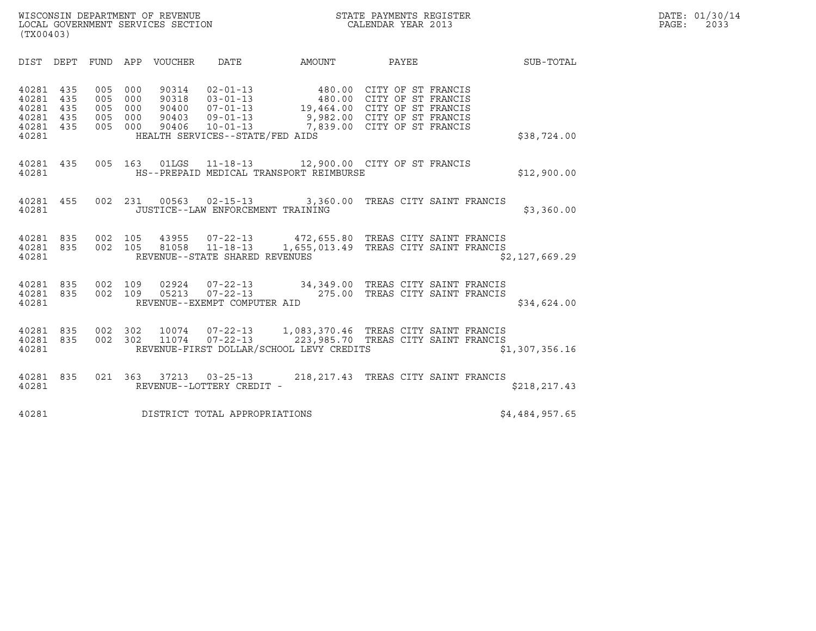| (TX00403)                                                  |                   |                                 |                                 |                       |                                             |                                                                                                                                                                                                                                                                                       |                                      |                |
|------------------------------------------------------------|-------------------|---------------------------------|---------------------------------|-----------------------|---------------------------------------------|---------------------------------------------------------------------------------------------------------------------------------------------------------------------------------------------------------------------------------------------------------------------------------------|--------------------------------------|----------------|
| DIST                                                       | DEPT              |                                 |                                 | FUND APP VOUCHER DATE |                                             | AMOUNT                                                                                                                                                                                                                                                                                | PAYEE                                | SUB-TOTAL      |
| 40281<br>40281<br>40281<br>40281 435<br>40281 435<br>40281 | 435<br>435<br>435 | 005<br>005<br>005<br>005<br>005 | 000<br>000<br>000<br>000<br>000 |                       | HEALTH SERVICES--STATE/FED AIDS             | 90314 02-01-13 480.00 CITY OF ST FRANCIS<br>90318 03-01-13 480.00 CITY OF ST FRANCIS<br>90400 07-01-13 19,464.00 CITY OF ST FRANCIS<br>90403 09-01-13 9,982.00 CITY OF ST FRANCIS<br>90406 10-01-13 7,839.00 CITY OF ST FRANCIS                                                       |                                      | \$38,724.00    |
| 40281 435<br>40281                                         |                   |                                 |                                 |                       |                                             | 005 163 01LGS 11-18-13 12,900.00 CITY OF ST FRANCIS<br>HS--PREPAID MEDICAL TRANSPORT REIMBURSE                                                                                                                                                                                        |                                      | \$12,900.00    |
| 40281 455<br>40281                                         |                   |                                 |                                 |                       | JUSTICE--LAW ENFORCEMENT TRAINING           | 002 231 00563 02-15-13 3,360.00 TREAS CITY SAINT FRANCIS                                                                                                                                                                                                                              |                                      | \$3,360.00     |
| 40281 835<br>40281 835<br>40281                            |                   |                                 |                                 |                       | REVENUE--STATE SHARED REVENUES              | 002 105 43955 07-22-13 472,655.80 TREAS CITY SAINT FRANCIS<br>002 105 81058 11-18-13 1,655,013.49 TREAS CITY SAINT FRANCIS                                                                                                                                                            |                                      | \$2,127,669.29 |
| 40281                                                      |                   |                                 |                                 |                       | REVENUE--EXEMPT COMPUTER AID                | $\begin{array}{cccc} 4\,02\,8\,1 & 8\,3\,5 & 0\,0\,2 & 1\,0\,9 & 0\,2\,9\,2\,4 & 0\,7\, -\,2\,2\, -\,1\,3 & 3\,4\,,\,3\,4\,9\,. \,0\,0 & \text{TREAS CITY SAINT FRANCIS} \\ 4\,02\,8\,1 & 8\,3\,5 & 0\,0\,2 & 1\,0\,9 & 0\,5\,2\,1\,3 & 0\,7\, -\,2\,2\, -\,1\,3 & 2\,7\,5\,. \,0\,0$ |                                      | \$34,624.00    |
| 40281<br>40281 835<br>40281                                | 835               | 002 302                         |                                 |                       |                                             | 002 302 10074 07-22-13 1,083,370.46 TREAS CITY SAINT FRANCIS<br>11074  07-22-13  223,985.70  TREAS CITY SAINT FRANCIS<br>REVENUE-FIRST DOLLAR/SCHOOL LEVY CREDITS                                                                                                                     |                                      | \$1,307,356.16 |
| 40281<br>40281                                             | 835               | 021 363                         |                                 |                       | 37213 03-25-13<br>REVENUE--LOTTERY CREDIT - |                                                                                                                                                                                                                                                                                       | 218, 217.43 TREAS CITY SAINT FRANCIS | \$218,217.43   |
| 40281                                                      |                   |                                 |                                 |                       | DISTRICT TOTAL APPROPRIATIONS               |                                                                                                                                                                                                                                                                                       |                                      | \$4,484,957.65 |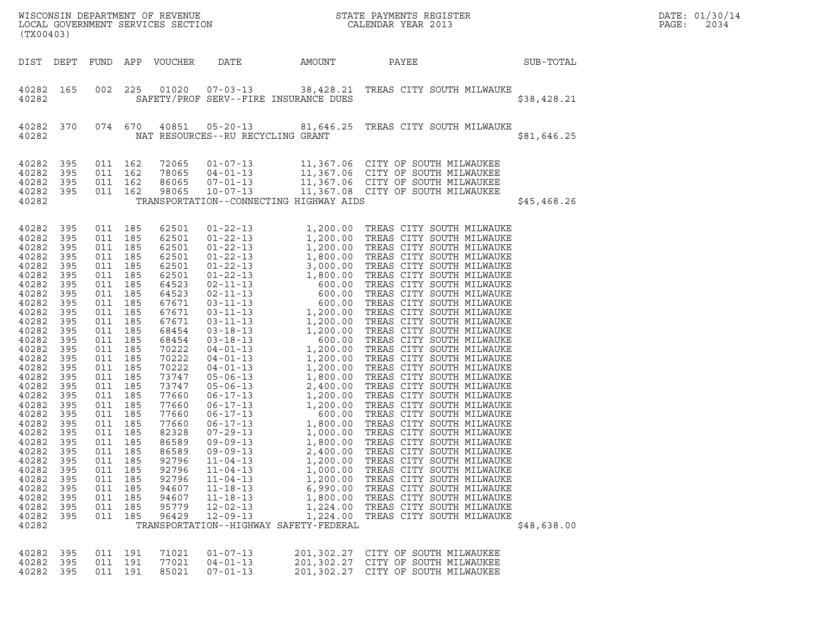| (TX00403)                                                                                                                                                                                                                                                                                             |                                                                                                                                                                                                                              |                                                                                                                                                                                                                                                                          |                                                                                                                                                 |                                                                                                                                                                                                                                                                                              |                                                                                                                                                                                                                                                                                                                                                                                                                                                                                                                                                                                                                                        |                                                                                              |                                                                                                                                                                                                                                                                                                                                                                                                                                                                                                                                                                                                                                                                                                                           |             | DATE: 01/30/14<br>PAGE:<br>2034 |
|-------------------------------------------------------------------------------------------------------------------------------------------------------------------------------------------------------------------------------------------------------------------------------------------------------|------------------------------------------------------------------------------------------------------------------------------------------------------------------------------------------------------------------------------|--------------------------------------------------------------------------------------------------------------------------------------------------------------------------------------------------------------------------------------------------------------------------|-------------------------------------------------------------------------------------------------------------------------------------------------|----------------------------------------------------------------------------------------------------------------------------------------------------------------------------------------------------------------------------------------------------------------------------------------------|----------------------------------------------------------------------------------------------------------------------------------------------------------------------------------------------------------------------------------------------------------------------------------------------------------------------------------------------------------------------------------------------------------------------------------------------------------------------------------------------------------------------------------------------------------------------------------------------------------------------------------------|----------------------------------------------------------------------------------------------|---------------------------------------------------------------------------------------------------------------------------------------------------------------------------------------------------------------------------------------------------------------------------------------------------------------------------------------------------------------------------------------------------------------------------------------------------------------------------------------------------------------------------------------------------------------------------------------------------------------------------------------------------------------------------------------------------------------------------|-------------|---------------------------------|
| DIST DEPT                                                                                                                                                                                                                                                                                             |                                                                                                                                                                                                                              |                                                                                                                                                                                                                                                                          |                                                                                                                                                 | FUND APP VOUCHER                                                                                                                                                                                                                                                                             | DATE                                                                                                                                                                                                                                                                                                                                                                                                                                                                                                                                                                                                                                   | AMOUNT                                                                                       | PAYEE                                                                                                                                                                                                                                                                                                                                                                                                                                                                                                                                                                                                                                                                                                                     | SUB-TOTAL   |                                 |
| 40282 165<br>40282                                                                                                                                                                                                                                                                                    |                                                                                                                                                                                                                              | 002                                                                                                                                                                                                                                                                      | 225                                                                                                                                             | 01020                                                                                                                                                                                                                                                                                        | $07 - 03 - 13$<br>SAFETY/PROF SERV--FIRE INSURANCE DUES                                                                                                                                                                                                                                                                                                                                                                                                                                                                                                                                                                                |                                                                                              | 38,428.21 TREAS CITY SOUTH MILWAUKE                                                                                                                                                                                                                                                                                                                                                                                                                                                                                                                                                                                                                                                                                       | \$38,428.21 |                                 |
| 40282 370<br>40282                                                                                                                                                                                                                                                                                    |                                                                                                                                                                                                                              | 074 670                                                                                                                                                                                                                                                                  |                                                                                                                                                 | 40851                                                                                                                                                                                                                                                                                        | NAT RESOURCES--RU RECYCLING GRANT                                                                                                                                                                                                                                                                                                                                                                                                                                                                                                                                                                                                      |                                                                                              |                                                                                                                                                                                                                                                                                                                                                                                                                                                                                                                                                                                                                                                                                                                           | \$81,646.25 |                                 |
| 40282<br>40282<br>40282<br>40282<br>40282                                                                                                                                                                                                                                                             | 395<br>395<br>395<br>395                                                                                                                                                                                                     | 011 162<br>011 162<br>011 162<br>011 162                                                                                                                                                                                                                                 |                                                                                                                                                 | 72065<br>78065<br>86065<br>98065                                                                                                                                                                                                                                                             | $01 - 07 - 13$<br>$04 - 01 - 13$<br>$07 - 01 - 13$<br>$10 - 07 - 13$<br>TRANSPORTATION--CONNECTING HIGHWAY AIDS                                                                                                                                                                                                                                                                                                                                                                                                                                                                                                                        |                                                                                              | 11,367.06 CITY OF SOUTH MILWAUKEE<br>11,367.06 CITY OF SOUTH MILWAUKEE<br>11,367.06 CITY OF SOUTH MILWAUKEE<br>11,367.08 CITY OF SOUTH MILWAUKEE                                                                                                                                                                                                                                                                                                                                                                                                                                                                                                                                                                          | \$45,468.26 |                                 |
| 40282<br>40282<br>40282<br>40282<br>40282<br>40282<br>40282<br>40282<br>40282<br>40282<br>40282<br>40282<br>40282<br>40282<br>40282<br>40282<br>40282<br>40282<br>40282<br>40282<br>40282<br>40282<br>40282<br>40282<br>40282<br>40282<br>40282<br>40282<br>40282<br>40282<br>40282<br>40282<br>40282 | 395<br>395<br>395<br>395<br>395<br>395<br>395<br>395<br>395<br>395<br>395<br>395<br>395<br>395<br>395<br>395<br>395<br>395<br>395<br>395<br>395<br>395<br>395<br>395<br>395<br>395<br>395<br>395<br>395<br>395<br>395<br>395 | 011 185<br>011 185<br>011 185<br>011 185<br>011<br>011 185<br>011<br>011 185<br>011<br>011 185<br>011<br>011<br>011<br>011 185<br>011<br>011<br>011<br>011<br>011<br>011<br>011<br>011 185<br>011<br>011 185<br>011<br>011<br>011<br>011<br>011<br>011<br>011<br>011 185 | 185<br>185<br>185<br>185<br>185<br>185<br>185<br>185<br>185<br>185<br>185<br>185<br>185<br>185<br>185<br>185<br>185<br>185<br>185<br>185<br>185 | 62501<br>62501<br>62501<br>62501<br>62501<br>62501<br>64523<br>64523<br>67671<br>67671<br>67671<br>68454<br>68454<br>70222<br>70222<br>70222<br>73747<br>73747<br>77660<br>77660<br>77660<br>77660<br>82328<br>86589<br>86589<br>92796<br>92796<br>92796<br>94607<br>94607<br>95779<br>96429 | $01 - 22 - 13$<br>$01 - 22 - 13$<br>$01 - 22 - 13$<br>$01 - 22 - 13$<br>$01 - 22 - 13$<br>$01 - 22 - 13$<br>$02 - 11 - 13$<br>$02 - 11 - 13$<br>$03 - 11 - 13$<br>$03 - 11 - 13$<br>$03 - 11 - 13$<br>$03 - 18 - 13$<br>$03 - 18 - 13$<br>$04 - 01 - 13$<br>$04 - 01 - 13$<br>$04 - 01 - 13$<br>$05 - 06 - 13$<br>$05 - 06 - 13$<br>$06 - 17 - 13$<br>$06 - 17 - 13$<br>$06 - 17 - 13$<br>$06 - 17 - 13$<br>$07 - 29 - 13$<br>$09 - 09 - 13$<br>$09 - 09 - 13$<br>$11 - 04 - 13$<br>$11 - 04 - 13$<br>$11 - 04 - 13$<br>$11 - 18 - 13$<br>$11 - 18 - 13$<br>$12 - 02 - 13$<br>$12 - 09 - 13$<br>TRANSPORTATION--HIGHWAY SAFETY-FEDERAL | 2,400.00<br>1,200.00<br>1,000.00<br>1,200.00<br>6,990.00<br>1,800.00<br>1,224.00<br>1,224.00 | $1,200.00 \quad \text{TREAS CITY SOUTH MILWAUKE} \label{eq:3} 1,200.00 \quad \text{TREAS CITY SOUTH MILWAUKE} \newline 1,200.00 \quad \text{TREAS CITY SOUTH MILWAUKE} \newline 1,800.00 \quad \text{TREAS CITY SOUTH MILWAUKE} \newline 3,000.00 \quad \text{TREAS CITY SOUTH MILWAUKE} \newline 600.00 \quad \text{TREAS CITY SOUTH MILWAUKE} \newline 600.00 \quad \text{TREAS CITY SOUTH MILWAUKE} \newline 1,200.00 \quad \text{TREAS$<br>1,800.00 TREAS CITY SOUTH MILWAUKE<br>TREAS CITY SOUTH MILWAUKE<br>TREAS CITY SOUTH MILWAUKE<br>TREAS CITY SOUTH MILWAUKE<br>TREAS CITY SOUTH MILWAUKE<br>TREAS CITY SOUTH MILWAUKE<br>TREAS CITY SOUTH MILWAUKE<br>TREAS CITY SOUTH MILWAUKE<br>TREAS CITY SOUTH MILWAUKE | \$48,638.00 |                                 |
| 40282<br>40282<br>40282                                                                                                                                                                                                                                                                               | 395<br>395<br>395                                                                                                                                                                                                            | 011 191<br>011 191<br>011 191                                                                                                                                                                                                                                            |                                                                                                                                                 | 71021<br>77021<br>85021                                                                                                                                                                                                                                                                      | $01 - 07 - 13$<br>$04 - 01 - 13$<br>$07 - 01 - 13$                                                                                                                                                                                                                                                                                                                                                                                                                                                                                                                                                                                     |                                                                                              | 201,302.27 CITY OF SOUTH MILWAUKEE<br>201,302.27 CITY OF SOUTH MILWAUKEE<br>201,302.27 CITY OF SOUTH MILWAUKEE                                                                                                                                                                                                                                                                                                                                                                                                                                                                                                                                                                                                            |             |                                 |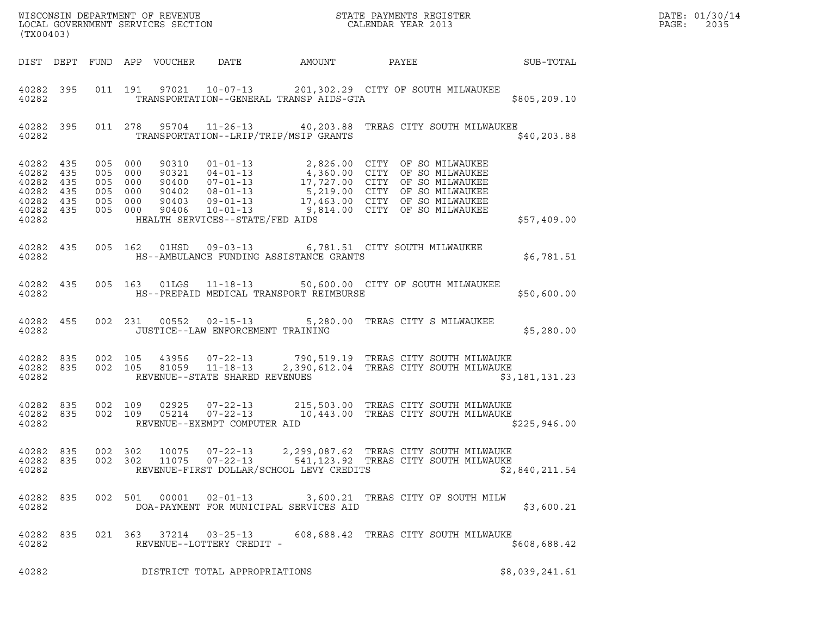| (TX00403)                       |         |         |                |                                                     | % WISCONSIN DEPARTMENT OF REVENUE $$\tt STATE~PAYMEMTS~REGISTER~LOCAL~GOVERNMENT~SERVICES~SECTION~CALENDAR~YEAR~2013$                                                                                                                                                                                                |                                   |                | DATE: 01/30/14<br>PAGE:<br>2035 |
|---------------------------------|---------|---------|----------------|-----------------------------------------------------|----------------------------------------------------------------------------------------------------------------------------------------------------------------------------------------------------------------------------------------------------------------------------------------------------------------------|-----------------------------------|----------------|---------------------------------|
|                                 |         |         |                |                                                     |                                                                                                                                                                                                                                                                                                                      |                                   |                |                                 |
| 40282                           |         |         |                |                                                     | 40282 395 011 191 97021 10-07-13 201,302.29 CITY OF SOUTH MILWAUKEE<br>TRANSPORTATION--GENERAL TRANSP AIDS-GTA                                                                                                                                                                                                       |                                   | \$805, 209.10  |                                 |
|                                 | 40282   |         |                |                                                     | 40282 395 011 278 95704 11-26-13 40,203.88 TREAS CITY SOUTH MILWAUKEE<br>TRANSPORTATION--LRIP/TRIP/MSIP GRANTS                                                                                                                                                                                                       |                                   | \$40, 203.88   |                                 |
|                                 |         |         |                | 40282 HEALTH SERVICES--STATE/FED AIDS               | $\begin{tabular}{cccccccc} 4\,0282 & 435 & 005 & 000 & 90310 & 01-01-13 & 2,826.00 & CITY & OF SO MILWAUKEE \\ 4\,0282 & 435 & 005 & 000 & 90321 & 04-01-13 & 4,360.00 & CITY & OF SO MILWAUKEE \\ 4\,0282 & 435 & 005 & 000 & 90400 & 07-01-13 & 17,727.00 & CITY & OF SO MILWAUKEE \\ 4\,0282 & 435 & 005 & 000 &$ |                                   | \$57,409.00    |                                 |
|                                 |         |         |                |                                                     | 40282 435 005 162 01HSD 09-03-13 6,781.51 CITY SOUTH MILWAUKEE                                                                                                                                                                                                                                                       |                                   | \$6,781.51     |                                 |
|                                 |         |         |                |                                                     | 40282 435 005 163 01LGS 11-18-13 50,600.00 CITY OF SOUTH MILWAUKEE<br>40282 MS--PREPAID MEDICAL TRANSPORT REIMBURSE                                                                                                                                                                                                  |                                   | \$50,600.00    |                                 |
|                                 |         |         |                |                                                     | 40282 455 002 231 00552 02-15-13 5,280.00 TREAS CITY S MILWAUKEE<br>40282 JUSTICE--LAW ENFORCEMENT TRAINING                                                                                                                                                                                                          |                                   | \$5,280.00     |                                 |
|                                 |         |         |                |                                                     | 40282 835 002 105 43956 07-22-13 790,519.19 TREAS CITY SOUTH MILWAUKE<br>40282 835 002 105 81059 11-18-13 2,390,612.04 TREAS CITY SOUTH MILWAUKE<br>40282 REVENUE--STATE SHARED REVENUES                                                                                                                             |                                   | \$3,181,131.23 |                                 |
| 40282                           |         |         |                | REVENUE--EXEMPT COMPUTER AID                        | 40282 835 002 109 02925 07-22-13 215,503.00 TREAS CITY SOUTH MILWAUKE<br>40282 835 002 109 05214 07-22-13 10,443.00 TREAS CITY SOUTH MILWAUKE                                                                                                                                                                        |                                   | \$225,946.00   |                                 |
| 40282 835<br>40282 835<br>40282 | 002 302 | 002 302 | 10075<br>11075 | $07 - 22 - 13$<br>$07 - 22 - 13$                    | 2,299,087.62 TREAS CITY SOUTH MILWAUKE<br>541,123.92 TREAS CITY SOUTH MILWAUKE<br>REVENUE-FIRST DOLLAR/SCHOOL LEVY CREDITS                                                                                                                                                                                           |                                   | \$2,840,211.54 |                                 |
| 40282 835<br>40282              |         |         | 002 501 00001  | $02 - 01 - 13$                                      | DOA-PAYMENT FOR MUNICIPAL SERVICES AID                                                                                                                                                                                                                                                                               | 3,600.21 TREAS CITY OF SOUTH MILW | \$3,600.21     |                                 |
| 40282 835<br>40282              |         |         |                | 021 363 37214 03-25-13<br>REVENUE--LOTTERY CREDIT - | 608,688.42 TREAS CITY SOUTH MILWAUKE                                                                                                                                                                                                                                                                                 |                                   | \$608,688.42   |                                 |
| 40282                           |         |         |                | DISTRICT TOTAL APPROPRIATIONS                       |                                                                                                                                                                                                                                                                                                                      |                                   | \$8,039,241.61 |                                 |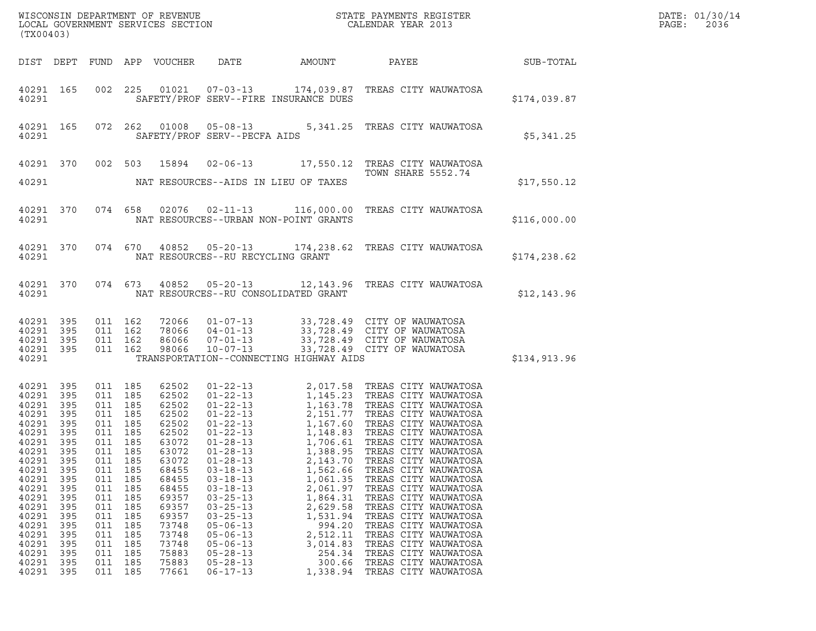| WISCONSIN DEPARTMENT OF REVENUE<br>LOCAL GOVERNMENT SERVICES SECTION<br>(TX00403) | STATE PAYMENTS REGISTER<br>CALENDAR YEAR 2013 | DATE: 01/30/14<br>PAGE:<br>2036 |
|-----------------------------------------------------------------------------------|-----------------------------------------------|---------------------------------|

| WISCONSIN DEPARTMENT OF REVENUE<br>LOCAL GOVERNMENT SERVICES SECTION THE STATE PAYMENTS REGISTER<br>(TYA04403)<br>(TX00403)                                                                                               |                                                                                           |                                                                                                                                                                          |                                                                                             |                                                                                                                                                                                           |                                                                                                                                                                                                                                        |                                                                                                                                                    |                                                                                                                                                                                                                                                                                                                                                                                                                                                                                                                                                                                          | $\mathbb{E} \mathbb{R}$ | DATE: 01/30/14<br>PAGE:<br>2036 |
|---------------------------------------------------------------------------------------------------------------------------------------------------------------------------------------------------------------------------|-------------------------------------------------------------------------------------------|--------------------------------------------------------------------------------------------------------------------------------------------------------------------------|---------------------------------------------------------------------------------------------|-------------------------------------------------------------------------------------------------------------------------------------------------------------------------------------------|----------------------------------------------------------------------------------------------------------------------------------------------------------------------------------------------------------------------------------------|----------------------------------------------------------------------------------------------------------------------------------------------------|------------------------------------------------------------------------------------------------------------------------------------------------------------------------------------------------------------------------------------------------------------------------------------------------------------------------------------------------------------------------------------------------------------------------------------------------------------------------------------------------------------------------------------------------------------------------------------------|-------------------------|---------------------------------|
|                                                                                                                                                                                                                           |                                                                                           |                                                                                                                                                                          |                                                                                             |                                                                                                                                                                                           |                                                                                                                                                                                                                                        |                                                                                                                                                    | DIST DEPT FUND APP VOUCHER DATE AMOUNT PAYEE SUB-TOTAL                                                                                                                                                                                                                                                                                                                                                                                                                                                                                                                                   |                         |                                 |
| 40291 165<br>40291                                                                                                                                                                                                        |                                                                                           |                                                                                                                                                                          |                                                                                             |                                                                                                                                                                                           |                                                                                                                                                                                                                                        | SAFETY/PROF SERV--FIRE INSURANCE DUES                                                                                                              | 002 225 01021 07-03-13 174,039.87 TREAS CITY WAUWATOSA                                                                                                                                                                                                                                                                                                                                                                                                                                                                                                                                   | \$174,039.87            |                                 |
| 40291 165<br>40291                                                                                                                                                                                                        |                                                                                           |                                                                                                                                                                          |                                                                                             |                                                                                                                                                                                           | SAFETY/PROF SERV--PECFA AIDS                                                                                                                                                                                                           |                                                                                                                                                    | 072  262  01008  05-08-13  5,341.25  TREAS CITY WAUWATOSA                                                                                                                                                                                                                                                                                                                                                                                                                                                                                                                                | \$5,341.25              |                                 |
|                                                                                                                                                                                                                           |                                                                                           |                                                                                                                                                                          |                                                                                             |                                                                                                                                                                                           |                                                                                                                                                                                                                                        |                                                                                                                                                    | 40291 370 002 503 15894 02-06-13 17,550.12 TREAS CITY WAUWATOSA<br>TOWN SHARE 5552.74                                                                                                                                                                                                                                                                                                                                                                                                                                                                                                    | \$17,550.12             |                                 |
| 40291                                                                                                                                                                                                                     |                                                                                           |                                                                                                                                                                          |                                                                                             |                                                                                                                                                                                           |                                                                                                                                                                                                                                        | NAT RESOURCES--URBAN NON-POINT GRANTS                                                                                                              | 40291 370 074 658 02076 02-11-13 116,000.00 TREAS CITY WAUWATOSA                                                                                                                                                                                                                                                                                                                                                                                                                                                                                                                         | \$116,000.00            |                                 |
| 40291                                                                                                                                                                                                                     |                                                                                           |                                                                                                                                                                          |                                                                                             |                                                                                                                                                                                           | NAT RESOURCES--RU RECYCLING GRANT                                                                                                                                                                                                      |                                                                                                                                                    | 40291 370 074 670 40852 05-20-13 174,238.62 TREAS CITY WAUWATOSA                                                                                                                                                                                                                                                                                                                                                                                                                                                                                                                         | \$174,238.62            |                                 |
| 40291                                                                                                                                                                                                                     |                                                                                           |                                                                                                                                                                          |                                                                                             |                                                                                                                                                                                           |                                                                                                                                                                                                                                        | NAT RESOURCES--RU CONSOLIDATED GRANT                                                                                                               | 40291 370 074 673 40852 05-20-13 12,143.96 TREAS CITY WAUWATOSA                                                                                                                                                                                                                                                                                                                                                                                                                                                                                                                          | \$12, 143.96            |                                 |
| 40291 395<br>40291 395<br>40291 395<br>40291 395<br>40291                                                                                                                                                                 |                                                                                           |                                                                                                                                                                          |                                                                                             |                                                                                                                                                                                           |                                                                                                                                                                                                                                        | TRANSPORTATION--CONNECTING HIGHWAY AIDS                                                                                                            | 011 162 72066 01-07-13 33,728.49 CITY OF WAUWATOSA<br>011 162 78066 04-01-13 33,728.49 CITY OF WAUWATOSA<br>011 162 98066 07-01-13 33,728.49 CITY OF WAUWATOSA<br>011 162 98066 10-07-13 33,728.49 CITY OF WAUWATOSA                                                                                                                                                                                                                                                                                                                                                                     | \$134,913.96            |                                 |
| 40291 395<br>40291 395<br>40291 395<br>40291 395<br>40291 395<br>40291 395<br>40291 395<br>40291 395<br>40291<br>40291<br>40291<br>40291<br>40291<br>40291<br>40291<br>40291<br>40291<br>40291<br>40291<br>40291<br>40291 | 395<br>395<br>395<br>395<br>395<br>395<br>395<br>395<br>395<br>395<br>395<br>- 395<br>395 | 011 185<br>011 185<br>011 185<br>011 185<br>011 185<br>011 185<br>011 185<br>011<br>011<br>011<br>011<br>011<br>011<br>011<br>011<br>011<br>011<br>011<br>011<br>011 185 | 011 185<br>185<br>185<br>185<br>185<br>185<br>185<br>185<br>185<br>185<br>185<br>185<br>185 | 62502<br>62502<br>62502<br>62502<br>62502<br>62502<br>63072<br>63072<br>63072<br>68455<br>68455<br>68455<br>69357<br>69357<br>69357<br>73748<br>73748<br>73748<br>75883<br>75883<br>77661 | $01 - 28 - 13$<br>$03 - 18 - 13$<br>$03 - 18 - 13$<br>$03 - 18 - 13$<br>$03 - 25 - 13$<br>$03 - 25 - 13$<br>$03 - 25 - 13$<br>$05 - 06 - 13$<br>$05 - 06 - 13$<br>$05 - 06 - 13$<br>$05 - 28 - 13$<br>$05 - 28 - 13$<br>$06 - 17 - 13$ | 2,143.70<br>1,562.66<br>1,061.35<br>2,061.97<br>1,864.31<br>2,629.58<br>1,531.94<br>994.20<br>2,512.11<br>3,014.83<br>254.34<br>300.66<br>1,338.94 | 01-22-13<br>01-22-13<br>01-22-13<br>1,145.23<br>1,163.78<br>TREAS CITY WAUWATOSA<br>01-22-13<br>2,151.77<br>TREAS CITY WAUWATOSA<br>01-22-13<br>1,167.60<br>TREAS CITY WAUWATOSA<br>01-28-13<br>1,706.61<br>TREAS CITY WAUWATOSA<br>01-28-13<br>1,706.61<br>TREA<br>TREAS CITY WAUWATOSA<br>TREAS CITY WAUWATOSA<br>TREAS CITY WAUWATOSA<br>TREAS CITY WAUWATOSA<br>TREAS CITY WAUWATOSA<br>TREAS CITY WAUWATOSA<br>TREAS CITY WAUWATOSA<br>TREAS CITY WAUWATOSA<br>TREAS CITY WAUWATOSA<br>TREAS CITY WAUWATOSA<br>TREAS CITY WAUWATOSA<br>TREAS CITY WAUWATOSA<br>TREAS CITY WAUWATOSA |                         |                                 |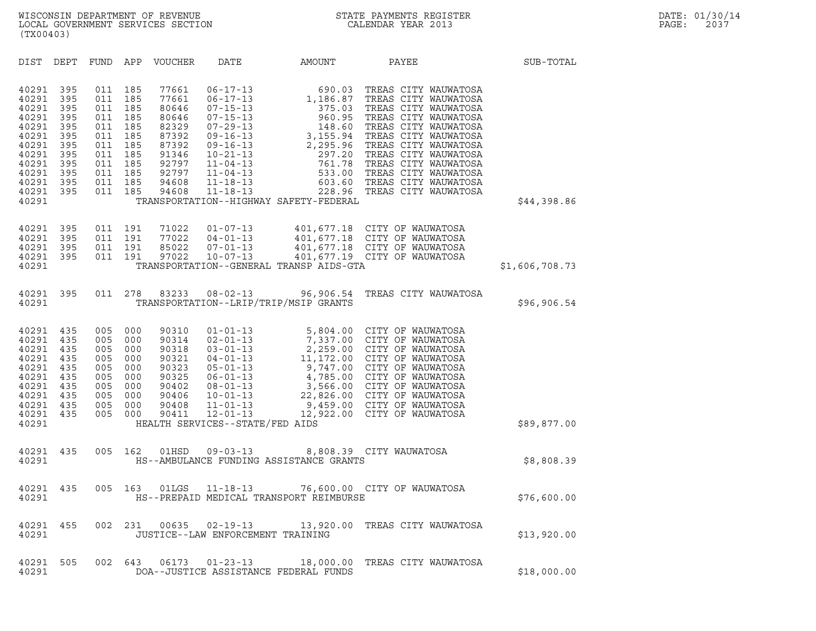| (TX00403)                                                                                                         |                                                                                  |                                                                                  |                                                                                  |                                                                                                          |                                                                                                                                                                                                                      |                                                                                                                                                                                                        |                                                                                                                                                                                                                                                                                                                                            |                |
|-------------------------------------------------------------------------------------------------------------------|----------------------------------------------------------------------------------|----------------------------------------------------------------------------------|----------------------------------------------------------------------------------|----------------------------------------------------------------------------------------------------------|----------------------------------------------------------------------------------------------------------------------------------------------------------------------------------------------------------------------|--------------------------------------------------------------------------------------------------------------------------------------------------------------------------------------------------------|--------------------------------------------------------------------------------------------------------------------------------------------------------------------------------------------------------------------------------------------------------------------------------------------------------------------------------------------|----------------|
| DIST                                                                                                              | DEPT                                                                             | <b>FUND</b>                                                                      | APP                                                                              | VOUCHER                                                                                                  | DATE                                                                                                                                                                                                                 | AMOUNT                                                                                                                                                                                                 | PAYEE                                                                                                                                                                                                                                                                                                                                      | SUB-TOTAL      |
| 40291<br>40291<br>40291<br>40291<br>40291<br>40291<br>40291<br>40291<br>40291<br>40291<br>40291<br>40291<br>40291 | 395<br>395<br>395<br>395<br>395<br>395<br>395<br>395<br>395<br>395<br>395<br>395 | 011<br>011<br>011<br>011<br>011<br>011<br>011<br>011<br>011<br>011<br>011<br>011 | 185<br>185<br>185<br>185<br>185<br>185<br>185<br>185<br>185<br>185<br>185<br>185 | 77661<br>77661<br>80646<br>80646<br>82329<br>87392<br>87392<br>91346<br>92797<br>92797<br>94608<br>94608 | $06 - 17 - 13$<br>$06 - 17 - 13$<br>$07 - 15 - 13$<br>$07 - 15 - 13$<br>$07 - 29 - 13$<br>$09 - 16 - 13$<br>$09 - 16 - 13$<br>$10 - 21 - 13$<br>$11 - 04 - 13$<br>$11 - 04 - 13$<br>$11 - 18 - 13$<br>$11 - 18 - 13$ | 690.03<br>1,186.87<br>375.03<br>960.95<br>$\begin{array}{r} 148. \cup \\ 3,155.94 \\ 2,295.96 \\ 297.20 \\ \hline \end{array}$<br>761.78<br>533.00<br>228.96<br>TRANSPORTATION--HIGHWAY SAFETY-FEDERAL | TREAS CITY WAUWATOSA<br>TREAS CITY WAUWATOSA<br>TREAS CITY WAUWATOSA<br>TREAS CITY WAUWATOSA<br>TREAS CITY WAUWATOSA<br>TREAS CITY WAUWATOSA<br>TREAS CITY WAUWATOSA<br>TREAS CITY WAUWATOSA<br>TREAS CITY WAUWATOSA<br>TREAS CITY WAUWATOSA<br>603.60 TREAS CITY WAUWATOSA<br>TREAS CITY WAUWATOSA                                        | \$44,398.86    |
| 40291<br>40291<br>40291<br>40291<br>40291                                                                         | 395<br>395<br>395<br>395                                                         | 011<br>011<br>011<br>011                                                         | 191<br>191<br>191<br>191                                                         | 71022<br>77022<br>85022<br>97022                                                                         | $01 - 07 - 13$<br>$04 - 01 - 13$<br>$07 - 01 - 13$<br>$10 - 07 - 13$                                                                                                                                                 | TRANSPORTATION--GENERAL TRANSP AIDS-GTA                                                                                                                                                                | 401,677.18 CITY OF WAUWATOSA<br>401,677.18 CITY OF WAUWATOSA<br>401,677.18 CITY OF WAUWATOSA<br>401,677.19 CITY OF WAUWATOSA                                                                                                                                                                                                               | \$1,606,708.73 |
| 40291<br>40291                                                                                                    | 395                                                                              | 011                                                                              | 278                                                                              | 83233                                                                                                    | $08 - 02 - 13$                                                                                                                                                                                                       | 96,906.54<br>TRANSPORTATION--LRIP/TRIP/MSIP GRANTS                                                                                                                                                     | TREAS CITY WAUWATOSA                                                                                                                                                                                                                                                                                                                       | \$96,906.54    |
| 40291<br>40291<br>40291<br>40291<br>40291<br>40291<br>40291<br>40291<br>40291<br>40291<br>40291                   | 435<br>435<br>435<br>435<br>435<br>435<br>435<br>435<br>435<br>435               | 005<br>005<br>005<br>005<br>005<br>005<br>005<br>005<br>005<br>005               | 000<br>000<br>000<br>000<br>000<br>000<br>000<br>000<br>000<br>000               | 90310<br>90314<br>90318<br>90321<br>90323<br>90325<br>90402<br>90406<br>90408<br>90411                   | $01 - 01 - 13$<br>$02 - 01 - 13$<br>$03 - 01 - 13$<br>$04 - 01 - 13$<br>$05 - 01 - 13$<br>$06 - 01 - 13$<br>$08 - 01 - 13$<br>$10 - 01 - 13$<br>$11 - 01 - 13$<br>$12 - 01 - 13$<br>HEALTH SERVICES--STATE/FED AIDS  |                                                                                                                                                                                                        | 5,804.00 CITY OF WAUWATOSA<br>7,337.00 CITY OF WAUWATOSA<br>2,259.00 CITY OF WAUWATOSA<br>11,172.00 CITY OF WAUWATOSA<br>9,747.00 CITY OF WAUWATOSA<br>4,785.00 CITY OF WAUWATOSA<br>3,566.00 CITY OF WAUWATOSA<br>22,826.00 CITY OF WAUWATOSA<br>22,826.00 CITY OF WAUWATOSA<br>9,459.00 CITY OF WAUWATOSA<br>12,922.00 CITY OF WAUWATOSA | \$89,877.00    |
| 40291<br>40291                                                                                                    | 435                                                                              | 005                                                                              | 162                                                                              | 01HSD                                                                                                    | $09 - 03 - 13$                                                                                                                                                                                                       | HS--AMBULANCE FUNDING ASSISTANCE GRANTS                                                                                                                                                                | 8,808.39 CITY WAUWATOSA                                                                                                                                                                                                                                                                                                                    | \$8,808.39     |
| 40291<br>40291                                                                                                    | 435                                                                              | 005                                                                              | 163                                                                              | 01LGS                                                                                                    | $11 - 18 - 13$                                                                                                                                                                                                       | 76,600.00<br>HS--PREPAID MEDICAL TRANSPORT REIMBURSE                                                                                                                                                   | CITY OF WAUWATOSA                                                                                                                                                                                                                                                                                                                          | \$76,600.00    |
| 40291<br>40291                                                                                                    | 455                                                                              |                                                                                  |                                                                                  |                                                                                                          | JUSTICE--LAW ENFORCEMENT TRAINING                                                                                                                                                                                    |                                                                                                                                                                                                        | 002 231 00635 02-19-13 13,920.00 TREAS CITY WAUWATOSA                                                                                                                                                                                                                                                                                      | \$13,920.00    |
| 40291<br>40291                                                                                                    | 505                                                                              |                                                                                  | 002 643                                                                          | 06173                                                                                                    | $01 - 23 - 13$                                                                                                                                                                                                       | 18,000.00<br>DOA--JUSTICE ASSISTANCE FEDERAL FUNDS                                                                                                                                                     | TREAS CITY WAUWATOSA                                                                                                                                                                                                                                                                                                                       | \$18,000.00    |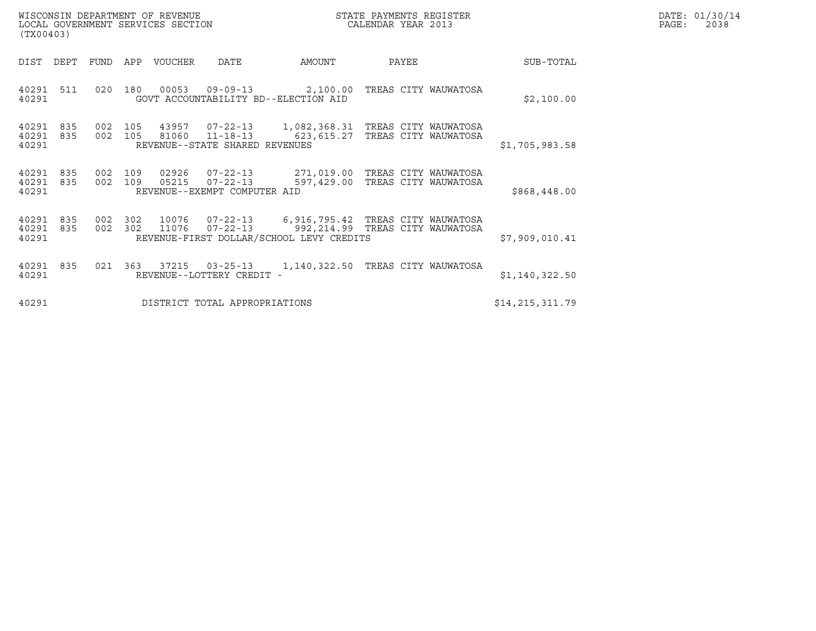| (TX00403)               |            |                    |         | WISCONSIN DEPARTMENT OF REVENUE<br>LOCAL GOVERNMENT SERVICES SECTION |                                                                  |                                                                                                 | DATE: 01/30/14<br>PAGE:<br>2038                                    |  |                   |  |
|-------------------------|------------|--------------------|---------|----------------------------------------------------------------------|------------------------------------------------------------------|-------------------------------------------------------------------------------------------------|--------------------------------------------------------------------|--|-------------------|--|
| DIST DEPT               |            | FUND               | APP     | VOUCHER                                                              | DATE                                                             | AMOUNT                                                                                          | PAYEE                                                              |  | SUB-TOTAL         |  |
| 40291 511<br>40291      |            |                    | 020 180 |                                                                      | $00053$ $09-09-13$<br>GOVT ACCOUNTABILITY BD--ELECTION AID       | 2,100.00 TREAS CITY WAUWATOSA                                                                   |                                                                    |  | \$2,100.00        |  |
| 40291<br>40291<br>40291 | 835<br>835 | 002<br>002 105     | 105     | 81060                                                                | 11-18-13<br>REVENUE--STATE SHARED REVENUES                       | 43957  07-22-13  1,082,368.31  TREAS CITY WAUWATOSA                                             | 623, 615.27 TREAS CITY WAUWATOSA                                   |  | \$1,705,983.58    |  |
| 40291<br>40291<br>40291 | 835<br>835 | 002 109<br>002 109 |         | 02926<br>05215                                                       | $07 - 22 - 13$<br>$07 - 22 - 13$<br>REVENUE--EXEMPT COMPUTER AID |                                                                                                 | 271,019.00 TREAS CITY WAUWATOSA<br>597,429.00 TREAS CITY WAUWATOSA |  | \$868,448.00      |  |
| 40291<br>40291<br>40291 | 835<br>835 | 002<br>002 302     | 302     | 11076                                                                | $07 - 22 - 13$                                                   | 10076  07-22-13  6,916,795.42  TREAS CITY WAUWATOSA<br>REVENUE-FIRST DOLLAR/SCHOOL LEVY CREDITS | 992, 214.99 TREAS CITY WAUWATOSA                                   |  | \$7,909,010.41    |  |
| 40291<br>40291          | 835        | 021                | 363     | 37215                                                                | $03 - 25 - 13$<br>REVENUE--LOTTERY CREDIT -                      |                                                                                                 | 1,140,322.50 TREAS CITY WAUWATOSA                                  |  | \$1,140,322.50    |  |
| 40291                   |            |                    |         |                                                                      | DISTRICT TOTAL APPROPRIATIONS                                    |                                                                                                 |                                                                    |  | \$14, 215, 311.79 |  |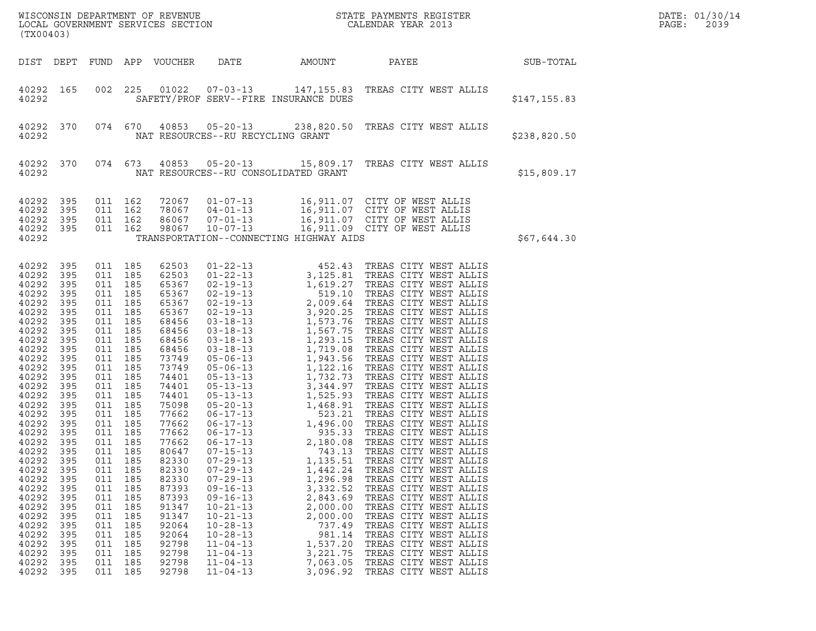| (TX00403)                                                                                                                                                                                                                                                                                                                                                                                                                                                                                                                                                      |                                                                                                |                                                                                                                                                                                                                                                                                                                            |                                                                                                                                                                                                                                                                                                                |                                                                                                                                                                                                                                                          |                                                                                                                                                                | WISCONSIN DEPARTMENT OF REVENUE<br>LOCAL GOVERNMENT SERVICES SECTION<br>CALENDAR YEAR 2013                                                                                                                                                                                                                                                                 |              | DATE: 01/30/14<br>PAGE:<br>2039 |
|----------------------------------------------------------------------------------------------------------------------------------------------------------------------------------------------------------------------------------------------------------------------------------------------------------------------------------------------------------------------------------------------------------------------------------------------------------------------------------------------------------------------------------------------------------------|------------------------------------------------------------------------------------------------|----------------------------------------------------------------------------------------------------------------------------------------------------------------------------------------------------------------------------------------------------------------------------------------------------------------------------|----------------------------------------------------------------------------------------------------------------------------------------------------------------------------------------------------------------------------------------------------------------------------------------------------------------|----------------------------------------------------------------------------------------------------------------------------------------------------------------------------------------------------------------------------------------------------------|----------------------------------------------------------------------------------------------------------------------------------------------------------------|------------------------------------------------------------------------------------------------------------------------------------------------------------------------------------------------------------------------------------------------------------------------------------------------------------------------------------------------------------|--------------|---------------------------------|
| DIST DEPT                                                                                                                                                                                                                                                                                                                                                                                                                                                                                                                                                      |                                                                                                |                                                                                                                                                                                                                                                                                                                            | FUND APP VOUCHER                                                                                                                                                                                                                                                                                               | DATE                                                                                                                                                                                                                                                     | AMOUNT                                                                                                                                                         | PAYEE                                                                                                                                                                                                                                                                                                                                                      | SUB-TOTAL    |                                 |
| 40292 165<br>40292                                                                                                                                                                                                                                                                                                                                                                                                                                                                                                                                             |                                                                                                | 002 225                                                                                                                                                                                                                                                                                                                    |                                                                                                                                                                                                                                                                                                                |                                                                                                                                                                                                                                                          | SAFETY/PROF SERV--FIRE INSURANCE DUES                                                                                                                          | 01022  07-03-13  147,155.83  TREAS CITY WEST ALLIS                                                                                                                                                                                                                                                                                                         | \$147,155.83 |                                 |
| 40292<br>370<br>40292                                                                                                                                                                                                                                                                                                                                                                                                                                                                                                                                          |                                                                                                |                                                                                                                                                                                                                                                                                                                            |                                                                                                                                                                                                                                                                                                                | NAT RESOURCES--RU RECYCLING GRANT                                                                                                                                                                                                                        |                                                                                                                                                                | 074 670 40853 05-20-13 238,820.50 TREAS CITY WEST ALLIS                                                                                                                                                                                                                                                                                                    | \$238,820.50 |                                 |
| 40292 370<br>40292                                                                                                                                                                                                                                                                                                                                                                                                                                                                                                                                             |                                                                                                | 074 673                                                                                                                                                                                                                                                                                                                    |                                                                                                                                                                                                                                                                                                                |                                                                                                                                                                                                                                                          | NAT RESOURCES--RU CONSOLIDATED GRANT                                                                                                                           | 40853  05-20-13  15,809.17  TREAS CITY WEST ALLIS                                                                                                                                                                                                                                                                                                          | \$15,809.17  |                                 |
| 40292<br>395<br>40292<br>395<br>40292<br>395<br>40292 395<br>40292                                                                                                                                                                                                                                                                                                                                                                                                                                                                                             |                                                                                                | 011 162<br>011 162<br>011 162<br>011 162                                                                                                                                                                                                                                                                                   | 72067<br>78067<br>86067<br>98067                                                                                                                                                                                                                                                                               |                                                                                                                                                                                                                                                          | TRANSPORTATION--CONNECTING HIGHWAY AIDS                                                                                                                        | 01-07-13 16,911.07 CITY OF WEST ALLIS<br>04-01-13 16,911.07 CITY OF WEST ALLIS<br>07-01-13 16,911.07 CITY OF WEST ALLIS<br>10-07-13 16,911.09 CITY OF WEST ALLIS                                                                                                                                                                                           | \$67,644.30  |                                 |
| 40292<br>395<br>40292<br>395<br>40292<br>395<br>40292<br>395<br>40292<br>395<br>40292<br>395<br>40292<br>395<br>40292<br>395<br>40292<br>395<br>40292<br>395<br>40292<br>395<br>40292<br>395<br>40292<br>395<br>40292<br>395<br>40292<br>395<br>40292<br>395<br>40292<br>395<br>40292<br>395<br>40292<br>395<br>40292<br>395<br>40292<br>395<br>40292<br>395<br>40292<br>395<br>40292<br>395<br>40292<br>395<br>40292<br>395<br>40292<br>395<br>40292<br>395<br>40292<br>395<br>40292<br>395<br>40292<br>395<br>40292<br>395<br>40292<br>395<br>40292<br>- 395 | 011<br>011<br>011<br>011<br>011<br>011<br>011<br>011<br>011<br>011<br>011<br>011<br>011<br>011 | 011 185<br>011 185<br>011 185<br>011 185<br>011 185<br>011 185<br>011 185<br>011 185<br>011 185<br>011 185<br>011 185<br>011 185<br>011 185<br>011 185<br>185<br>011 185<br>011 185<br>011 185<br>011 185<br>011 185<br>185<br>185<br>185<br>185<br>185<br>185<br>185<br>185<br>185<br>185<br>185<br>185<br>185<br>011 185 | 62503<br>62503<br>65367<br>65367<br>65367<br>65367<br>68456<br>68456<br>68456<br>68456<br>73749<br>73749<br>74401<br>74401<br>74401<br>75098<br>77662<br>77662<br>77662<br>77662<br>80647<br>82330<br>82330<br>82330<br>87393<br>87393<br>91347<br>91347<br>92064<br>92064<br>92798<br>92798<br>92798<br>92798 | $07 - 15 - 13$<br>$07 - 29 - 13$<br>$07 - 29 - 13$<br>$07 - 29 - 13$<br>$09 - 16 - 13$<br>$09 - 16 - 13$<br>$10 - 21 - 13$<br>$10 - 21 - 13$<br>$10 - 28 - 13$<br>$10 - 28 - 13$<br>$11 - 04 - 13$<br>$11 - 04 - 13$<br>$11 - 04 - 13$<br>$11 - 04 - 13$ | 743.13<br>1,135.51<br>1,442.24<br>1,296.98<br>3,332.52<br>2,843.69<br>2,000.00<br>2,000.00<br>737.49<br>981.14<br>1,537.20<br>3,221.75<br>7,063.05<br>3,096.92 | TREAS CITY WEST ALLIS<br>TREAS CITY WEST ALLIS<br>TREAS CITY WEST ALLIS<br>TREAS CITY WEST ALLIS<br>TREAS CITY WEST ALLIS<br>TREAS CITY WEST ALLIS<br>TREAS CITY WEST ALLIS<br>TREAS CITY WEST ALLIS<br>TREAS CITY WEST ALLIS<br>TREAS CITY WEST ALLIS<br>TREAS CITY WEST ALLIS<br>TREAS CITY WEST ALLIS<br>TREAS CITY WEST ALLIS<br>TREAS CITY WEST ALLIS |              |                                 |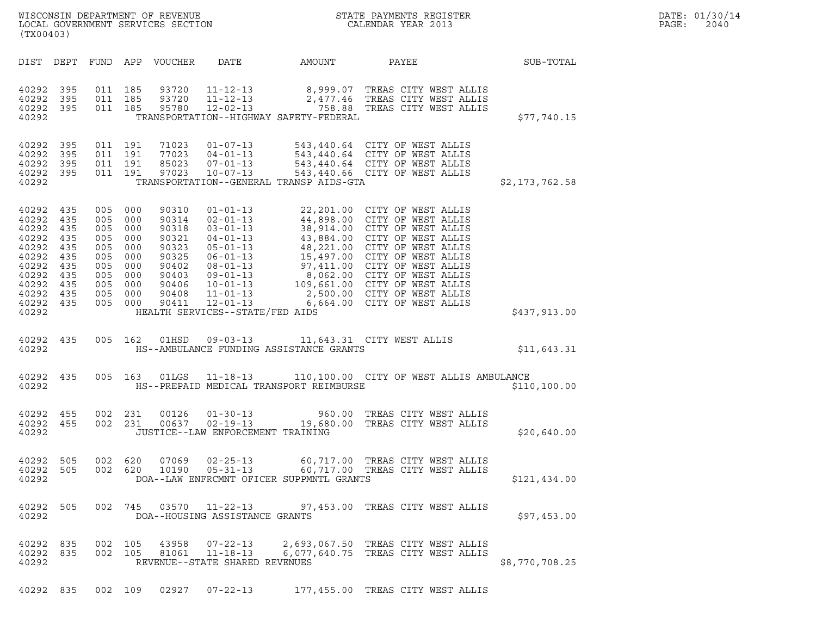| (TX00403)                                                                                                    |                                                                    |                                                          |                                                                                |                                                                                                 |                                                                                                         |                                          | ${\tt WISCO} {\tt NSM} {\tt NEMR} {\tt NEMR} {\tt NEMR} {\tt NEMR} {\tt NEMR} {\tt NEMR} {\tt NEMR} {\tt NEMR} {\tt NEMR} {\tt NEMR} {\tt NEMR} {\tt NEMR} {\tt NEMR} {\tt NEMR} {\tt NEMR} {\tt NEMR} {\tt NEMR} {\tt NEMR} {\tt NEMR} {\tt NEMR} {\tt NEMR} {\tt NEMR} {\tt NEMR} {\tt NEMR} {\tt NEMR} {\tt NEMR} {\tt NEMR} {\tt NEMR} {\tt NEMR} {\tt NEMR} {\tt NEMR} {\tt NEMR} {\tt NEMR} {\tt NEMR} {\tt NEMR}$ |                | DATE: 01/30/14<br>PAGE:<br>2040 |
|--------------------------------------------------------------------------------------------------------------|--------------------------------------------------------------------|----------------------------------------------------------|--------------------------------------------------------------------------------|-------------------------------------------------------------------------------------------------|---------------------------------------------------------------------------------------------------------|------------------------------------------|--------------------------------------------------------------------------------------------------------------------------------------------------------------------------------------------------------------------------------------------------------------------------------------------------------------------------------------------------------------------------------------------------------------------------|----------------|---------------------------------|
| DIST DEPT                                                                                                    |                                                                    |                                                          |                                                                                | FUND APP VOUCHER                                                                                | DATE                                                                                                    | AMOUNT                                   | PAYEE                                                                                                                                                                                                                                                                                                                                                                                                                    | SUB-TOTAL      |                                 |
| 40292<br>40292<br>40292 395<br>40292                                                                         | 395<br>395                                                         | 011 185<br>011 185<br>011 185                            |                                                                                | 93720<br>93720<br>95780                                                                         |                                                                                                         | TRANSPORTATION--HIGHWAY SAFETY-FEDERAL   | 11-12-13 8,999.07 TREAS CITY WEST ALLIS<br>11-12-13 2,477.46 TREAS CITY WEST ALLIS<br>12-02-13 758.88 TREAS CITY WEST ALLIS                                                                                                                                                                                                                                                                                              | \$77,740.15    |                                 |
| 40292 395<br>40292<br>40292<br>40292<br>40292                                                                | 395<br>395<br>395                                                  | 011 191<br>011 191<br>011 191<br>011 191                 |                                                                                | 71023<br>77023<br>85023<br>97023                                                                | $01 - 07 - 13$<br>04 - 01 - 13<br>07 - 01 - 13                                                          | TRANSPORTATION--GENERAL TRANSP AIDS-GTA  | 543,440.64 CITY OF WEST ALLIS<br>543,440.64 CITY OF WEST ALLIS<br>543,440.64 CITY OF WEST ALLIS<br>10-07-13 543,440.66 CITY OF WEST ALLIS                                                                                                                                                                                                                                                                                | \$2,173,762.58 |                                 |
| 40292<br>40292<br>40292<br>40292<br>40292<br>40292<br>40292<br>40292<br>40292<br>40292<br>40292 435<br>40292 | 435<br>435<br>435<br>435<br>435<br>435<br>435<br>435<br>435<br>435 | 005<br>005<br>005<br>005<br>005<br>005<br>005<br>005 000 | 000<br>000<br>000<br>000<br>000<br>005 000<br>000<br>005 000<br>000<br>005 000 | 90310<br>90314<br>90318<br>90321<br>90323<br>90325<br>90402<br>90403<br>90406<br>90408<br>90411 | $01 - 01 - 13$<br>$02 - 01 - 13$<br>$03 - 01 - 13$<br>$12 - 01 - 13$<br>HEALTH SERVICES--STATE/FED AIDS |                                          | 22,201.00 CITY OF WEST ALLIS<br>44,898.00 CITY OF WEST ALLIS<br>38,914.00 CITY OF WEST ALLIS<br>43,884.00 CITY OF WEST ALLIS<br>04-01-13<br>05-01-13<br>05-01-13<br>06-01-13<br>15,497.00 CITY OF WEST ALLIS<br>06-01-13<br>15,497.00 CITY OF WEST ALLIS<br>08-01-13<br>97,411.00 CITY OF WEST ALLIS<br>09-01-13<br>109,661.00 CITY OF WEST ALLIS<br>11 01-13<br>2.500.00 CITY OF WEST<br>6,664.00 CITY OF WEST ALLIS    | \$437,913.00   |                                 |
| 40292 435<br>40292                                                                                           |                                                                    |                                                          | 005 162                                                                        | 01HSD                                                                                           | 09-03-13                                                                                                | HS--AMBULANCE FUNDING ASSISTANCE GRANTS  | 11,643.31 CITY WEST ALLIS                                                                                                                                                                                                                                                                                                                                                                                                | \$11,643.31    |                                 |
| 40292 435<br>40292                                                                                           |                                                                    |                                                          | 005 163                                                                        | 01LGS                                                                                           |                                                                                                         | HS--PREPAID MEDICAL TRANSPORT REIMBURSE  | 11-18-13 110,100.00 CITY OF WEST ALLIS AMBULANCE                                                                                                                                                                                                                                                                                                                                                                         | \$110, 100.00  |                                 |
| 40292<br>40292 455<br>40292                                                                                  | 455                                                                | 002                                                      | 231<br>002 231                                                                 | 00126<br>00637                                                                                  | $02 - 19 - 13$<br>JUSTICE--LAW ENFORCEMENT TRAINING                                                     | 19,680.00                                | 01-30-13 960.00 TREAS CITY WEST ALLIS<br>TREAS CITY WEST ALLIS                                                                                                                                                                                                                                                                                                                                                           | \$20,640.00    |                                 |
| 40292 505<br>40292<br>40292                                                                                  | 505                                                                |                                                          | 002 620<br>002 620                                                             | 07069<br>10190                                                                                  | $02 - 25 - 13$                                                                                          | DOA--LAW ENFRCMNT OFICER SUPPMNTL GRANTS | 60,717.00 TREAS CITY WEST ALLIS<br>05-31-13 60,717.00 TREAS CITY WEST ALLIS                                                                                                                                                                                                                                                                                                                                              | \$121,434.00   |                                 |
| 40292 505<br>40292                                                                                           |                                                                    |                                                          |                                                                                |                                                                                                 | DOA--HOUSING ASSISTANCE GRANTS                                                                          |                                          | 002 745 03570 11-22-13 97,453.00 TREAS CITY WEST ALLIS                                                                                                                                                                                                                                                                                                                                                                   | \$97,453.00    |                                 |
| 40292 835<br>40292 835<br>40292                                                                              |                                                                    |                                                          | 002 105<br>002 105                                                             | 43958                                                                                           | $07 - 22 - 13$<br>81061 11-18-13<br>REVENUE--STATE SHARED REVENUES                                      |                                          | 2,693,067.50 TREAS CITY WEST ALLIS<br>6,077,640.75 TREAS CITY WEST ALLIS                                                                                                                                                                                                                                                                                                                                                 | \$8,770,708.25 |                                 |

40292 835 002 109 02927 07-22-13 177,455.00 TREAS CITY WEST ALLIS